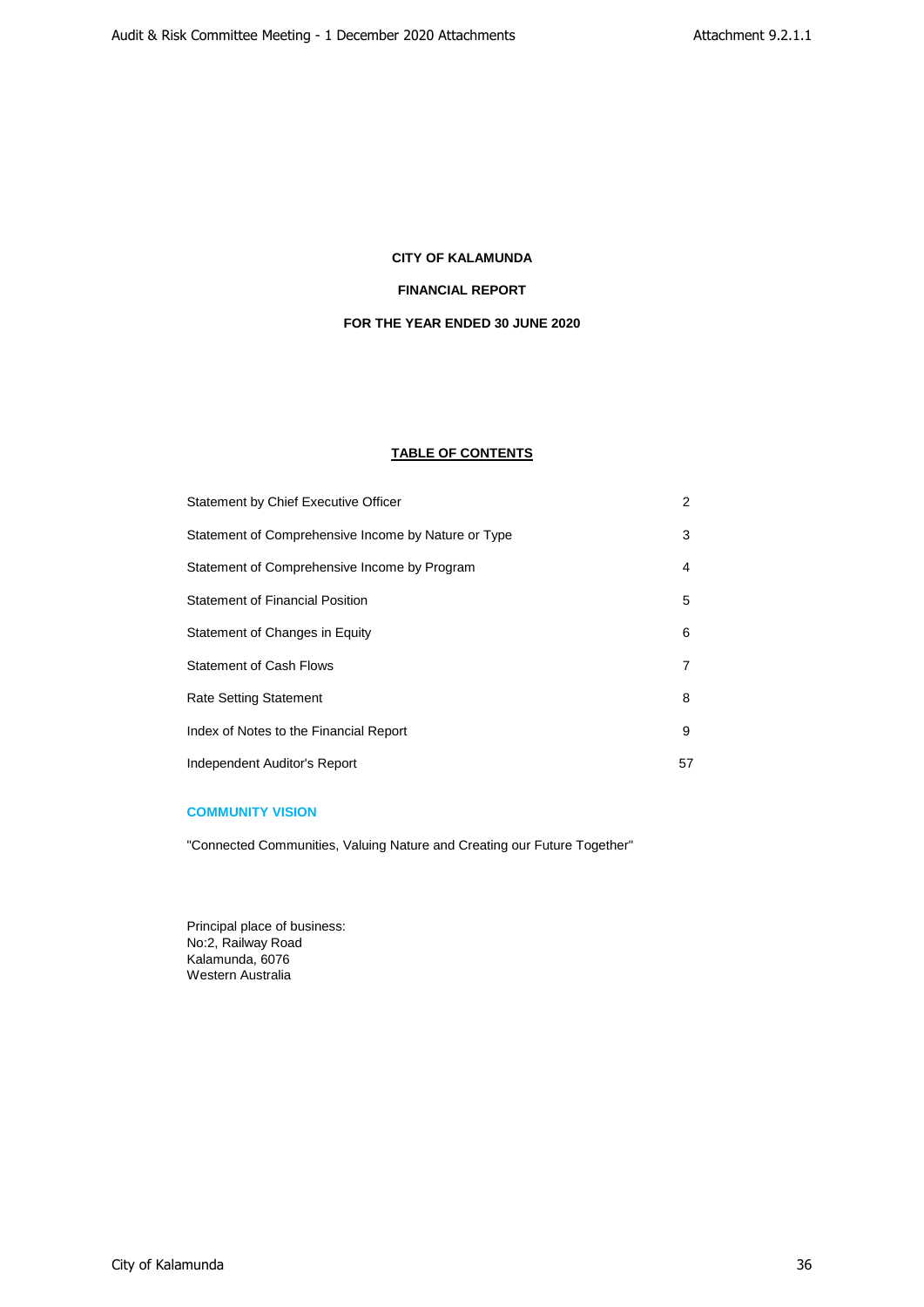# **FINANCIAL REPORT**

# **FOR THE YEAR ENDED 30 JUNE 2020**

# **TABLE OF CONTENTS**

| Statement by Chief Executive Officer                | $\overline{2}$ |
|-----------------------------------------------------|----------------|
| Statement of Comprehensive Income by Nature or Type | 3              |
| Statement of Comprehensive Income by Program        | 4              |
| <b>Statement of Financial Position</b>              | 5              |
| Statement of Changes in Equity                      | 6              |
| <b>Statement of Cash Flows</b>                      | 7              |
| <b>Rate Setting Statement</b>                       | 8              |
| Index of Notes to the Financial Report              | 9              |
| Independent Auditor's Report                        | 57             |

# **COMMUNITY VISION**

"Connected Communities, Valuing Nature and Creating our Future Together"

Principal place of business: No:2, Railway Road Kalamunda, 6076 Western Australia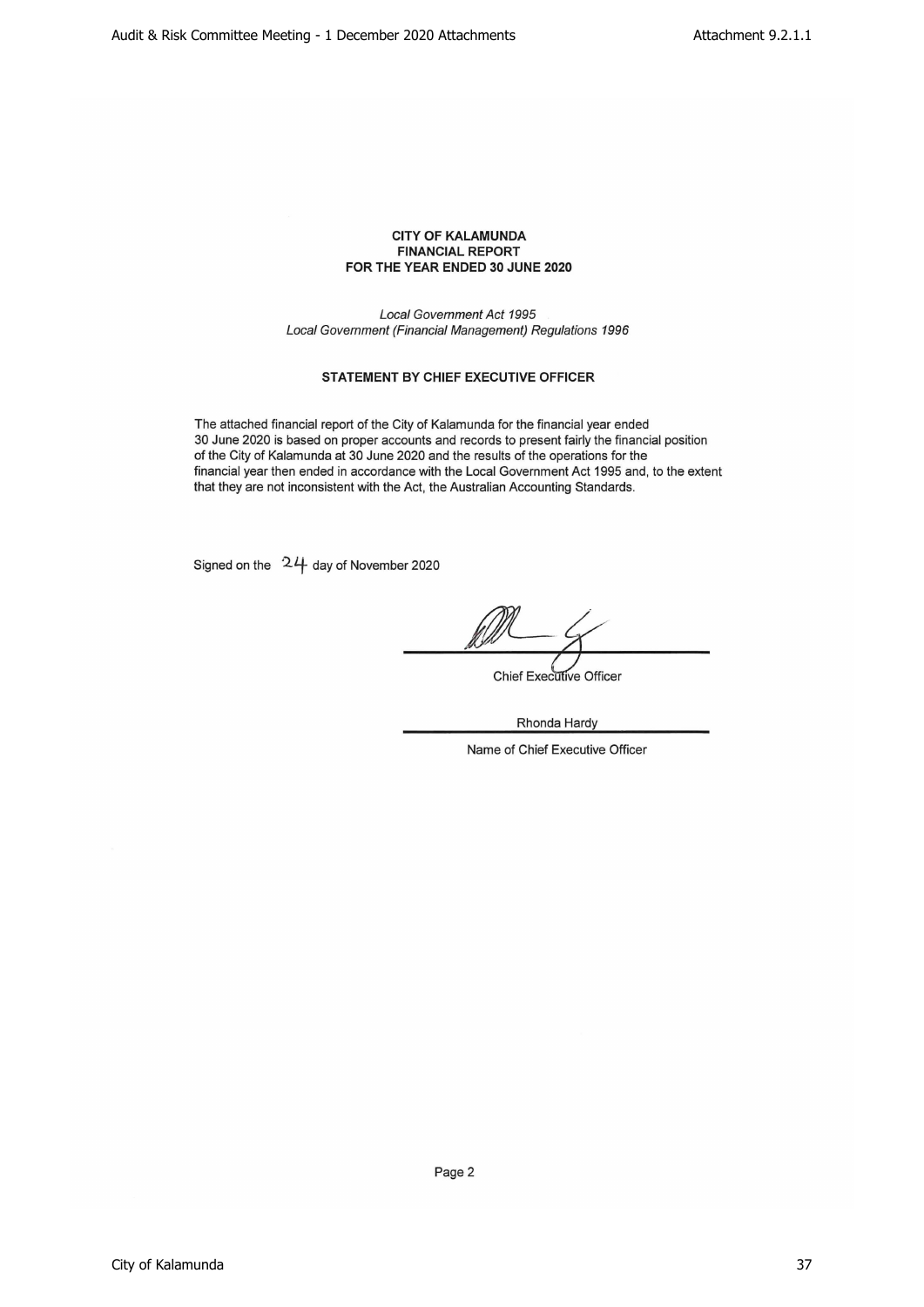# CITY OF KALAMUNDA FINANCIAL REPORT FOR THE YEAR ENDED 30 JUNE 2020

Local Government Act 1995 Local Government(Financial Management) Regulations 1996

# STATEMENT BY CHIEF EXECUTIVE OFFICER

The attached financial report of the City of Kalamunda for the financial year ended 30 June 2020 is based on proper accounts and records to present fairly the financial position of the City of Kalamunda at 30 June 2020 and the results of the operations for the financial year then ended in accordance with the Local Government Act 1995 and, to the extent that they are not inconsistent with the Act, the Australian Accounting Standards.

Signed on the  $24$  day of November 2020

**Chief Executive Officer** 

Rhonda Hardy

Name of Chief Executive Officer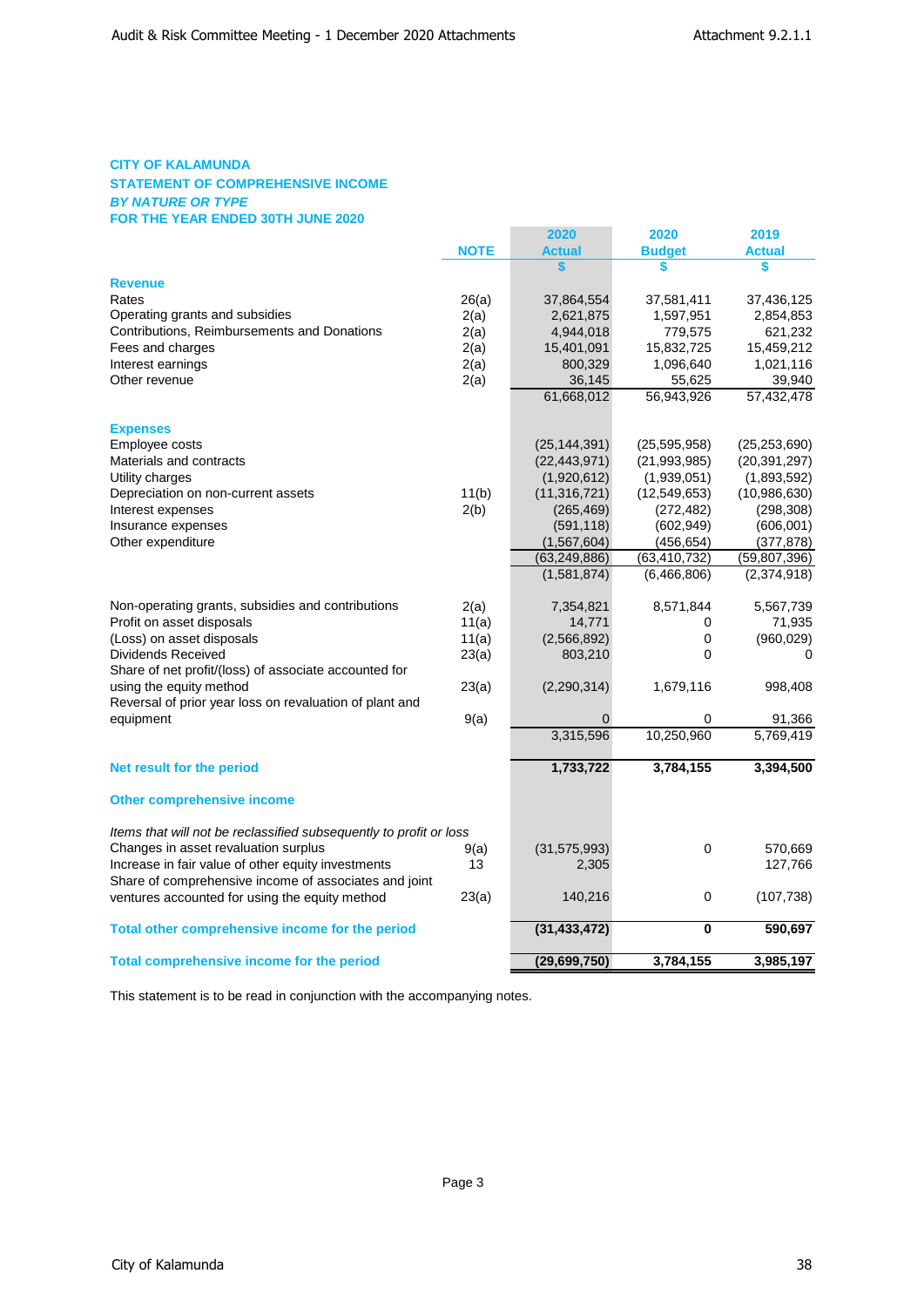# **CITY OF KALAMUNDA STATEMENT OF COMPREHENSIVE INCOME** *BY NATURE OR TYPE* **FOR THE YEAR ENDED 30TH JUNE 2020**

|                                                                    |             | 2020           | 2020                    | 2019           |
|--------------------------------------------------------------------|-------------|----------------|-------------------------|----------------|
|                                                                    | <b>NOTE</b> | <b>Actual</b>  | <b>Budget</b>           | <b>Actual</b>  |
|                                                                    |             | \$             | \$                      | \$             |
| <b>Revenue</b>                                                     |             |                |                         |                |
| Rates                                                              | 26(a)       | 37,864,554     | 37,581,411              | 37,436,125     |
| Operating grants and subsidies                                     | 2(a)        | 2,621,875      | 1,597,951               | 2,854,853      |
| Contributions, Reimbursements and Donations                        | 2(a)        | 4,944,018      | 779,575                 | 621,232        |
| Fees and charges                                                   | 2(a)        | 15,401,091     | 15,832,725              | 15,459,212     |
| Interest earnings                                                  | 2(a)        | 800,329        | 1,096,640               | 1,021,116      |
| Other revenue                                                      | 2(a)        | 36,145         | 55,625                  | 39,940         |
|                                                                    |             | 61,668,012     | 56,943,926              | 57.432.478     |
| <b>Expenses</b>                                                    |             |                |                         |                |
| Employee costs                                                     |             | (25, 144, 391) | (25, 595, 958)          | (25, 253, 690) |
| Materials and contracts                                            |             | (22, 443, 971) | (21,993,985)            | (20, 391, 297) |
| Utility charges                                                    |             | (1,920,612)    | (1,939,051)             | (1,893,592)    |
| Depreciation on non-current assets                                 | 11(b)       | (11, 316, 721) | (12,549,653)            | (10,986,630)   |
| Interest expenses                                                  | 2(b)        | (265, 469)     | (272, 482)              | (298, 308)     |
| Insurance expenses                                                 |             | (591, 118)     | (602, 949)              | (606, 001)     |
| Other expenditure                                                  |             | (1, 567, 604)  | (456, 654)              | (377, 878)     |
|                                                                    |             | (63, 249, 886) | (63, 410, 732)          | (59, 807, 396) |
|                                                                    |             | (1,581,874)    | (6,466,806)             | (2,374,918)    |
| Non-operating grants, subsidies and contributions                  | 2(a)        | 7,354,821      | 8,571,844               | 5,567,739      |
| Profit on asset disposals                                          | 11(a)       | 14,771         | 0                       | 71,935         |
| (Loss) on asset disposals                                          | 11(a)       | (2,566,892)    | 0                       | (960, 029)     |
| <b>Dividends Received</b>                                          | 23(a)       | 803,210        | 0                       | $\Omega$       |
| Share of net profit/(loss) of associate accounted for              |             |                |                         |                |
| using the equity method                                            | 23(a)       | (2, 290, 314)  | 1,679,116               | 998,408        |
| Reversal of prior year loss on revaluation of plant and            |             |                |                         |                |
| equipment                                                          | 9(a)        | 0              | 0                       | 91,366         |
|                                                                    |             | 3,315,596      | 10,250,960              | 5,769,419      |
| Net result for the period                                          |             | 1,733,722      | 3,784,155               | 3,394,500      |
| <b>Other comprehensive income</b>                                  |             |                |                         |                |
| Items that will not be reclassified subsequently to profit or loss |             |                |                         |                |
| Changes in asset revaluation surplus                               | 9(a)        | (31, 575, 993) | 0                       | 570,669        |
| Increase in fair value of other equity investments                 | 13          | 2,305          |                         | 127,766        |
| Share of comprehensive income of associates and joint              |             |                |                         |                |
| ventures accounted for using the equity method                     | 23(a)       | 140,216        | 0                       | (107, 738)     |
| Total other comprehensive income for the period                    |             | (31, 433, 472) | $\overline{\mathbf{0}}$ | 590,697        |
| <b>Total comprehensive income for the period</b>                   |             | (29, 699, 750) | 3,784,155               | 3,985,197      |
|                                                                    |             |                |                         |                |

This statement is to be read in conjunction with the accompanying notes.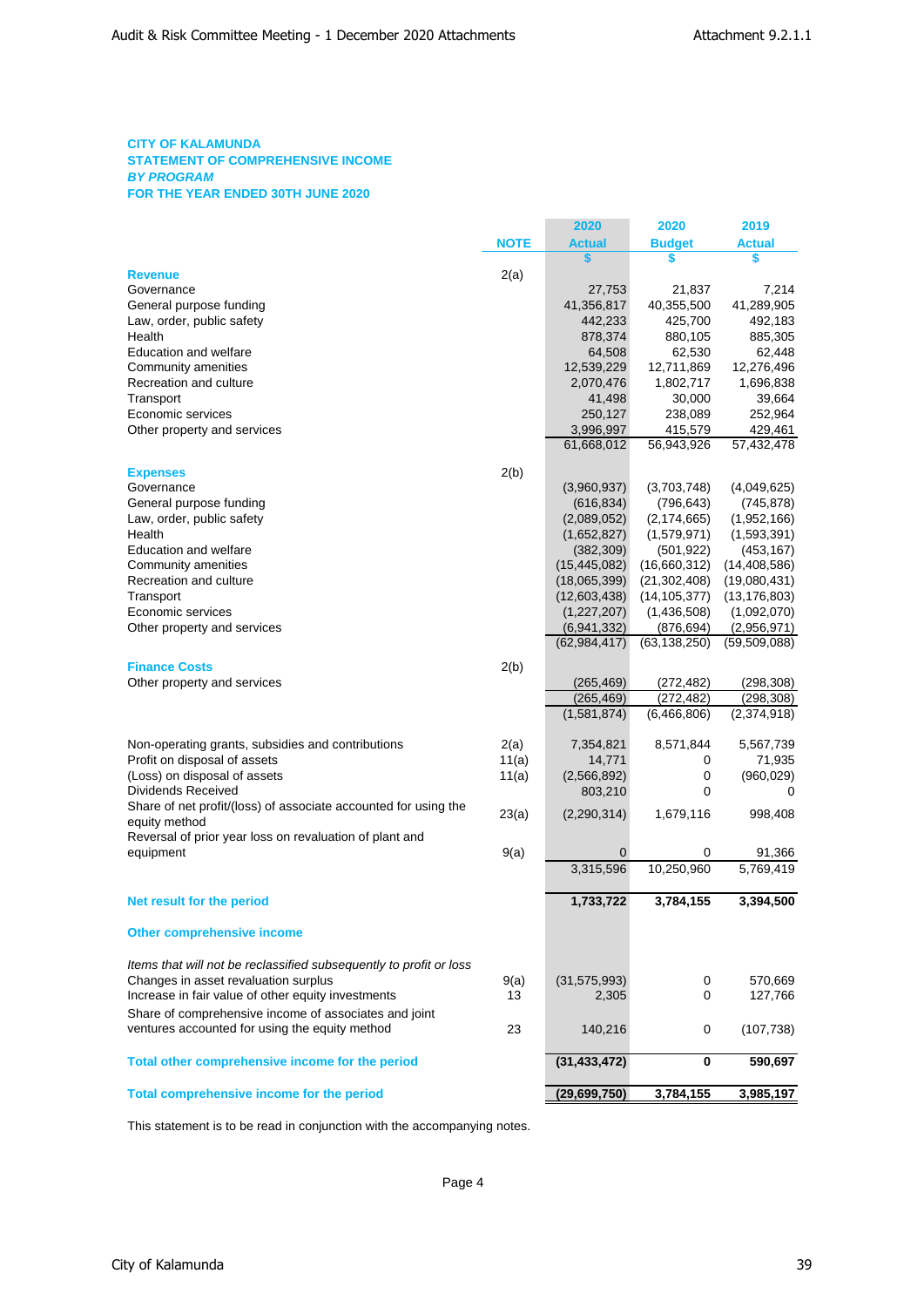# **CITY OF KALAMUNDA STATEMENT OF COMPREHENSIVE INCOME** *BY PROGRAM* **FOR THE YEAR ENDED 30TH JUNE 2020**

|                                                                    |             | 2020           | 2020           | 2019           |
|--------------------------------------------------------------------|-------------|----------------|----------------|----------------|
|                                                                    | <b>NOTE</b> | <b>Actual</b>  | <b>Budget</b>  | <b>Actual</b>  |
|                                                                    |             | S              | S              | \$             |
| <b>Revenue</b>                                                     | 2(a)        |                |                |                |
| Governance                                                         |             | 27,753         | 21,837         | 7,214          |
| General purpose funding                                            |             | 41,356,817     | 40,355,500     | 41,289,905     |
| Law, order, public safety                                          |             | 442,233        | 425,700        | 492,183        |
| Health                                                             |             | 878,374        | 880,105        | 885,305        |
| <b>Education and welfare</b>                                       |             | 64,508         | 62,530         | 62,448         |
| Community amenities                                                |             | 12,539,229     | 12,711,869     | 12,276,496     |
| Recreation and culture                                             |             | 2,070,476      | 1,802,717      | 1,696,838      |
| Transport                                                          |             | 41,498         | 30,000         | 39,664         |
| Economic services                                                  |             | 250,127        | 238,089        | 252,964        |
| Other property and services                                        |             | 3,996,997      | 415,579        | 429,461        |
|                                                                    |             | 61,668,012     | 56,943,926     | 57,432,478     |
|                                                                    |             |                |                |                |
| <b>Expenses</b>                                                    | 2(b)        |                |                |                |
| Governance                                                         |             | (3,960,937)    | (3,703,748)    | (4,049,625)    |
| General purpose funding                                            |             | (616, 834)     | (796, 643)     | (745, 878)     |
| Law, order, public safety                                          |             | (2,089,052)    | (2, 174, 665)  | (1,952,166)    |
| Health                                                             |             | (1,652,827)    | (1,579,971)    | (1,593,391)    |
| Education and welfare                                              |             | (382, 309)     | (501, 922)     | (453, 167)     |
| Community amenities                                                |             | (15, 445, 082) | (16,660,312)   | (14, 408, 586) |
| Recreation and culture                                             |             | (18,065,399)   | (21, 302, 408) | (19,080,431)   |
| Transport                                                          |             | (12,603,438)   | (14, 105, 377) | (13, 176, 803) |
| Economic services                                                  |             | (1,227,207)    | (1,436,508)    | (1,092,070)    |
| Other property and services                                        |             | (6,941,332)    | (876, 694)     | (2,956,971)    |
|                                                                    |             | (62, 984, 417) | (63, 138, 250) | (59, 509, 088) |
| <b>Finance Costs</b>                                               | 2(b)        |                |                |                |
| Other property and services                                        |             | (265, 469)     | (272, 482)     | (298, 308)     |
|                                                                    |             | (265, 469)     | (272, 482)     | (298, 308)     |
|                                                                    |             | (1,581,874)    | (6,466,806)    | (2,374,918)    |
|                                                                    |             |                |                |                |
| Non-operating grants, subsidies and contributions                  | 2(a)        | 7,354,821      | 8,571,844      | 5,567,739      |
| Profit on disposal of assets                                       | 11(a)       | 14,771         | 0              | 71,935         |
| (Loss) on disposal of assets                                       | 11(a)       | (2, 566, 892)  | 0              | (960, 029)     |
| Dividends Received                                                 |             | 803,210        | 0              | 0              |
| Share of net profit/(loss) of associate accounted for using the    | 23(a)       | (2,290,314)    | 1,679,116      | 998,408        |
| equity method                                                      |             |                |                |                |
| Reversal of prior year loss on revaluation of plant and            |             |                |                |                |
| equipment                                                          | 9(a)        | $\mathbf 0$    | 0              | 91,366         |
|                                                                    |             | 3,315,596      | 10,250,960     | 5,769,419      |
|                                                                    |             |                |                |                |
| Net result for the period                                          |             | 1,733,722      | 3,784,155      | 3,394,500      |
| <b>Other comprehensive income</b>                                  |             |                |                |                |
|                                                                    |             |                |                |                |
| Items that will not be reclassified subsequently to profit or loss |             |                |                |                |
| Changes in asset revaluation surplus                               | 9(a)        | (31, 575, 993) | 0              | 570,669        |
| Increase in fair value of other equity investments                 | 13          | 2,305          | 0              | 127,766        |
| Share of comprehensive income of associates and joint              |             |                |                |                |
| ventures accounted for using the equity method                     | 23          | 140,216        | 0              | (107, 738)     |
|                                                                    |             |                |                |                |
| Total other comprehensive income for the period                    |             | (31, 433, 472) | 0              | 590,697        |
|                                                                    |             |                |                |                |
| Total comprehensive income for the period                          |             | (29,699,750)   | 3,784,155      | 3,985,197      |
|                                                                    |             |                |                |                |

This statement is to be read in conjunction with the accompanying notes.

Page 4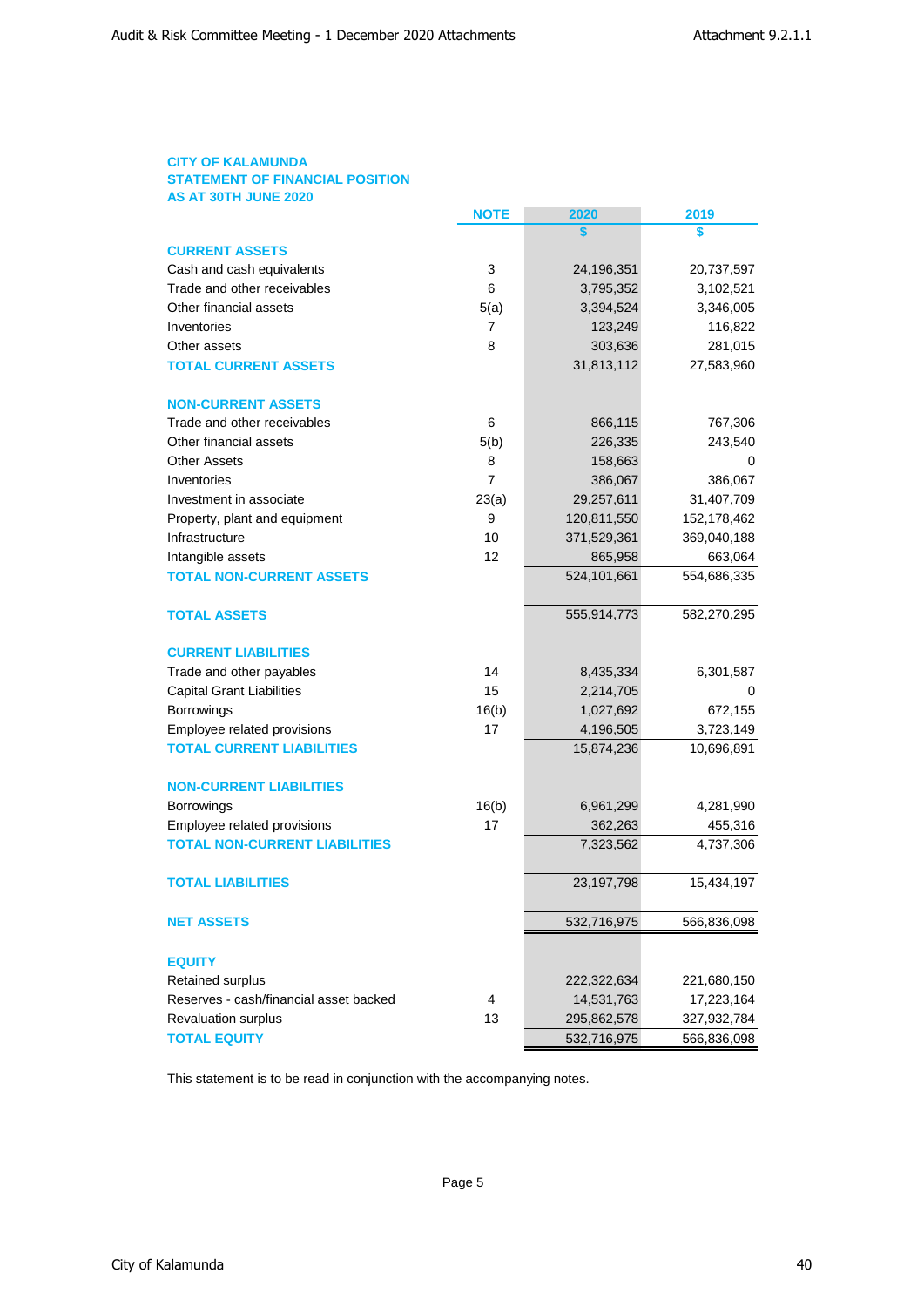# **CITY OF KALAMUNDA STATEMENT OF FINANCIAL POSITION AS AT 30TH JUNE 2020**

|                                                            | <b>NOTE</b>    | 2020                      | 2019        |
|------------------------------------------------------------|----------------|---------------------------|-------------|
|                                                            |                | S                         | \$          |
| <b>CURRENT ASSETS</b>                                      |                |                           |             |
| Cash and cash equivalents                                  | 3              | 24,196,351                | 20,737,597  |
| Trade and other receivables                                | 6              | 3,795,352                 | 3,102,521   |
| Other financial assets                                     | 5(a)           | 3,394,524                 | 3,346,005   |
| Inventories                                                | 7              | 123,249                   | 116,822     |
| Other assets                                               | 8              | 303,636                   | 281,015     |
| <b>TOTAL CURRENT ASSETS</b>                                |                | 31,813,112                | 27,583,960  |
| <b>NON-CURRENT ASSETS</b>                                  |                |                           |             |
| Trade and other receivables                                | 6              | 866,115                   | 767,306     |
| Other financial assets                                     | 5(b)           | 226,335                   | 243,540     |
| <b>Other Assets</b>                                        | 8              | 158,663                   | 0           |
| Inventories                                                | $\overline{7}$ | 386,067                   | 386,067     |
| Investment in associate                                    | 23(a)          | 29,257,611                | 31,407,709  |
| Property, plant and equipment                              | 9              | 120,811,550               | 152,178,462 |
| Infrastructure                                             | 10             | 371,529,361               | 369,040,188 |
| Intangible assets                                          | 12             | 865,958                   | 663,064     |
| <b>TOTAL NON-CURRENT ASSETS</b>                            |                | 524,101,661               | 554,686,335 |
| <b>TOTAL ASSETS</b>                                        |                | 555,914,773               | 582,270,295 |
| <b>CURRENT LIABILITIES</b>                                 |                |                           |             |
| Trade and other payables                                   | 14             | 8,435,334                 | 6,301,587   |
| <b>Capital Grant Liabilities</b>                           | 15             | 2,214,705                 | 0           |
| Borrowings                                                 | 16(b)          | 1,027,692                 | 672,155     |
| Employee related provisions                                | 17             | 4,196,505                 | 3,723,149   |
| <b>TOTAL CURRENT LIABILITIES</b>                           |                | 15,874,236                | 10,696,891  |
| <b>NON-CURRENT LIABILITIES</b>                             |                |                           |             |
| <b>Borrowings</b>                                          | 16(b)          | 6,961,299                 | 4,281,990   |
| Employee related provisions                                | 17             | 362,263                   | 455,316     |
| <b>TOTAL NON-CURRENT LIABILITIES</b>                       |                | 7,323,562                 | 4,737,306   |
| <b>TOTAL LIABILITIES</b>                                   |                | 23,197,798                | 15,434,197  |
| <b>NET ASSETS</b>                                          |                | 532,716,975               | 566,836,098 |
|                                                            |                |                           |             |
| <b>EQUITY</b>                                              |                |                           |             |
| Retained surplus<br>Reserves - cash/financial asset backed | 4              | 222,322,634<br>14,531,763 | 221,680,150 |
| Revaluation surplus                                        | 13             |                           | 17,223,164  |
| <b>TOTAL EQUITY</b>                                        |                | 295,862,578               | 327,932,784 |
|                                                            |                | 532,716,975               | 566,836,098 |

This statement is to be read in conjunction with the accompanying notes.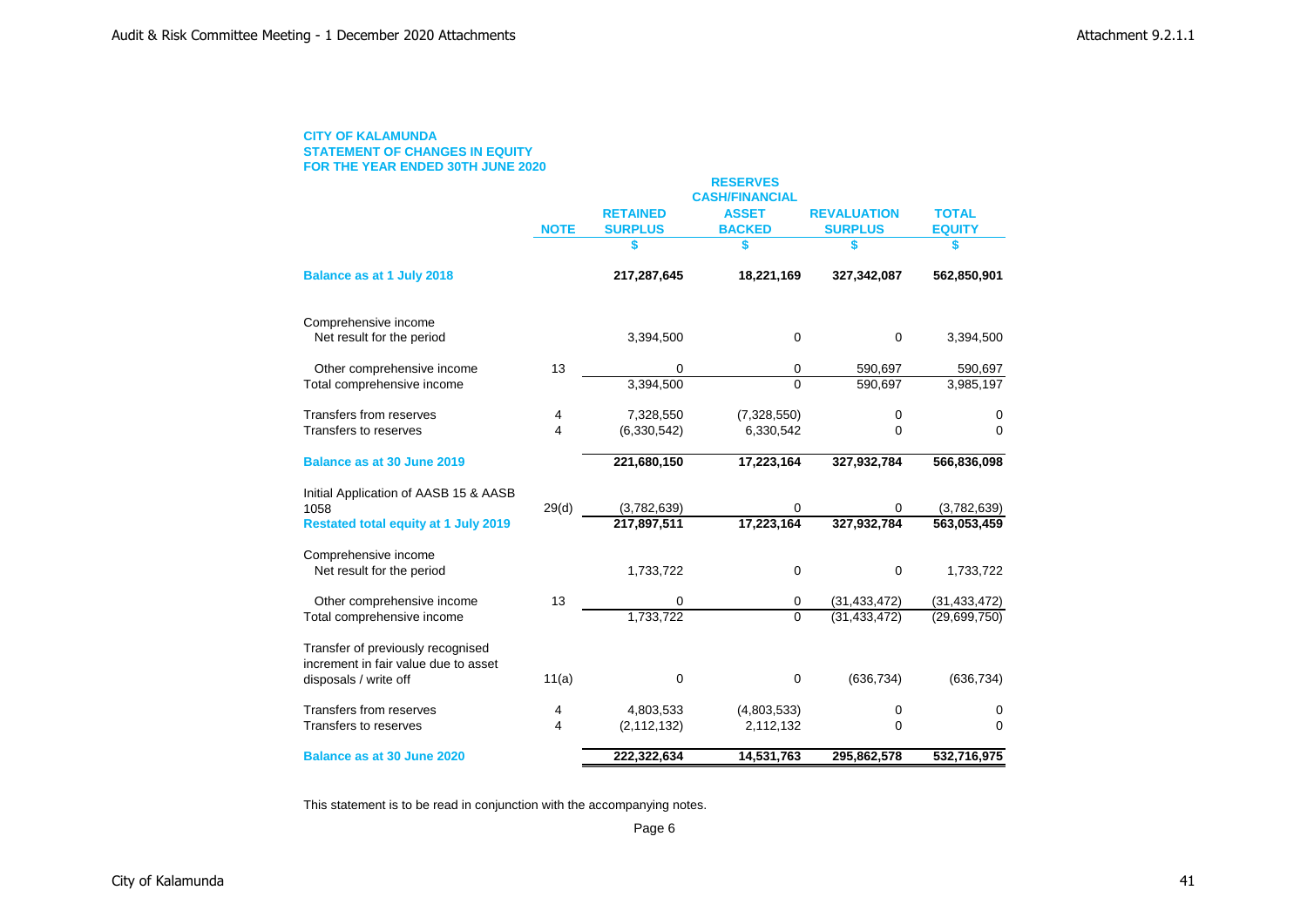# **CITY OF KALAMUNDA STATEMENT OF CHANGES IN EQUITY FOR THE YEAR ENDED 30TH JUNE 2020**

|                                                                           |             |                 | <b>RESERVES</b><br><b>CASH/FINANCIAL</b> |                    |                |
|---------------------------------------------------------------------------|-------------|-----------------|------------------------------------------|--------------------|----------------|
|                                                                           |             | <b>RETAINED</b> | <b>ASSET</b>                             | <b>REVALUATION</b> | <b>TOTAL</b>   |
|                                                                           | <b>NOTE</b> | <b>SURPLUS</b>  | <b>BACKED</b>                            | <b>SURPLUS</b>     | <b>EQUITY</b>  |
|                                                                           |             | S               | S                                        | S                  | S              |
| Balance as at 1 July 2018                                                 |             | 217,287,645     | 18,221,169                               | 327,342,087        | 562,850,901    |
| Comprehensive income                                                      |             |                 |                                          |                    |                |
| Net result for the period                                                 |             | 3,394,500       | 0                                        | $\mathbf 0$        | 3,394,500      |
| Other comprehensive income                                                | 13          | 0               | 0                                        | 590,697            | 590,697        |
| Total comprehensive income                                                |             | 3,394,500       | $\Omega$                                 | 590,697            | 3,985,197      |
| Transfers from reserves                                                   | 4           | 7,328,550       | (7,328,550)                              | 0                  | 0              |
| Transfers to reserves                                                     | 4           | (6,330,542)     | 6,330,542                                | 0                  | $\Omega$       |
| Balance as at 30 June 2019                                                |             | 221,680,150     | 17,223,164                               | 327,932,784        | 566,836,098    |
| Initial Application of AASB 15 & AASB                                     |             |                 |                                          |                    |                |
| 1058                                                                      | 29(d)       | (3,782,639)     | 0                                        | 0                  | (3,782,639)    |
| <b>Restated total equity at 1 July 2019</b>                               |             | 217,897,511     | 17,223,164                               | 327,932,784        | 563,053,459    |
| Comprehensive income                                                      |             |                 |                                          |                    |                |
| Net result for the period                                                 |             | 1,733,722       | $\mathbf 0$                              | 0                  | 1,733,722      |
| Other comprehensive income                                                | 13          | 0               | 0                                        | (31, 433, 472)     | (31, 433, 472) |
| Total comprehensive income                                                |             | 1,733,722       | $\Omega$                                 | (31, 433, 472)     | (29,699,750)   |
| Transfer of previously recognised<br>increment in fair value due to asset |             |                 |                                          |                    |                |
| disposals / write off                                                     | 11(a)       | 0               | $\mathbf 0$                              | (636, 734)         | (636, 734)     |
| Transfers from reserves                                                   | 4           | 4,803,533       | (4,803,533)                              | 0                  | 0              |
| Transfers to reserves                                                     | 4           | (2, 112, 132)   | 2,112,132                                | 0                  | $\mathbf 0$    |
| Balance as at 30 June 2020                                                |             | 222,322,634     | 14,531,763                               | 295,862,578        | 532,716,975    |

This statement is to be read in conjunction with the accompanying notes.

Page 6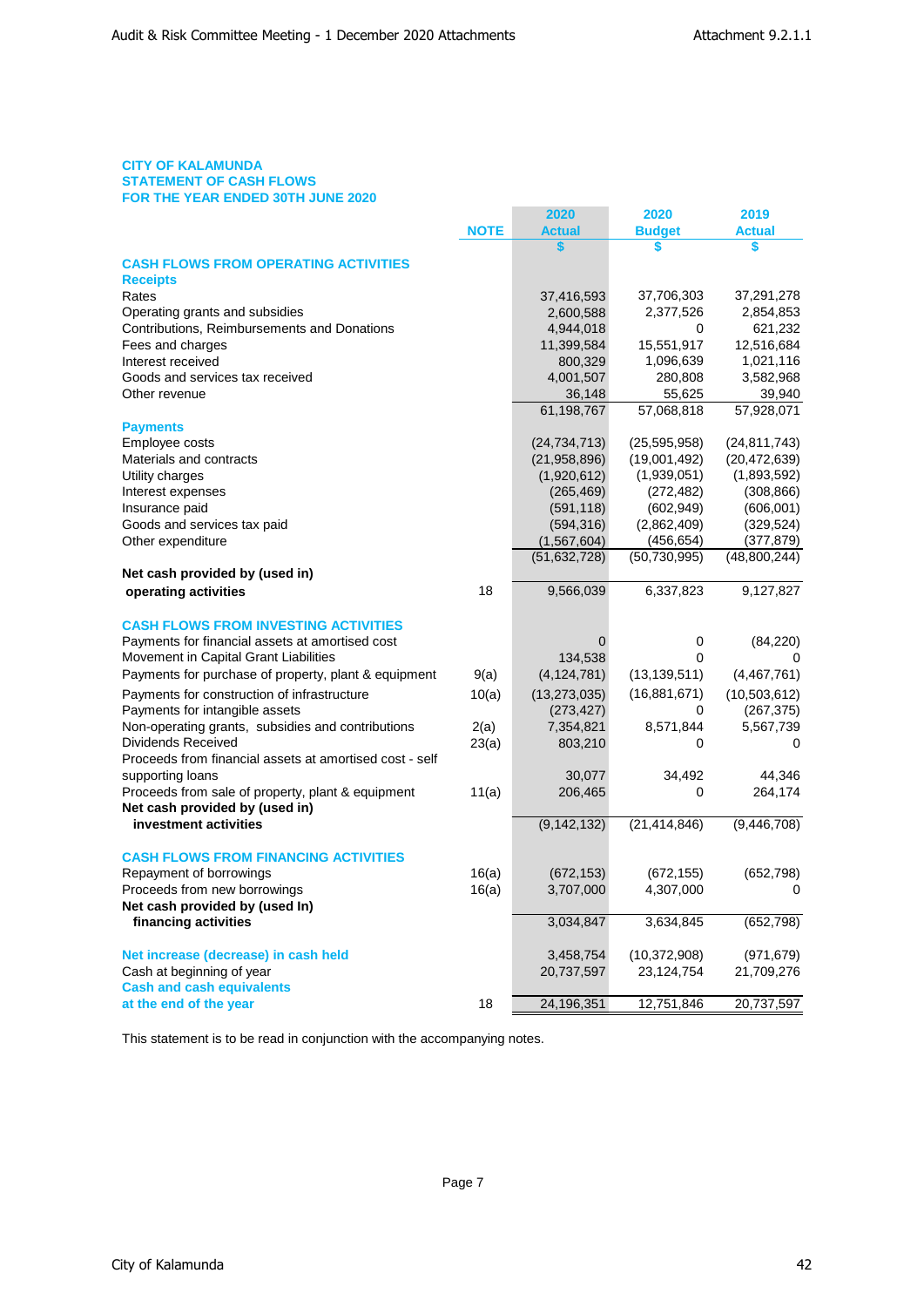# **CITY OF KALAMUNDA STATEMENT OF CASH FLOWS FOR THE YEAR ENDED 30TH JUNE 2020**

|                                                         |             | 2020                 | 2020                 | 2019                |
|---------------------------------------------------------|-------------|----------------------|----------------------|---------------------|
|                                                         | <b>NOTE</b> | <b>Actual</b>        | <b>Budget</b>        | <b>Actual</b>       |
|                                                         |             | \$                   | \$                   | \$                  |
| <b>CASH FLOWS FROM OPERATING ACTIVITIES</b>             |             |                      |                      |                     |
| <b>Receipts</b>                                         |             |                      |                      |                     |
| Rates                                                   |             | 37,416,593           | 37,706,303           | 37,291,278          |
| Operating grants and subsidies                          |             | 2,600,588            | 2,377,526            | 2,854,853           |
| Contributions, Reimbursements and Donations             |             | 4,944,018            | 0                    | 621,232             |
| Fees and charges<br>Interest received                   |             | 11,399,584           | 15,551,917           | 12,516,684          |
| Goods and services tax received                         |             | 800,329<br>4,001,507 | 1,096,639<br>280,808 | 1,021,116           |
| Other revenue                                           |             | 36,148               | 55,625               | 3,582,968<br>39,940 |
|                                                         |             | 61,198,767           | 57,068,818           | 57,928,071          |
| <b>Payments</b>                                         |             |                      |                      |                     |
| Employee costs                                          |             | (24, 734, 713)       | (25, 595, 958)       | (24, 811, 743)      |
| Materials and contracts                                 |             | (21, 958, 896)       | (19,001,492)         | (20, 472, 639)      |
| Utility charges                                         |             | (1,920,612)          | (1,939,051)          | (1,893,592)         |
| Interest expenses                                       |             | (265, 469)           | (272, 482)           | (308, 866)          |
| Insurance paid                                          |             | (591, 118)           | (602, 949)           | (606, 001)          |
| Goods and services tax paid                             |             | (594, 316)           | (2,862,409)          | (329, 524)          |
| Other expenditure                                       |             | (1, 567, 604)        | (456, 654)           | (377,879)           |
|                                                         |             | (51, 632, 728)       | (50, 730, 995)       | (48,800,244)        |
| Net cash provided by (used in)                          |             |                      |                      |                     |
| operating activities                                    | 18          | 9,566,039            | 6,337,823            | 9,127,827           |
|                                                         |             |                      |                      |                     |
| <b>CASH FLOWS FROM INVESTING ACTIVITIES</b>             |             |                      |                      |                     |
| Payments for financial assets at amortised cost         |             | 0                    | 0                    | (84, 220)           |
| Movement in Capital Grant Liabilities                   |             | 134,538              | 0                    | 0                   |
| Payments for purchase of property, plant & equipment    | 9(a)        | (4, 124, 781)        | (13, 139, 511)       | (4,467,761)         |
| Payments for construction of infrastructure             | 10(a)       | (13, 273, 035)       | (16,881,671)         | (10, 503, 612)      |
| Payments for intangible assets                          |             | (273, 427)           | 0                    | (267, 375)          |
| Non-operating grants, subsidies and contributions       | 2(a)        | 7,354,821            | 8,571,844            | 5,567,739           |
| Dividends Received                                      | 23(a)       | 803,210              | 0                    | $\Omega$            |
| Proceeds from financial assets at amortised cost - self |             |                      |                      |                     |
| supporting loans                                        |             | 30,077               | 34,492               | 44,346              |
| Proceeds from sale of property, plant & equipment       | 11(a)       | 206,465              | 0                    | 264,174             |
| Net cash provided by (used in)                          |             |                      |                      |                     |
| investment activities                                   |             | (9, 142, 132)        | (21, 414, 846)       | (9,446,708)         |
| <b>CASH FLOWS FROM FINANCING ACTIVITIES</b>             |             |                      |                      |                     |
| Repayment of borrowings                                 | 16(a)       | (672, 153)           | (672, 155)           | (652, 798)          |
| Proceeds from new borrowings                            | 16(a)       | 3,707,000            | 4,307,000            | 0                   |
| Net cash provided by (used In)                          |             |                      |                      |                     |
| financing activities                                    |             | 3,034,847            | 3,634,845            | (652, 798)          |
|                                                         |             |                      |                      |                     |
| Net increase (decrease) in cash held                    |             | 3,458,754            | (10, 372, 908)       | (971,679)           |
| Cash at beginning of year                               |             | 20,737,597           | 23,124,754           | 21,709,276          |
| <b>Cash and cash equivalents</b>                        |             |                      |                      |                     |
| at the end of the year                                  | 18          | 24,196,351           | 12,751,846           | 20,737,597          |

This statement is to be read in conjunction with the accompanying notes.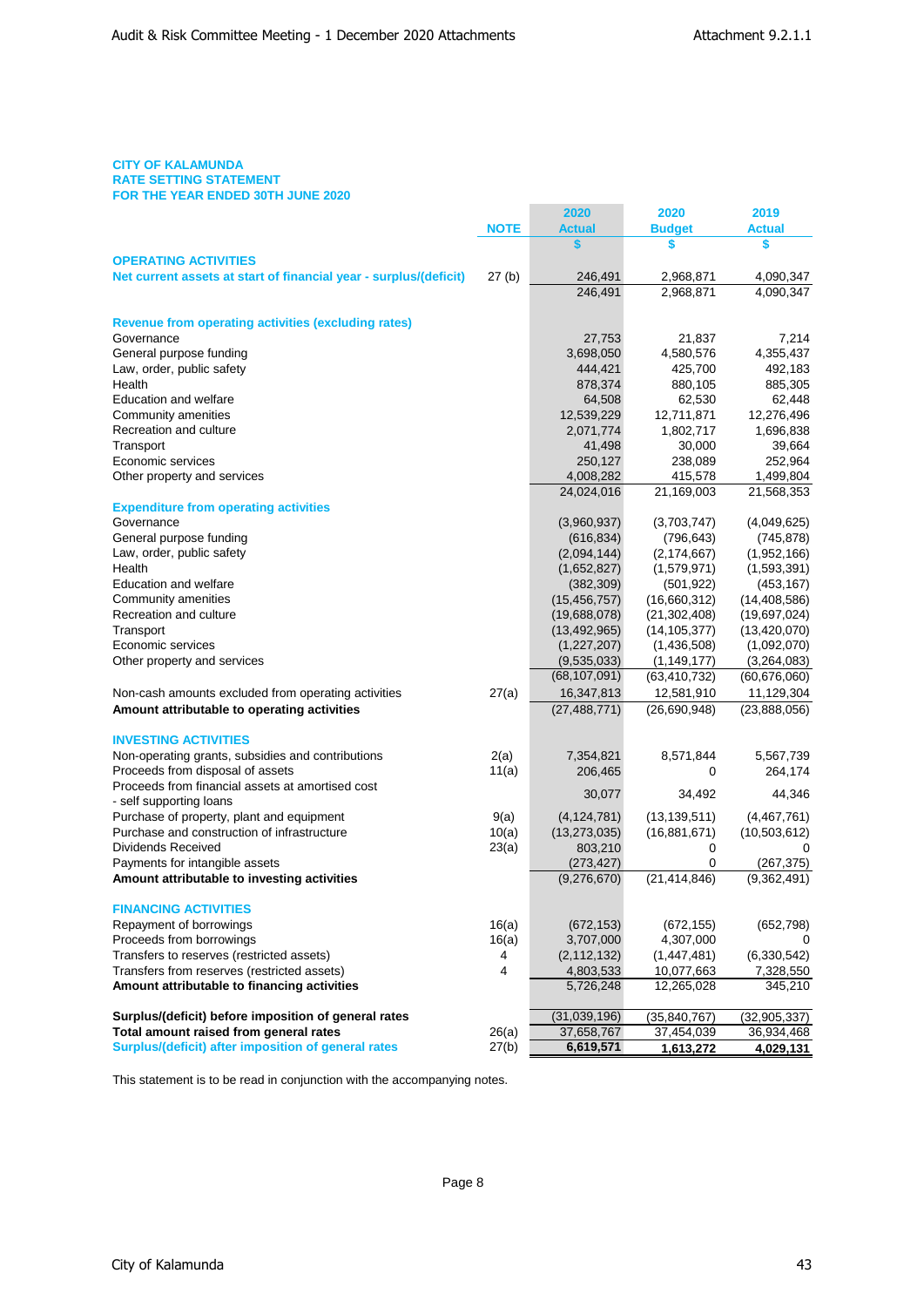# **CITY OF KALAMUNDA RATE SETTING STATEMENT FOR THE YEAR ENDED 30TH JUNE 2020**

|                                                                   |             | 2020           | 2020           | 2019                 |
|-------------------------------------------------------------------|-------------|----------------|----------------|----------------------|
|                                                                   | <b>NOTE</b> | <b>Actual</b>  | <b>Budget</b>  | <b>Actual</b>        |
|                                                                   |             | \$             | \$             | \$                   |
| <b>OPERATING ACTIVITIES</b>                                       |             |                |                |                      |
| Net current assets at start of financial year - surplus/(deficit) | 27(b)       | 246,491        | 2,968,871      | 4,090,347            |
|                                                                   |             | 246,491        | 2,968,871      | 4,090,347            |
| <b>Revenue from operating activities (excluding rates)</b>        |             |                |                |                      |
| Governance                                                        |             | 27,753         | 21,837         | 7,214                |
| General purpose funding                                           |             | 3,698,050      | 4,580,576      | 4,355,437            |
| Law, order, public safety                                         |             | 444,421        | 425,700        | 492,183              |
| Health                                                            |             | 878,374        | 880,105        | 885,305              |
| <b>Education and welfare</b>                                      |             | 64,508         | 62,530         | 62,448               |
| Community amenities                                               |             | 12,539,229     | 12,711,871     | 12,276,496           |
| Recreation and culture                                            |             | 2,071,774      | 1,802,717      | 1,696,838            |
| Transport                                                         |             | 41,498         | 30,000         | 39,664               |
| Economic services                                                 |             | 250,127        | 238,089        | 252,964              |
| Other property and services                                       |             | 4,008,282      | 415,578        | 1,499,804            |
| <b>Expenditure from operating activities</b>                      |             | 24,024,016     | 21,169,003     | 21,568,353           |
| Governance                                                        |             | (3,960,937)    | (3,703,747)    | (4,049,625)          |
| General purpose funding                                           |             | (616, 834)     | (796, 643)     | (745, 878)           |
| Law, order, public safety                                         |             | (2,094,144)    | (2, 174, 667)  | (1,952,166)          |
| Health                                                            |             | (1,652,827)    | (1,579,971)    | (1,593,391)          |
| <b>Education and welfare</b>                                      |             | (382, 309)     | (501, 922)     | (453, 167)           |
| Community amenities                                               |             | (15, 456, 757) | (16,660,312)   | (14, 408, 586)       |
| Recreation and culture                                            |             | (19,688,078)   | (21, 302, 408) | (19,697,024)         |
| Transport                                                         |             | (13, 492, 965) | (14, 105, 377) | (13, 420, 070)       |
| Economic services                                                 |             | (1, 227, 207)  | (1,436,508)    | (1,092,070)          |
| Other property and services                                       |             | (9,535,033)    | (1, 149, 177)  | (3,264,083)          |
|                                                                   |             | (68, 107, 091) | (63, 410, 732) | (60, 676, 060)       |
| Non-cash amounts excluded from operating activities               | 27(a)       | 16,347,813     | 12,581,910     | 11,129,304           |
| Amount attributable to operating activities                       |             | (27, 488, 771) | (26,690,948)   | (23,888,056)         |
| <b>INVESTING ACTIVITIES</b>                                       |             |                |                |                      |
| Non-operating grants, subsidies and contributions                 | 2(a)        | 7,354,821      | 8,571,844      | 5,567,739            |
| Proceeds from disposal of assets                                  | 11(a)       | 206,465        | 0              | 264,174              |
| Proceeds from financial assets at amortised cost                  |             |                |                | 44,346               |
| - self supporting loans                                           |             | 30,077         | 34,492         |                      |
| Purchase of property, plant and equipment                         | 9(a)        | (4, 124, 781)  | (13, 139, 511) | (4,467,761)          |
| Purchase and construction of infrastructure                       | 10(a)       | (13, 273, 035) | (16,881,671)   | (10, 503, 612)       |
| Dividends Received                                                | 23(a)       | 803,210        | 0              | 0                    |
| Payments for intangible assets                                    |             | (273, 427)     | 0              | (267, 375)           |
| Amount attributable to investing activities                       |             | (9,276,670)    | (21, 414, 846) | $\sqrt{(9,362,491)}$ |
| <b>FINANCING ACTIVITIES</b>                                       |             |                |                |                      |
| Repayment of borrowings                                           | 16(a)       | (672, 153)     | (672, 155)     | (652, 798)           |
| Proceeds from borrowings                                          | 16(a)       | 3,707,000      | 4,307,000      |                      |
| Transfers to reserves (restricted assets)                         | 4           | (2, 112, 132)  | (1,447,481)    | (6,330,542)          |
| Transfers from reserves (restricted assets)                       | 4           | 4,803,533      | 10,077,663     | 7,328,550            |
| Amount attributable to financing activities                       |             | 5,726,248      | 12,265,028     | 345,210              |
| Surplus/(deficit) before imposition of general rates              |             | (31,039,196)   | (35, 840, 767) | (32, 905, 337)       |
| Total amount raised from general rates                            | 26(a)       | 37,658,767     | 37,454,039     | 36,934,468           |
| Surplus/(deficit) after imposition of general rates               | 27(b)       | 6,619,571      | 1,613,272      | 4,029,131            |

This statement is to be read in conjunction with the accompanying notes.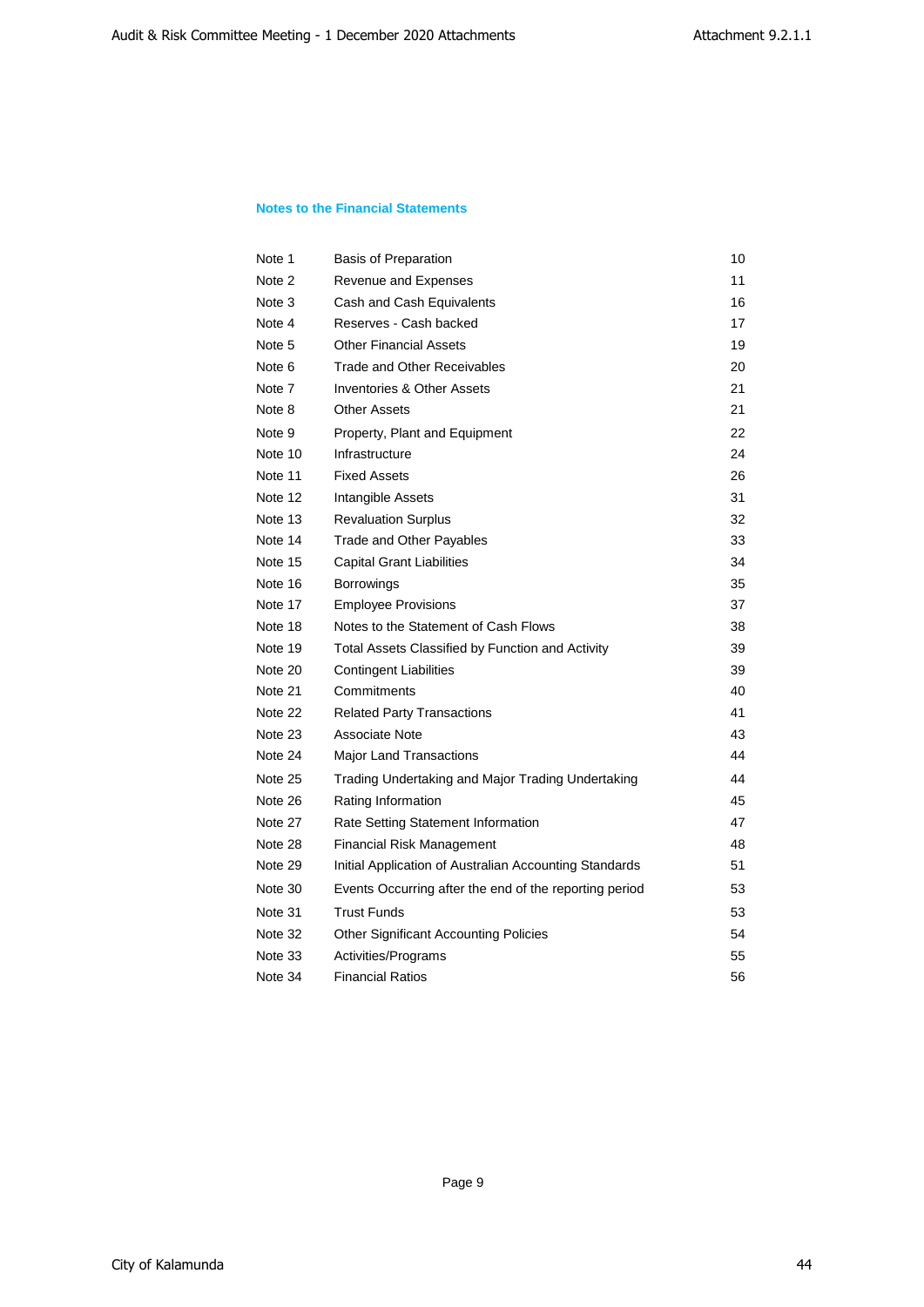# **Notes to the Financial Statements**

| Note 1  | <b>Basis of Preparation</b>                            | 10 |
|---------|--------------------------------------------------------|----|
| Note 2  | Revenue and Expenses                                   | 11 |
| Note 3  | Cash and Cash Equivalents                              | 16 |
| Note 4  | Reserves - Cash backed                                 | 17 |
| Note 5  | <b>Other Financial Assets</b>                          | 19 |
| Note 6  | Trade and Other Receivables                            | 20 |
| Note 7  | Inventories & Other Assets                             | 21 |
| Note 8  | <b>Other Assets</b>                                    | 21 |
| Note 9  | Property, Plant and Equipment                          | 22 |
| Note 10 | Infrastructure                                         | 24 |
| Note 11 | <b>Fixed Assets</b>                                    | 26 |
| Note 12 | Intangible Assets                                      | 31 |
| Note 13 | <b>Revaluation Surplus</b>                             | 32 |
| Note 14 | Trade and Other Payables                               | 33 |
| Note 15 | <b>Capital Grant Liabilities</b>                       | 34 |
| Note 16 | <b>Borrowings</b>                                      | 35 |
| Note 17 | <b>Employee Provisions</b>                             | 37 |
| Note 18 | Notes to the Statement of Cash Flows                   | 38 |
| Note 19 | Total Assets Classified by Function and Activity       | 39 |
| Note 20 | <b>Contingent Liabilities</b>                          | 39 |
| Note 21 | Commitments                                            | 40 |
| Note 22 | <b>Related Party Transactions</b>                      | 41 |
| Note 23 | Associate Note                                         | 43 |
| Note 24 | Major Land Transactions                                | 44 |
| Note 25 | Trading Undertaking and Major Trading Undertaking      | 44 |
| Note 26 | Rating Information                                     | 45 |
| Note 27 | Rate Setting Statement Information                     | 47 |
| Note 28 | <b>Financial Risk Management</b>                       | 48 |
| Note 29 | Initial Application of Australian Accounting Standards | 51 |
| Note 30 | Events Occurring after the end of the reporting period | 53 |
| Note 31 | <b>Trust Funds</b>                                     | 53 |
| Note 32 | <b>Other Significant Accounting Policies</b>           | 54 |
| Note 33 | Activities/Programs                                    | 55 |
| Note 34 | <b>Financial Ratios</b>                                | 56 |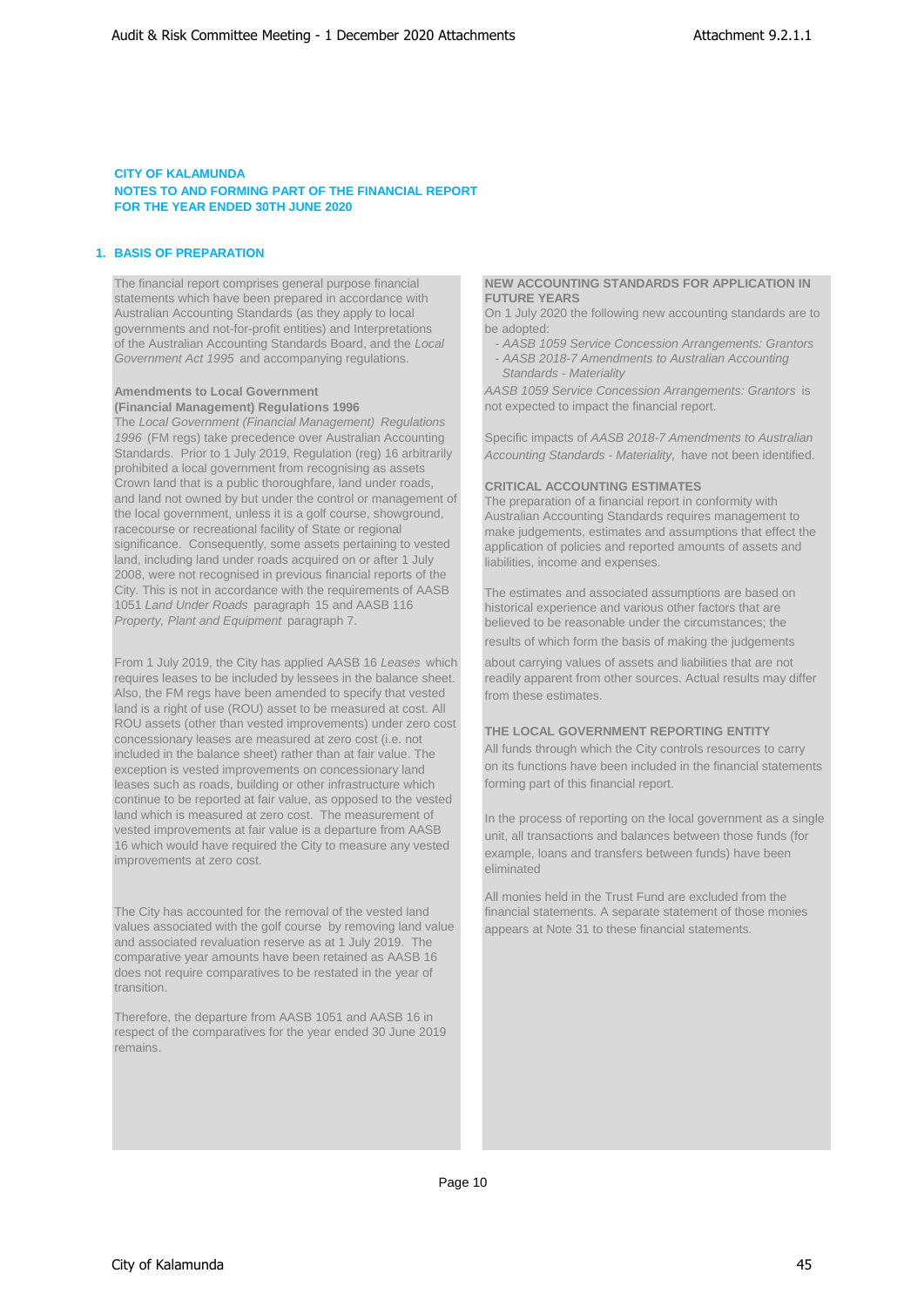# **1. BASIS OF PREPARATION**

The financial report comprises general purpose financial **NEW ACCOUNTING STANDARDS FOR APPLICATION IN**<br> **NEW ACCOUNTING STANDARDS FOR APPLICATION IN** statements which have been prepared in accordance with Australian Accounting Standards (as they apply to local governments and not-for-profit entities) and Interpretations be adopted: of the Australian Accounting Standards Board, and the *Local* - *AASB 1059 Service Concession Arrangements: Grantors Government Act 1995* and accompanying regulations.

**(Financial Management) Regulations 1996** 

The *Local Government (Financial Management) Regulations 1996* (FM regs) take precedence over Australian Accounting Standards. Prior to 1 July 2019, Regulation (reg) 16 arbitrarily prohibited a local government from recognising as assets Crown land that is a public thoroughfare, land under roads, and land not owned by but under the control or management of the local government, unless it is a golf course, showground, racecourse or recreational facility of State or regional significance. Consequently, some assets pertaining to vested land, including land under roads acquired on or after 1 July 2008, were not recognised in previous financial reports of the City. This is not in accordance with the requirements of AASB 1051 *Land Under Roads* paragraph 15 and AASB 116 *Property, Plant and Equipment* paragraph 7.

From 1 July 2019, the City has applied AASB 16 *Leases* which requires leases to be included by lessees in the balance sheet. Also, the FM regs have been amended to specify that vested land is a right of use (ROU) asset to be measured at cost. All ROU assets (other than vested improvements) under zero cost concessionary leases are measured at zero cost (i.e. not included in the balance sheet) rather than at fair value. The exception is vested improvements on concessionary land leases such as roads, building or other infrastructure which continue to be reported at fair value, as opposed to the vested land which is measured at zero cost. The measurement of vested improvements at fair value is a departure from AASB 16 which would have required the City to measure any vested improvements at zero cost.

The City has accounted for the removal of the vested land values associated with the golf course by removing land value and associated revaluation reserve as at 1 July 2019. The comparative year amounts have been retained as AASB 16 does not require comparatives to be restated in the year of transition.

Therefore, the departure from AASB 1051 and AASB 16 in respect of the comparatives for the year ended 30 June 2019 remains.

On 1 July 2020 the following new accounting standards are to

- 
- *Standards Materiality*

**Amendments to Local Government**<br> **AASB 1059 Service Concession Arrangements: Grantors** is<br> **(Financial Management) Regulations 1996**<br> **AASB 1059 Service Concession Arrangements: Grantors** is

Specific impacts of *AASB 2018-7 Amendments to Australian Accounting Standards - Materiality,* have not been identified.

# **CRITICAL ACCOUNTING ESTIMATES**

The preparation of a financial report in conformity with Australian Accounting Standards requires management to make judgements, estimates and assumptions that effect the application of policies and reported amounts of assets and liabilities, income and expenses.

The estimates and associated assumptions are based on historical experience and various other factors that are believed to be reasonable under the circumstances; the results of which form the basis of making the judgements

about carrying values of assets and liabilities that are not readily apparent from other sources. Actual results may differ from these estimates.

### **THE LOCAL GOVERNMENT REPORTING ENTITY**

All funds through which the City controls resources to carry on its functions have been included in the financial statements forming part of this financial report.

In the process of reporting on the local government as a single unit, all transactions and balances between those funds (for example, loans and transfers between funds) have been eliminated

All monies held in the Trust Fund are excluded from the financial statements. A separate statement of those monies appears at Note 31 to these financial statements.

Page 10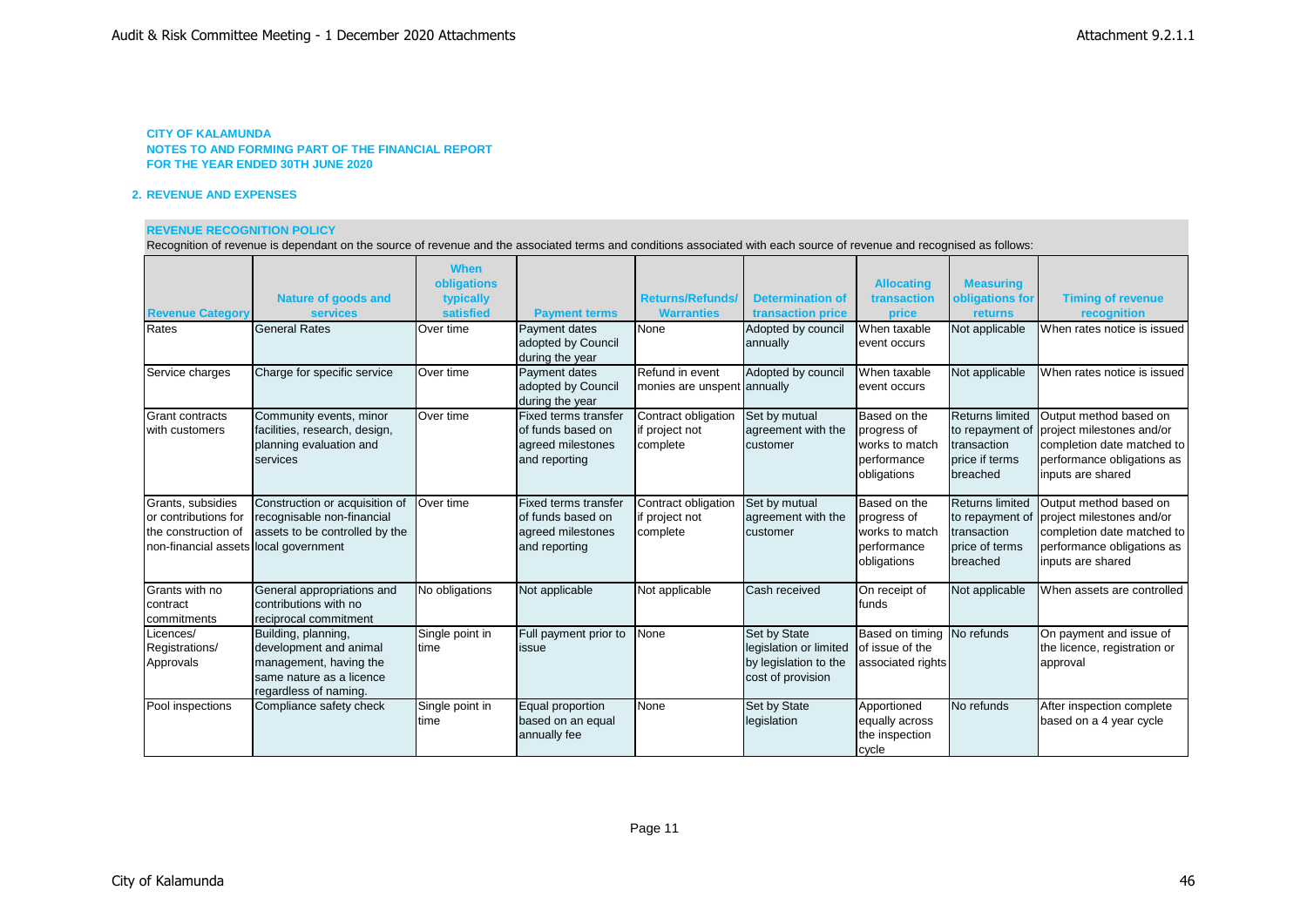# **CITY OF KALAMUNDA NOTES TO AND FORMING PART OF THE FINANCIAL REPORT**

**FOR THE YEAR ENDED 30TH JUNE 2020**

## **2. REVENUE AND EXPENSES**

### **REVENUE RECOGNITION POLICY**

Recognition of revenue is dependant on the source of revenue and the associated terms and conditions associated with each source of revenue and recognised as follows:

| <b>Revenue Category</b><br>Rates                                                                          | <b>Nature of goods and</b><br><b>services</b><br><b>General Rates</b>                                                        | <b>When</b><br>obligations<br>typically<br>satisfied<br>Over time | <b>Payment terms</b><br>Payment dates<br>adopted by Council                            | <b>Returns/Refunds/</b><br><b>Warranties</b><br>None | <b>Determination of</b><br>transaction price<br>Adopted by council<br>annually       | <b>Allocating</b><br>transaction<br>price<br>When taxable<br>event occurs   | <b>Measuring</b><br>obligations for<br>returns<br>Not applicable                       | <b>Timing of revenue</b><br>recognition<br>When rates notice is issued                                                               |
|-----------------------------------------------------------------------------------------------------------|------------------------------------------------------------------------------------------------------------------------------|-------------------------------------------------------------------|----------------------------------------------------------------------------------------|------------------------------------------------------|--------------------------------------------------------------------------------------|-----------------------------------------------------------------------------|----------------------------------------------------------------------------------------|--------------------------------------------------------------------------------------------------------------------------------------|
| Service charges                                                                                           | Charge for specific service                                                                                                  | Over time                                                         | during the year<br><b>Payment dates</b><br>adopted by Council<br>during the year       | Refund in event<br>monies are unspent annually       | Adopted by council                                                                   | When taxable<br>event occurs                                                | Not applicable                                                                         | When rates notice is issued                                                                                                          |
| <b>Grant contracts</b><br>with customers                                                                  | Community events, minor<br>facilities, research, design,<br>planning evaluation and<br>services                              | Over time                                                         | Fixed terms transfer<br>of funds based on<br>agreed milestones<br>and reporting        | Contract obligation<br>if project not<br>complete    | Set by mutual<br>agreement with the<br>customer                                      | Based on the<br>progress of<br>works to match<br>performance<br>obligations | <b>Returns limited</b><br>to repayment of<br>transaction<br>price if terms<br>breached | Output method based on<br>project milestones and/or<br>completion date matched to<br>performance obligations as<br>inputs are shared |
| Grants, subsidies<br>or contributions for<br>the construction of<br>non-financial assets local government | Construction or acquisition of<br>recognisable non-financial<br>assets to be controlled by the                               | Over time                                                         | <b>Fixed terms transfer</b><br>of funds based on<br>agreed milestones<br>and reporting | Contract obligation<br>if project not<br>complete    | Set by mutual<br>agreement with the<br>customer                                      | Based on the<br>progress of<br>works to match<br>performance<br>obligations | <b>Returns limited</b><br>to repayment of<br>transaction<br>price of terms<br>breached | Output method based on<br>project milestones and/or<br>completion date matched to<br>performance obligations as<br>inputs are shared |
| Grants with no<br>contract<br>commitments                                                                 | General appropriations and<br>contributions with no<br>reciprocal commitment                                                 | No obligations                                                    | Not applicable                                                                         | Not applicable                                       | Cash received                                                                        | On receipt of<br><b>Ifunds</b>                                              | Not applicable                                                                         | When assets are controlled                                                                                                           |
| Licences/<br>Registrations/<br>Approvals                                                                  | Building, planning,<br>development and animal<br>management, having the<br>same nature as a licence<br>regardless of naming. | Single point in<br>Itime                                          | Full payment prior to<br>issue                                                         | None                                                 | Set by State<br>legislation or limited<br>by legislation to the<br>cost of provision | Based on timing<br>lof issue of the<br>associated rights                    | No refunds                                                                             | On payment and issue of<br>the licence, registration or<br>approval                                                                  |
| Pool inspections                                                                                          | Compliance safety check                                                                                                      | Single point in<br>Itime                                          | Equal proportion<br>based on an equal<br>annually fee                                  | None                                                 | Set by State<br>legislation                                                          | Apportioned<br>equally across<br>the inspection<br>cycle                    | No refunds                                                                             | After inspection complete<br>based on a 4 year cycle                                                                                 |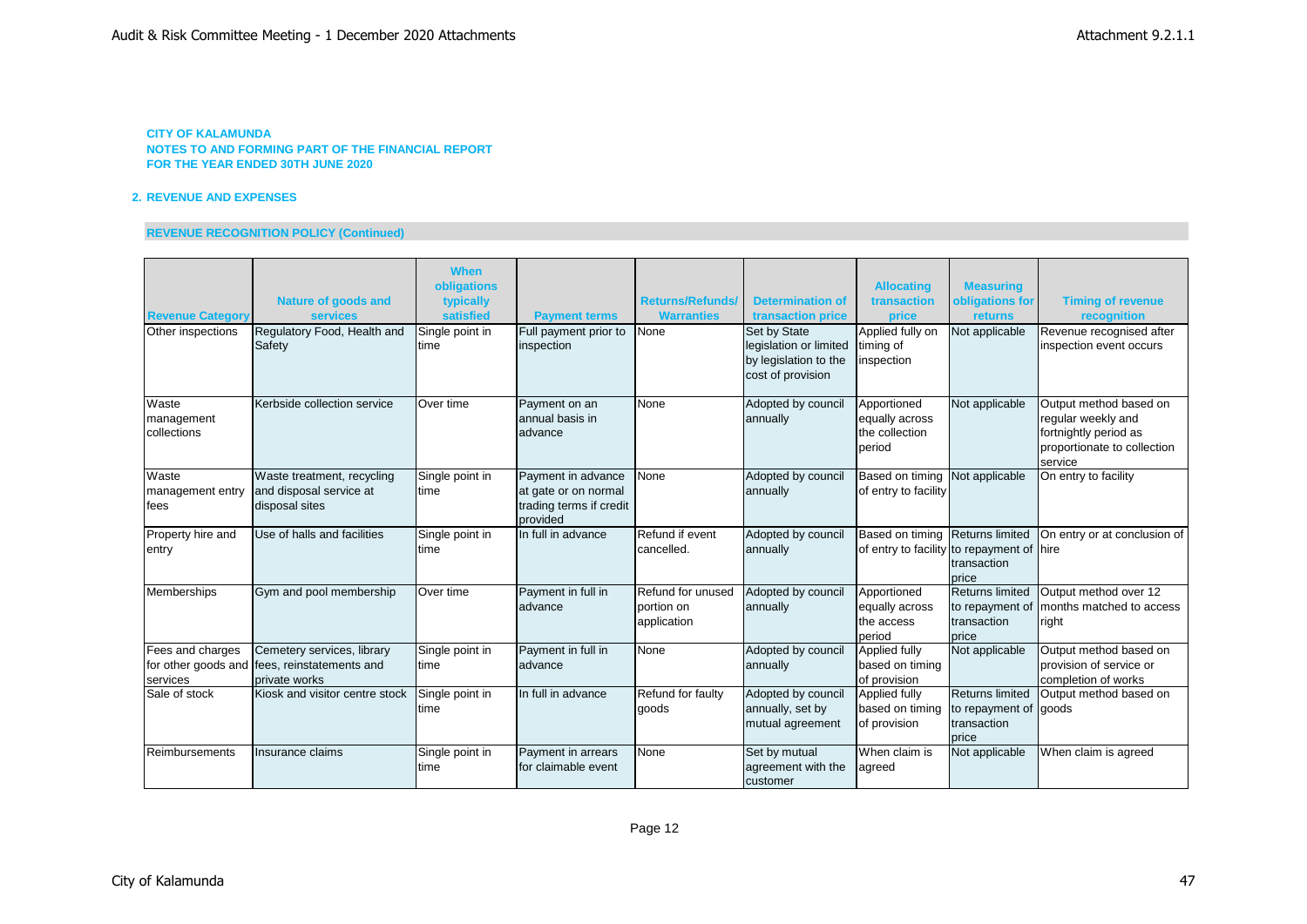# **2. REVENUE AND EXPENSES**

# **REVENUE RECOGNITION POLICY (Continued)**

|                         |                                              | <b>When</b><br>obligations |                                           |                         |                                                 | <b>Allocating</b>                         | <b>Measuring</b>                |                                        |
|-------------------------|----------------------------------------------|----------------------------|-------------------------------------------|-------------------------|-------------------------------------------------|-------------------------------------------|---------------------------------|----------------------------------------|
|                         | <b>Nature of goods and</b>                   | typically                  |                                           | <b>Returns/Refunds/</b> | <b>Determination of</b>                         | transaction                               | obligations for                 | <b>Timing of revenue</b>               |
| <b>Revenue Category</b> | <b>services</b>                              | satisfied                  | <b>Payment terms</b>                      | <b>Warranties</b>       | transaction price                               | price                                     | returns                         | recognition                            |
| Other inspections       | Regulatory Food, Health and                  | Single point in            | Full payment prior to                     | None                    | Set by State                                    | Applied fully on                          | Not applicable                  | Revenue recognised after               |
|                         | Safety                                       | time                       | inspection                                |                         | legislation or limited<br>by legislation to the | timing of<br>inspection                   |                                 | inspection event occurs                |
|                         |                                              |                            |                                           |                         | cost of provision                               |                                           |                                 |                                        |
| Waste                   | Kerbside collection service                  | Over time                  | Payment on an                             | None                    | Adopted by council                              | Apportioned                               | Not applicable                  | Output method based on                 |
| management              |                                              |                            | annual basis in                           |                         | annually                                        | equally across                            |                                 | regular weekly and                     |
| collections             |                                              |                            | advance                                   |                         |                                                 | the collection                            |                                 | fortnightly period as                  |
|                         |                                              |                            |                                           |                         |                                                 | period                                    |                                 | proportionate to collection<br>service |
| Waste                   | Waste treatment, recycling                   | Single point in            | Payment in advance                        | None                    | Adopted by council                              | Based on timing                           | Not applicable                  | On entry to facility                   |
| management entry        | and disposal service at                      | time                       | at gate or on normal                      |                         | annually                                        | of entry to facility                      |                                 |                                        |
| fees                    | disposal sites                               |                            | trading terms if credit<br>provided       |                         |                                                 |                                           |                                 |                                        |
| Property hire and       | Use of halls and facilities                  | Single point in            | In full in advance                        | Refund if event         | Adopted by council                              | Based on timing Returns limited           |                                 | On entry or at conclusion of           |
| entry                   |                                              | ltime                      |                                           | cancelled.              | annually                                        | of entry to facility to repayment of hire |                                 |                                        |
|                         |                                              |                            |                                           |                         |                                                 |                                           | transaction                     |                                        |
| Memberships             | Gym and pool membership                      | Over time                  | Payment in full in                        | Refund for unused       | Adopted by council                              | Apportioned                               | price<br><b>Returns limited</b> | Output method over 12                  |
|                         |                                              |                            | advance                                   | portion on              | annually                                        | equally across                            | to repayment of                 | months matched to access               |
|                         |                                              |                            |                                           | application             |                                                 | the access                                | transaction                     | right                                  |
|                         |                                              |                            |                                           |                         |                                                 | period                                    | price                           |                                        |
| Fees and charges        | Cemetery services, library                   | Single point in            | Payment in full in                        | None                    | Adopted by council                              | Applied fully                             | Not applicable                  | Output method based on                 |
|                         | for other goods and fees, reinstatements and | time                       | advance                                   |                         | annually                                        | based on timing                           |                                 | provision of service or                |
| services                | private works                                |                            |                                           |                         |                                                 | of provision                              |                                 | completion of works                    |
| Sale of stock           | Kiosk and visitor centre stock               | Single point in            | In full in advance                        | Refund for faulty       | Adopted by council                              | Applied fully                             | <b>Returns limited</b>          | Output method based on                 |
|                         |                                              | time                       |                                           | goods                   | annually, set by                                | based on timing                           | to repayment of goods           |                                        |
|                         |                                              |                            |                                           |                         | mutual agreement                                | of provision                              | transaction                     |                                        |
|                         |                                              |                            |                                           |                         |                                                 |                                           | price                           |                                        |
| Reimbursements          | Insurance claims                             | Single point in            | Payment in arrears<br>for claimable event | None                    | Set by mutual                                   | When claim is                             | Not applicable                  | When claim is agreed                   |
|                         |                                              | time                       |                                           |                         | agreement with the<br>customer                  | agreed                                    |                                 |                                        |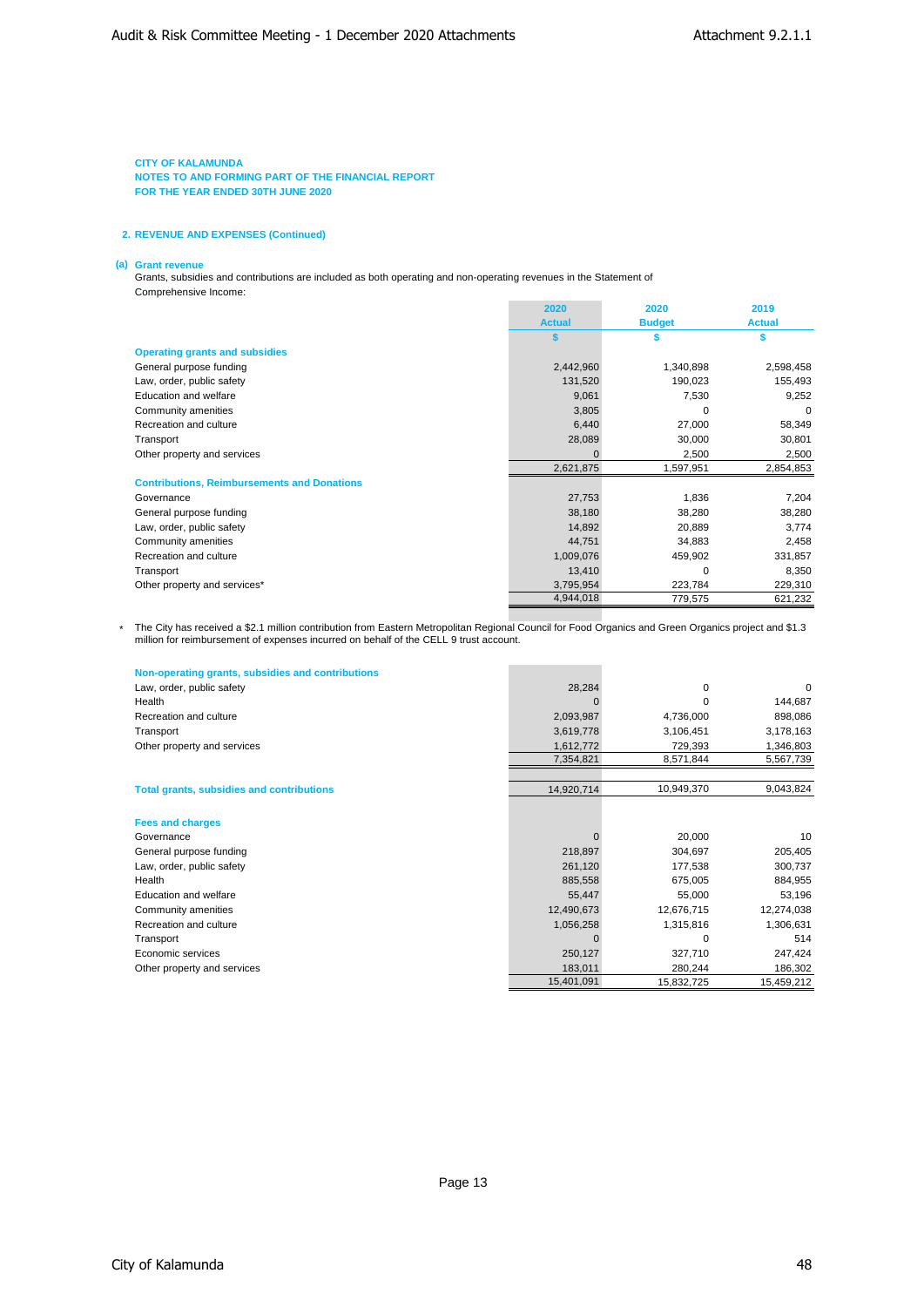**NOTES TO AND FORMING PART OF THE FINANCIAL REPORT FOR THE YEAR ENDED 30TH JUNE 2020**

### **2. REVENUE AND EXPENSES (Continued)**

#### **(a) Grant revenue**

Grants, subsidies and contributions are included as both operating and non-operating revenues in the Statement of Comprehensive Income:

|                                                    | 2020          | 2020          | 2019          |
|----------------------------------------------------|---------------|---------------|---------------|
|                                                    | <b>Actual</b> | <b>Budget</b> | <b>Actual</b> |
|                                                    | S             |               | S             |
| <b>Operating grants and subsidies</b>              |               |               |               |
| General purpose funding                            | 2,442,960     | 1,340,898     | 2,598,458     |
| Law, order, public safety                          | 131,520       | 190,023       | 155,493       |
| Education and welfare                              | 9,061         | 7,530         | 9,252         |
| Community amenities                                | 3,805         | $\Omega$      | $\Omega$      |
| Recreation and culture                             | 6,440         | 27,000        | 58,349        |
| Transport                                          | 28,089        | 30,000        | 30,801        |
| Other property and services                        |               | 2,500         | 2,500         |
|                                                    | 2,621,875     | 1,597,951     | 2,854,853     |
| <b>Contributions, Reimbursements and Donations</b> |               |               |               |
| Governance                                         | 27,753        | 1,836         | 7,204         |
| General purpose funding                            | 38,180        | 38,280        | 38,280        |
| Law, order, public safety                          | 14,892        | 20,889        | 3,774         |
| Community amenities                                | 44,751        | 34,883        | 2,458         |
| Recreation and culture                             | 1,009,076     | 459,902       | 331,857       |
| Transport                                          | 13,410        | $\Omega$      | 8,350         |
| Other property and services*                       | 3,795,954     | 223,784       | 229,310       |
|                                                    | 4,944,018     | 779,575       | 621,232       |

\* The City has received a \$2.1 million contribution from Eastern Metropolitan Regional Council for Food Organics and Green Organics project and \$1.3 million for reimbursement of expenses incurred on behalf of the CELL 9 trust account.

| Non-operating grants, subsidies and contributions |            |            |            |
|---------------------------------------------------|------------|------------|------------|
| Law, order, public safety                         | 28,284     | $\Omega$   | $\Omega$   |
| Health                                            |            | $\Omega$   | 144,687    |
| Recreation and culture                            | 2,093,987  | 4,736,000  | 898,086    |
| Transport                                         | 3,619,778  | 3,106,451  | 3,178,163  |
| Other property and services                       | 1,612,772  | 729,393    | 1,346,803  |
|                                                   | 7,354,821  | 8,571,844  | 5,567,739  |
|                                                   |            |            |            |
| <b>Total grants, subsidies and contributions</b>  | 14,920,714 | 10,949,370 | 9,043,824  |
|                                                   |            |            |            |
| <b>Fees and charges</b>                           |            |            |            |
| Governance                                        |            | 20,000     | 10         |
| General purpose funding                           | 218,897    | 304,697    | 205,405    |
| Law, order, public safety                         | 261,120    | 177,538    | 300,737    |
| Health                                            | 885,558    | 675,005    | 884,955    |
| Education and welfare                             | 55,447     | 55,000     | 53,196     |
| Community amenities                               | 12,490,673 | 12,676,715 | 12,274,038 |
| Recreation and culture                            | 1,056,258  | 1,315,816  | 1,306,631  |
| Transport                                         |            | $\Omega$   | 514        |
| Economic services                                 | 250,127    | 327,710    | 247,424    |
| Other property and services                       | 183,011    | 280,244    | 186,302    |
|                                                   | 15,401,091 | 15,832,725 | 15,459,212 |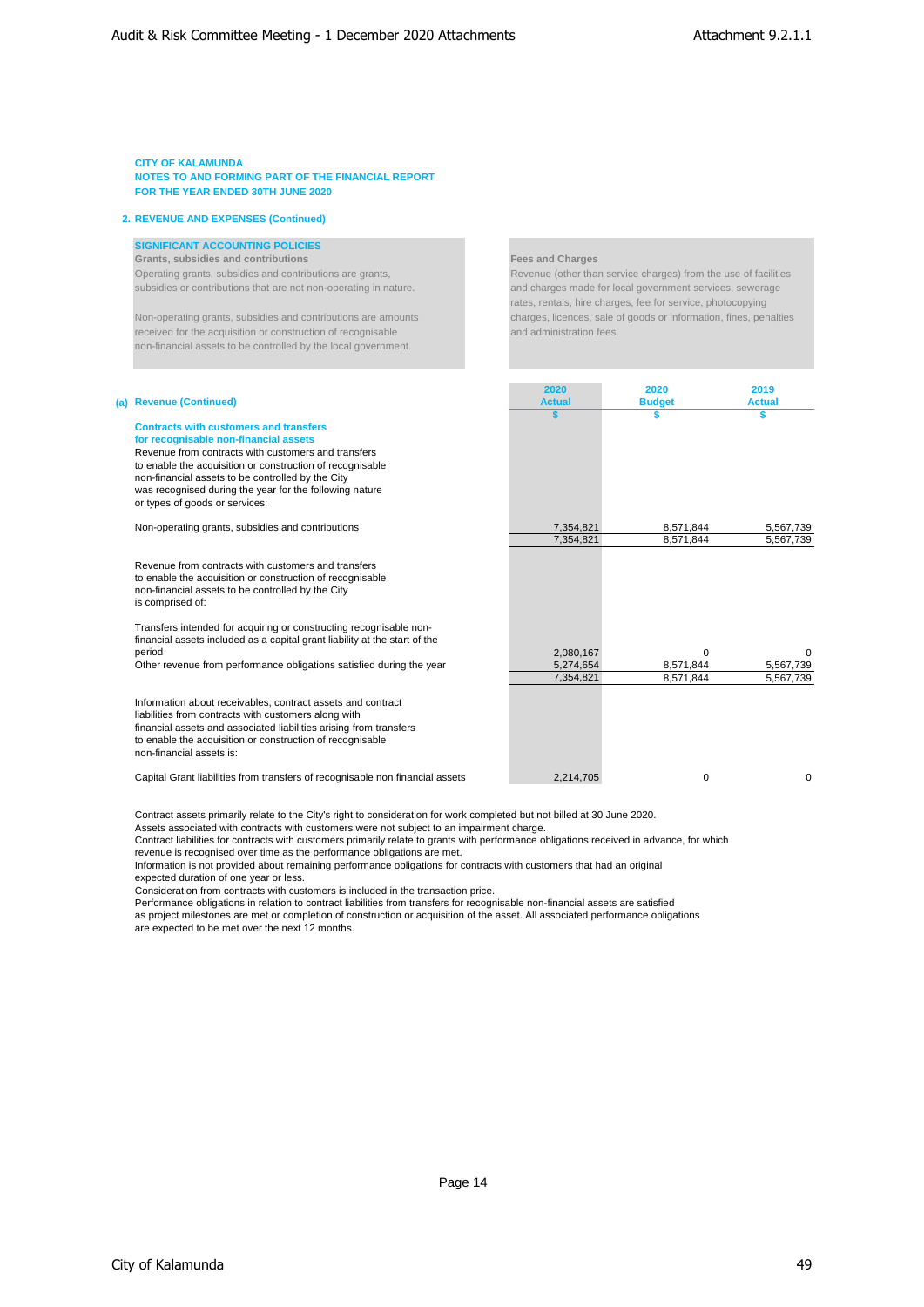**NOTES TO AND FORMING PART OF THE FINANCIAL REPORT FOR THE YEAR ENDED 30TH JUNE 2020**

### **2. REVENUE AND EXPENSES (Continued)**

# **SIGNIFICANT ACCOUNTING POLICIES**

**Grants, subsidies and contributions Fees and Charges** Operating grants, subsidies and contributions are grants, Revenue (other than service charges) from the use of facilities subsidies or contributions that are not non-operating in nature. <br>
and charges made for local government services, sewerage

received for the acquisition or construction of recognisable and administration fees. non-financial assets to be controlled by the local government.

rates, rentals, hire charges, fee for service, photocopying Non-operating grants, subsidies and contributions are amounts charges, licences, sale of goods or information, fines, penalties

|                                                                                                                                                                                                                                                                                                                                                              | 2020          | 2020          | 2019          |
|--------------------------------------------------------------------------------------------------------------------------------------------------------------------------------------------------------------------------------------------------------------------------------------------------------------------------------------------------------------|---------------|---------------|---------------|
| (a) Revenue (Continued)                                                                                                                                                                                                                                                                                                                                      | <b>Actual</b> | <b>Budget</b> | <b>Actual</b> |
| <b>Contracts with customers and transfers</b><br>for recognisable non-financial assets<br>Revenue from contracts with customers and transfers<br>to enable the acquisition or construction of recognisable<br>non-financial assets to be controlled by the City<br>was recognised during the year for the following nature<br>or types of goods or services: |               | \$            | S.            |
| Non-operating grants, subsidies and contributions                                                                                                                                                                                                                                                                                                            | 7.354.821     | 8,571,844     | 5,567,739     |
|                                                                                                                                                                                                                                                                                                                                                              | 7,354,821     | 8,571,844     | 5,567,739     |
| Revenue from contracts with customers and transfers<br>to enable the acquisition or construction of recognisable<br>non-financial assets to be controlled by the City<br>is comprised of:<br>Transfers intended for acquiring or constructing recognisable non-                                                                                              |               |               |               |
| financial assets included as a capital grant liability at the start of the                                                                                                                                                                                                                                                                                   |               |               |               |
| period                                                                                                                                                                                                                                                                                                                                                       | 2,080,167     | $\Omega$      | $\Omega$      |
| Other revenue from performance obligations satisfied during the year                                                                                                                                                                                                                                                                                         | 5.274.654     | 8,571,844     | 5,567,739     |
|                                                                                                                                                                                                                                                                                                                                                              | 7,354,821     | 8,571,844     | 5,567,739     |
| Information about receivables, contract assets and contract<br>liabilities from contracts with customers along with<br>financial assets and associated liabilities arising from transfers<br>to enable the acquisition or construction of recognisable<br>non-financial assets is:                                                                           |               |               |               |
| Capital Grant liabilities from transfers of recognisable non financial assets                                                                                                                                                                                                                                                                                | 2.214.705     | 0             | 0             |

Contract assets primarily relate to the City's right to consideration for work completed but not billed at 30 June 2020. Assets associated with contracts with customers were not subject to an impairment charge.

Contract liabilities for contracts with customers primarily relate to grants with performance obligations received in advance, for which revenue is recognised over time as the performance obligations are met.

Information is not provided about remaining performance obligations for contracts with customers that had an original

expected duration of one year or less.

Consideration from contracts with customers is included in the transaction price.

Performance obligations in relation to contract liabilities from transfers for recognisable non-financial assets are satisfied as project milestones are met or completion of construction or acquisition of the asset. All associated performance obligations are expected to be met over the next 12 months.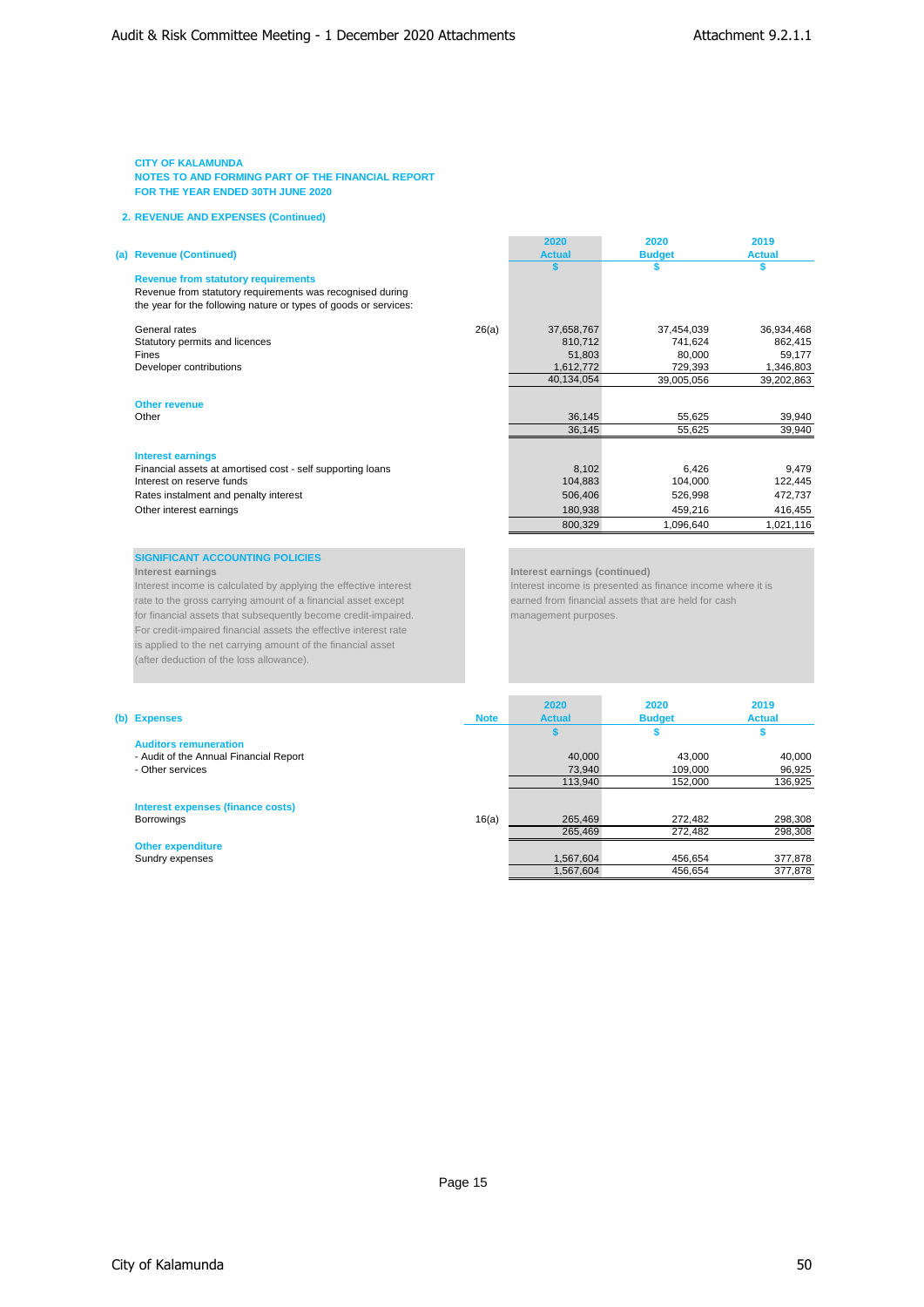**NOTES TO AND FORMING PART OF THE FINANCIAL REPORT FOR THE YEAR ENDED 30TH JUNE 2020**

#### **2. REVENUE AND EXPENSES (Continued)**

### **(a) Revenue (Continued)**

### **Revenue from statutory requirements**

# **Other revenue**

#### **Interest earnings**

| <b>Revenue (Continued)</b>                                       |       | <b>Actual</b> | <b>Budget</b> | <b>Actual</b> |
|------------------------------------------------------------------|-------|---------------|---------------|---------------|
|                                                                  |       |               |               |               |
| <b>Revenue from statutory requirements</b>                       |       |               |               |               |
| Revenue from statutory requirements was recognised during        |       |               |               |               |
| the year for the following nature or types of goods or services: |       |               |               |               |
| General rates                                                    | 26(a) | 37,658,767    | 37,454,039    | 36,934,468    |
| Statutory permits and licences                                   |       | 810,712       | 741,624       | 862,415       |
| Fines                                                            |       | 51.803        | 80,000        | 59,177        |
| Developer contributions                                          |       | 1,612,772     | 729,393       | 1,346,803     |
|                                                                  |       | 40,134,054    | 39,005,056    | 39,202,863    |
| <b>Other revenue</b>                                             |       |               |               |               |
| Other                                                            |       | 36.145        | 55.625        | 39,940        |
|                                                                  |       | 36,145        | 55,625        | 39,940        |
|                                                                  |       |               |               |               |
| <b>Interest earnings</b>                                         |       |               |               |               |
| Financial assets at amortised cost - self supporting loans       |       | 8,102         | 6,426         | 9,479         |
| Interest on reserve funds                                        |       | 104,883       | 104,000       | 122,445       |
| Rates instalment and penalty interest                            |       | 506,406       | 526,998       | 472,737       |
| Other interest earnings                                          |       | 180,938       | 459.216       | 416,455       |
|                                                                  |       | 800,329       | 1,096,640     | 1,021,116     |

**2020 2020 2019**

# **SIGNIFICANT ACCOUNTING POLICIES**<br>Interest earnings

Interest income is calculated by applying the effective interest **Interest income is presented as finance income** where it is rate to the gross carrying amount of a financial asset except except earned from financial assets that are held for cash for financial assets that subsequently become credit-impaired. management purposes. For credit-impaired financial assets the effective interest rate is applied to the net carrying amount of the financial asset (after deduction of the loss allowance).

#### **Interest earnings Interest earnings (continued)**

1,567,604 456,654 377,878

| (b) Expenses                           | <b>Note</b> | 2020<br><b>Actual</b> | 2020<br><b>Budget</b> | 2019<br><b>Actual</b> |
|----------------------------------------|-------------|-----------------------|-----------------------|-----------------------|
| <b>Auditors remuneration</b>           |             |                       |                       |                       |
| - Audit of the Annual Financial Report |             | 40,000                | 43.000                | 40,000                |
| - Other services                       |             | 73,940                | 109,000               | 96,925                |
|                                        |             | 113.940               | 152,000               | 136,925               |
| Interest expenses (finance costs)      |             |                       |                       |                       |
| <b>Borrowings</b>                      | 16(a)       | 265.469               | 272.482               | 298,308               |
|                                        |             | 265.469               | 272.482               | 298,308               |
| <b>Other expenditure</b>               |             |                       |                       |                       |

Sundry expenses 1,567,604 456,654 377,878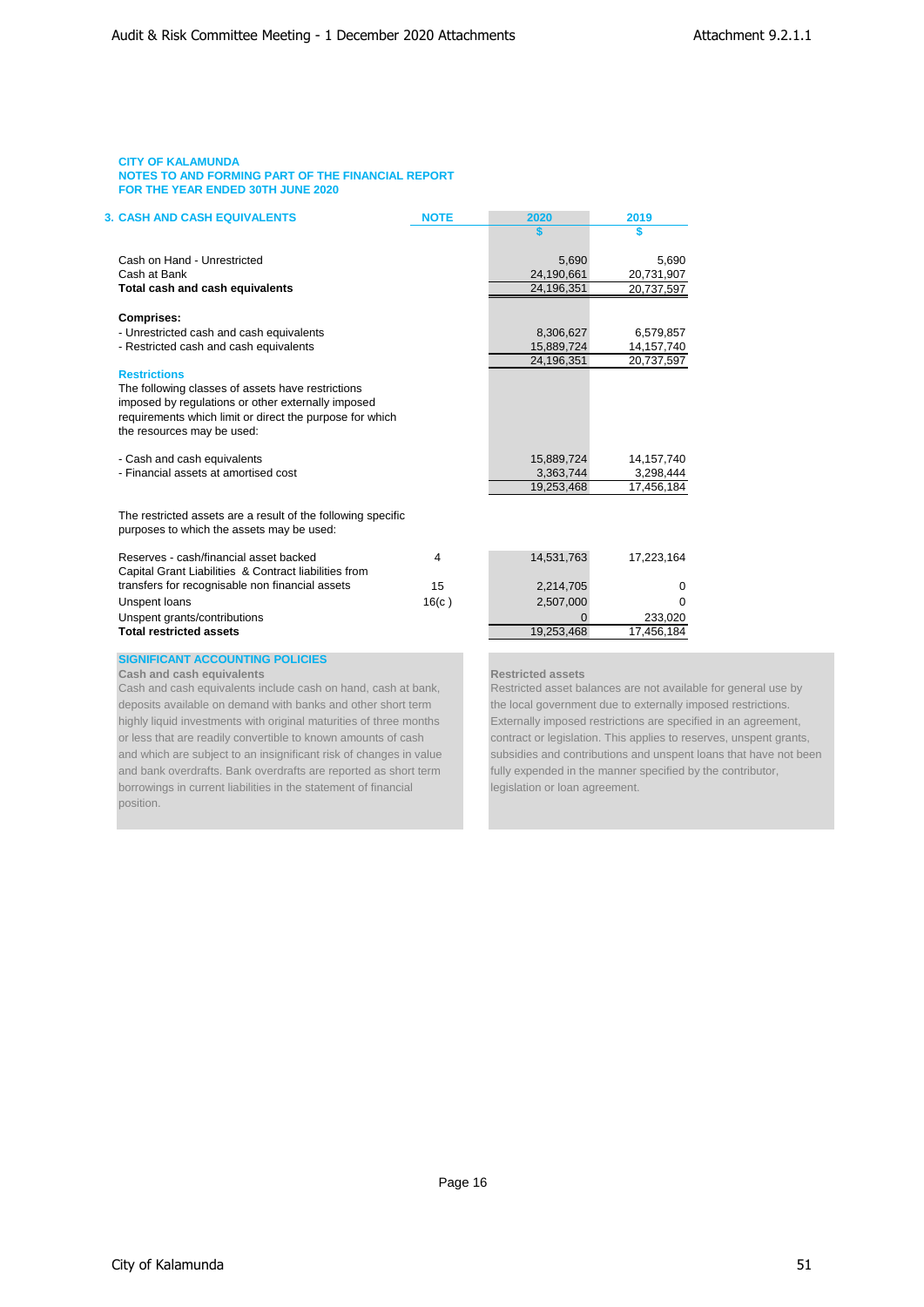| <b>3. CASH AND CASH EQUIVALENTS</b>                                                                       | <b>NOTE</b> | 2020                                      | 2019         |
|-----------------------------------------------------------------------------------------------------------|-------------|-------------------------------------------|--------------|
|                                                                                                           |             |                                           |              |
| Cash on Hand - Unrestricted                                                                               |             | 5,690                                     | 5.690        |
| Cash at Bank                                                                                              |             | 24,190,661                                | 20,731,907   |
| Total cash and cash equivalents                                                                           |             | 24,196,351                                | 20,737,597   |
| <b>Comprises:</b>                                                                                         |             |                                           |              |
| - Unrestricted cash and cash equivalents                                                                  |             | 8,306,627                                 | 6,579,857    |
| - Restricted cash and cash equivalents                                                                    |             | 15,889,724                                | 14, 157, 740 |
|                                                                                                           |             | 24,196,351                                | 20,737,597   |
| <b>Restrictions</b>                                                                                       |             |                                           |              |
| The following classes of assets have restrictions                                                         |             |                                           |              |
| imposed by regulations or other externally imposed                                                        |             |                                           |              |
| requirements which limit or direct the purpose for which                                                  |             |                                           |              |
| the resources may be used:                                                                                |             |                                           |              |
|                                                                                                           |             |                                           |              |
| - Cash and cash equivalents                                                                               |             | 15,889,724                                | 14, 157, 740 |
| - Financial assets at amortised cost                                                                      |             | 3,363,744                                 | 3,298,444    |
|                                                                                                           |             | 19,253,468                                | 17,456,184   |
| The restricted assets are a result of the following specific<br>purposes to which the assets may be used: |             |                                           |              |
|                                                                                                           |             |                                           |              |
| Reserves - cash/financial asset backed                                                                    | 4           | 14,531,763                                | 17,223,164   |
| Capital Grant Liabilities & Contract liabilities from                                                     |             |                                           |              |
| transfers for recognisable non financial assets                                                           | 15          | 2,214,705                                 | 0            |
| Unspent loans                                                                                             | 16(c)       | 2,507,000                                 | 0            |
| Unspent grants/contributions                                                                              |             |                                           | 233,020      |
| <b>Total restricted assets</b>                                                                            |             | 19,253,468                                | 17,456,184   |
| <b>SIGNIFICANT ACCOUNTING POLICIES</b>                                                                    |             |                                           |              |
| Cash and cash equivalents                                                                                 |             | <b>Restricted assets</b>                  |              |
| Cash and cash equivalents include cash on hand, cash at hank                                              |             | Restricted asset halances are not availab |              |

deposits available on demand with banks and other short term the local government due to externally imposed restrictions. highly liquid investments with original maturities of three months Externally imposed restrictions are specified in an agreement, or less that are readily convertible to known amounts of cash contract or legislation. This applies to reserves, unspent grants, and bank overdrafts. Bank overdrafts are reported as short term fully expended in the manner specified by the contributor, borrowings in current liabilities in the statement of financial legislation or loan agreement. position.

ble for general use by and which are subject to an insignificant risk of changes in value subsidies and contributions and unspent loans that have not been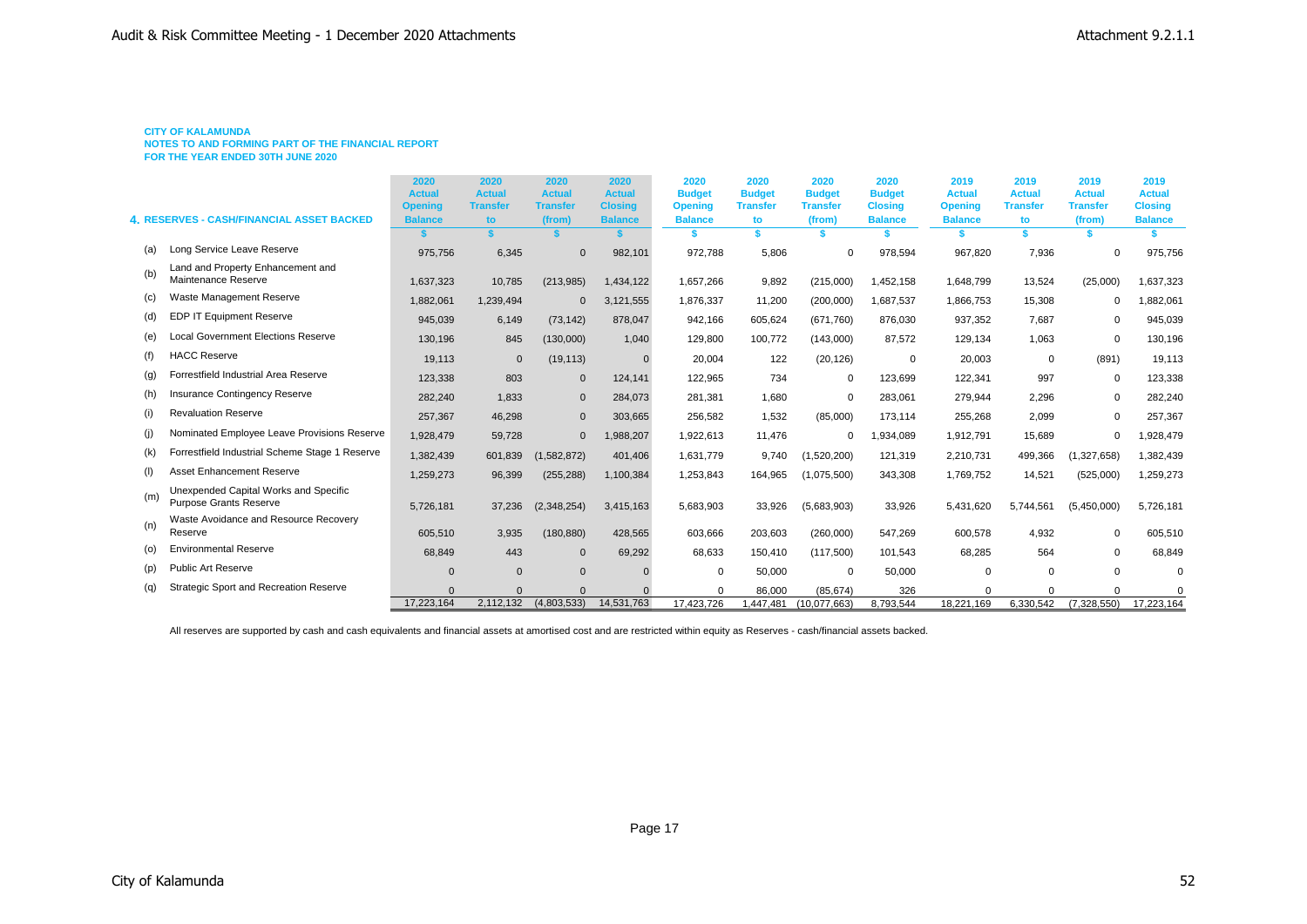**NOTES TO AND FORMING PART OF THE FINANCIAL REPORT**

**FOR THE YEAR ENDED 30TH JUNE 2020**

|     |                                                                        | 2020<br><b>Actual</b><br><b>Opening</b> | 2020<br><b>Actual</b><br><b>Transfer</b> | 2020<br><b>Actual</b><br><b>Transfer</b> | 2020<br><b>Actual</b><br><b>Closing</b> | 2020<br><b>Budget</b><br><b>Opening</b> | 2020<br><b>Budget</b><br><b>Transfer</b> | 2020<br><b>Budget</b><br><b>Transfer</b> | 2020<br><b>Budget</b><br><b>Closing</b> | 2019<br><b>Actual</b><br><b>Opening</b> | 2019<br><b>Actual</b><br><b>Transfer</b> | 2019<br><b>Actual</b><br><b>Transfer</b> | 2019<br><b>Actual</b><br><b>Closing</b> |
|-----|------------------------------------------------------------------------|-----------------------------------------|------------------------------------------|------------------------------------------|-----------------------------------------|-----------------------------------------|------------------------------------------|------------------------------------------|-----------------------------------------|-----------------------------------------|------------------------------------------|------------------------------------------|-----------------------------------------|
|     | <b>4. RESERVES - CASH/FINANCIAL ASSET BACKED</b>                       | <b>Balance</b>                          | to                                       | (from)                                   | <b>Balance</b>                          | <b>Balance</b>                          | to                                       | (from)                                   | <b>Balance</b>                          | <b>Balance</b>                          | to                                       | (from)                                   | <b>Balance</b>                          |
|     |                                                                        |                                         |                                          |                                          |                                         |                                         | \$.                                      |                                          |                                         |                                         |                                          |                                          |                                         |
| (a) | Long Service Leave Reserve                                             | 975,756                                 | 6,345                                    | $\Omega$                                 | 982,101                                 | 972,788                                 | 5,806                                    | $\mathbf 0$                              | 978,594                                 | 967,820                                 | 7,936                                    |                                          | 975,756                                 |
| (b) | Land and Property Enhancement and<br>Maintenance Reserve               | 1,637,323                               | 10,785                                   | (213,985)                                | 1,434,122                               | 1,657,266                               | 9,892                                    | (215,000)                                | 1,452,158                               | 1,648,799                               | 13,524                                   | (25,000)                                 | 1,637,323                               |
| (c) | Waste Management Reserve                                               | 1,882,061                               | 1,239,494                                | $\mathbf{0}$                             | 3,121,555                               | 1,876,337                               | 11,200                                   | (200,000)                                | 1,687,537                               | 1,866,753                               | 15,308                                   | 0                                        | 1,882,061                               |
| (d) | <b>EDP IT Equipment Reserve</b>                                        | 945,039                                 | 6,149                                    | (73, 142)                                | 878,047                                 | 942,166                                 | 605,624                                  | (671, 760)                               | 876,030                                 | 937,352                                 | 7,687                                    | $\Omega$                                 | 945,039                                 |
| (e) | <b>Local Government Elections Reserve</b>                              | 130,196                                 | 845                                      | (130,000)                                | 1,040                                   | 129,800                                 | 100,772                                  | (143,000)                                | 87,572                                  | 129,134                                 | 1,063                                    | $\mathbf 0$                              | 130,196                                 |
| (f) | <b>HACC Reserve</b>                                                    | 19,113                                  | $\mathbf{0}$                             | (19, 113)                                | $\Omega$                                | 20,004                                  | 122                                      | (20, 126)                                | $\mathbf 0$                             | 20,003                                  | $\mathbf 0$                              | (891)                                    | 19,113                                  |
| (q) | Forrestfield Industrial Area Reserve                                   | 123,338                                 | 803                                      | $\mathbf{0}$                             | 124,141                                 | 122,965                                 | 734                                      | $\mathbf 0$                              | 123,699                                 | 122,341                                 | 997                                      | $\mathbf 0$                              | 123,338                                 |
| (h) | Insurance Contingency Reserve                                          | 282,240                                 | 1,833                                    | $\mathbf{0}$                             | 284,073                                 | 281,381                                 | 1,680                                    | $\Omega$                                 | 283,061                                 | 279,944                                 | 2,296                                    | $\Omega$                                 | 282,240                                 |
| (i) | <b>Revaluation Reserve</b>                                             | 257,367                                 | 46,298                                   | $\mathbf{0}$                             | 303,665                                 | 256,582                                 | 1,532                                    | (85,000)                                 | 173,114                                 | 255,268                                 | 2,099                                    | $\Omega$                                 | 257,367                                 |
| (i) | Nominated Employee Leave Provisions Reserve                            | 1,928,479                               | 59,728                                   | $\mathbf 0$                              | 1,988,207                               | 1,922,613                               | 11,476                                   | $\Omega$                                 | 1,934,089                               | 1,912,791                               | 15,689                                   | 0                                        | 1,928,479                               |
| (k) | Forrestfield Industrial Scheme Stage 1 Reserve                         | 1,382,439                               | 601,839                                  | (1,582,872)                              | 401,406                                 | 1,631,779                               | 9,740                                    | (1,520,200)                              | 121,319                                 | 2,210,731                               | 499,366                                  | (1,327,658)                              | 1,382,439                               |
| (1) | <b>Asset Enhancement Reserve</b>                                       | 1,259,273                               | 96,399                                   | (255, 288)                               | 1,100,384                               | 1,253,843                               | 164,965                                  | (1,075,500)                              | 343,308                                 | 1,769,752                               | 14,521                                   | (525,000)                                | 1,259,273                               |
| (m) | Unexpended Capital Works and Specific<br><b>Purpose Grants Reserve</b> | 5,726,181                               | 37,236                                   | (2,348,254)                              | 3,415,163                               | 5,683,903                               | 33,926                                   | (5,683,903)                              | 33,926                                  | 5,431,620                               | 5,744,561                                | (5,450,000)                              | 5,726,181                               |
| (n) | Waste Avoidance and Resource Recovery<br>Reserve                       | 605,510                                 | 3,935                                    | (180, 880)                               | 428,565                                 | 603.666                                 | 203,603                                  | (260,000)                                | 547,269                                 | 600,578                                 | 4,932                                    | $\Omega$                                 | 605,510                                 |
| (o) | <b>Environmental Reserve</b>                                           | 68,849                                  | 443                                      | $\mathbf 0$                              | 69,292                                  | 68,633                                  | 150,410                                  | (117,500)                                | 101.543                                 | 68.285                                  | 564                                      | 0                                        | 68,849                                  |
| (p) | <b>Public Art Reserve</b>                                              | $\Omega$                                | $\mathbf{0}$                             | $\Omega$                                 |                                         | $\Omega$                                | 50,000                                   | $\Omega$                                 | 50,000                                  | $\Omega$                                | $\Omega$                                 | $\Omega$                                 | $\Omega$                                |
| (q) | <b>Strategic Sport and Recreation Reserve</b>                          |                                         | $\Omega$                                 |                                          |                                         |                                         | 86,000                                   | (85, 674)                                | 326                                     |                                         |                                          |                                          |                                         |
|     |                                                                        | 17,223,164                              | 2,112,132                                | (4,803,533)                              | 14,531,763                              | 17.423.726                              | 1.447.481                                | (10.077.663)                             | 8.793.544                               | 18.221.169                              | 6.330.542                                | (7.328.550)                              | 17,223,164                              |

All reserves are supported by cash and cash equivalents and financial assets at amortised cost and are restricted within equity as Reserves - cash/financial assets backed.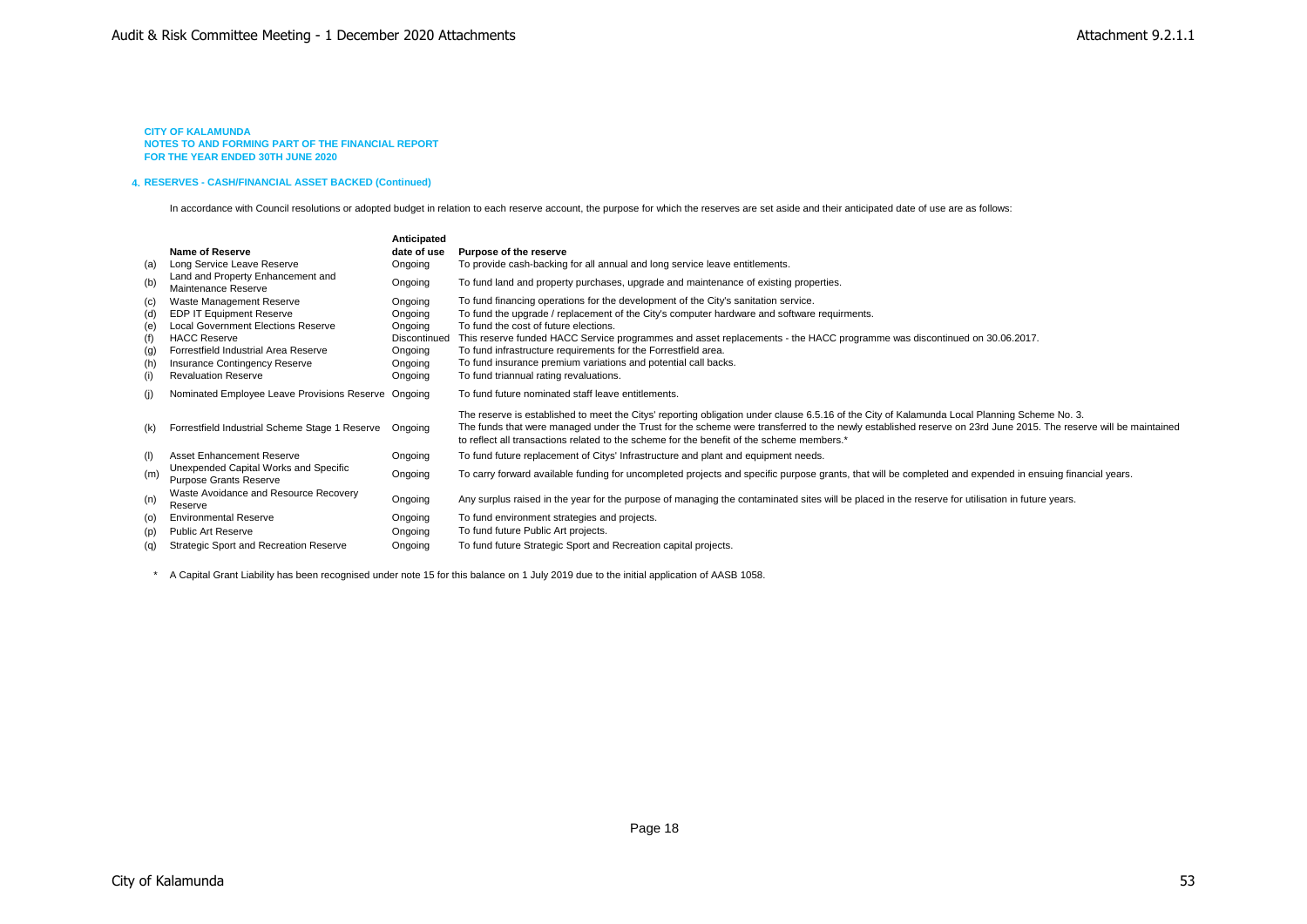#### **4. RESERVES - CASH/FINANCIAL ASSET BACKED (Continued)**

In accordance with Council resolutions or adopted budget in relation to each reserve account, the purpose for which the reserves are set aside and their anticipated date of use are as follows:

|     |                                                                        | Anticipated  |                                                                                                                                                                                                                                                                                                                                                                                                             |
|-----|------------------------------------------------------------------------|--------------|-------------------------------------------------------------------------------------------------------------------------------------------------------------------------------------------------------------------------------------------------------------------------------------------------------------------------------------------------------------------------------------------------------------|
|     | Name of Reserve                                                        | date of use  | Purpose of the reserve                                                                                                                                                                                                                                                                                                                                                                                      |
| (a) | Long Service Leave Reserve                                             | Ongoing      | To provide cash-backing for all annual and long service leave entitlements.                                                                                                                                                                                                                                                                                                                                 |
| (b) | Land and Property Enhancement and<br>Maintenance Reserve               | Ongoing      | To fund land and property purchases, upgrade and maintenance of existing properties.                                                                                                                                                                                                                                                                                                                        |
| (c) | Waste Management Reserve                                               | Ongoing      | To fund financing operations for the development of the City's sanitation service.                                                                                                                                                                                                                                                                                                                          |
| (d) | <b>EDP IT Equipment Reserve</b>                                        | Ongoing      | To fund the upgrade / replacement of the City's computer hardware and software requirments.                                                                                                                                                                                                                                                                                                                 |
| (e) | <b>Local Government Elections Reserve</b>                              | Ongoing      | To fund the cost of future elections.                                                                                                                                                                                                                                                                                                                                                                       |
| (f) | <b>HACC Reserve</b>                                                    | Discontinued | This reserve funded HACC Service programmes and asset replacements - the HACC programme was discontinued on 30.06.2017.                                                                                                                                                                                                                                                                                     |
| (g) | Forrestfield Industrial Area Reserve                                   | Ongoing      | To fund infrastructure requirements for the Forrestfield area.                                                                                                                                                                                                                                                                                                                                              |
| (h) | Insurance Contingency Reserve                                          | Ongoing      | To fund insurance premium variations and potential call backs.                                                                                                                                                                                                                                                                                                                                              |
| (i) | <b>Revaluation Reserve</b>                                             | Ongoing      | To fund triannual rating revaluations.                                                                                                                                                                                                                                                                                                                                                                      |
| (i) | Nominated Employee Leave Provisions Reserve Ongoing                    |              | To fund future nominated staff leave entitlements.                                                                                                                                                                                                                                                                                                                                                          |
| (k) | Forrestfield Industrial Scheme Stage 1 Reserve                         | Ongoing      | The reserve is established to meet the Citys' reporting obligation under clause 6.5.16 of the City of Kalamunda Local Planning Scheme No. 3.<br>The funds that were managed under the Trust for the scheme were transferred to the newly established reserve on 23rd June 2015. The reserve will be maintained<br>to reflect all transactions related to the scheme for the benefit of the scheme members.* |
| (1) | Asset Enhancement Reserve                                              | Ongoing      | To fund future replacement of Citys' Infrastructure and plant and equipment needs.                                                                                                                                                                                                                                                                                                                          |
| (m) | Unexpended Capital Works and Specific<br><b>Purpose Grants Reserve</b> | Ongoing      | To carry forward available funding for uncompleted projects and specific purpose grants, that will be completed and expended in ensuing financial years.                                                                                                                                                                                                                                                    |
| (n) | Waste Avoidance and Resource Recovery<br>Reserve                       | Ongoing      | Any surplus raised in the year for the purpose of managing the contaminated sites will be placed in the reserve for utilisation in future years.                                                                                                                                                                                                                                                            |
| (0) | <b>Environmental Reserve</b>                                           | Ongoing      | To fund environment strategies and projects.                                                                                                                                                                                                                                                                                                                                                                |
| (p) | <b>Public Art Reserve</b>                                              | Ongoing      | To fund future Public Art projects.                                                                                                                                                                                                                                                                                                                                                                         |
| (q) | <b>Strategic Sport and Recreation Reserve</b>                          | Ongoing      | To fund future Strategic Sport and Recreation capital projects.                                                                                                                                                                                                                                                                                                                                             |

\* A Capital Grant Liability has been recognised under note 15 for this balance on 1 July 2019 due to the initial application of AASB 1058.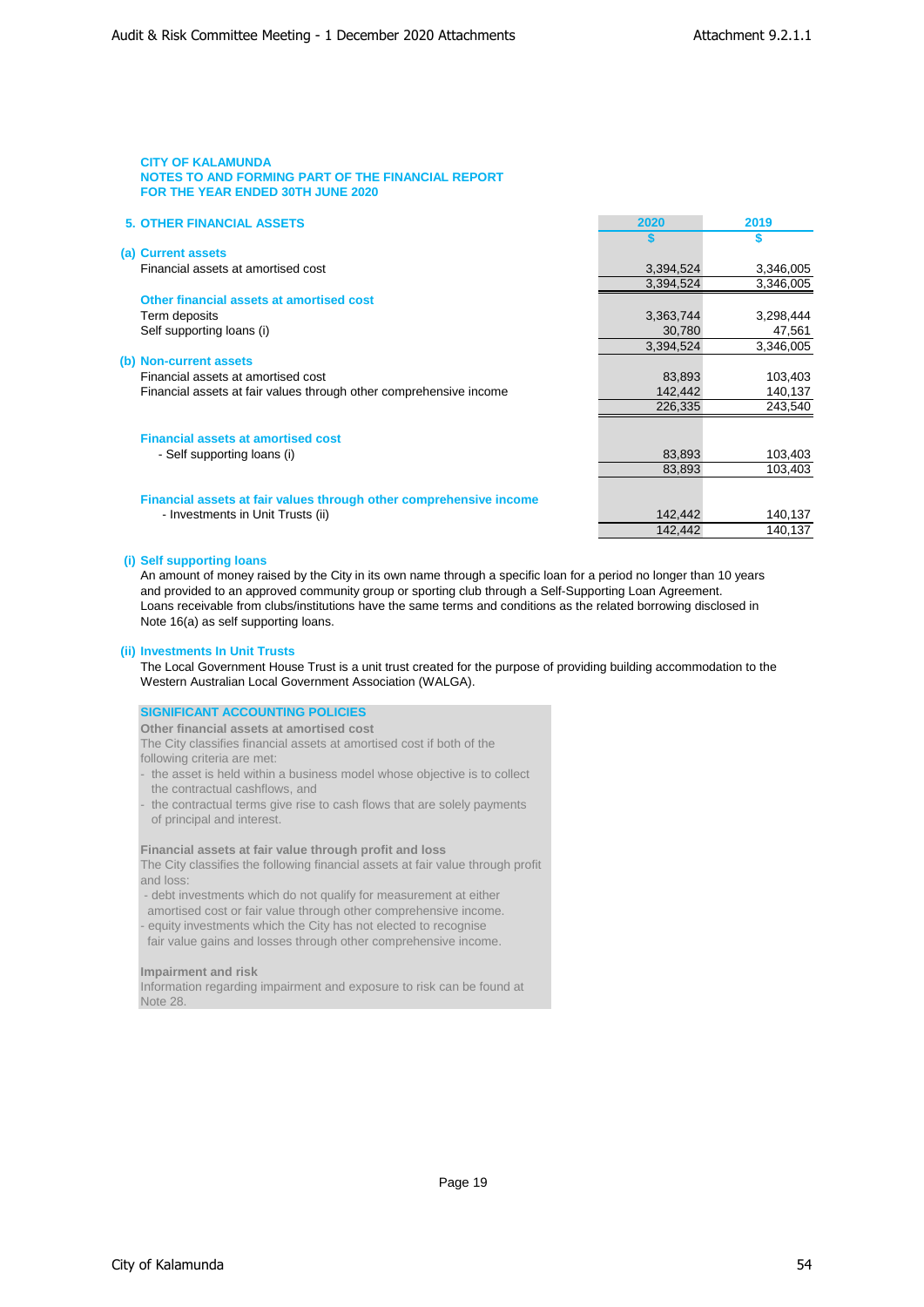| <b>5. OTHER FINANCIAL ASSETS</b>                                   | 2020      | 2019      |
|--------------------------------------------------------------------|-----------|-----------|
|                                                                    |           | S         |
| (a) Current assets                                                 |           |           |
| Financial assets at amortised cost                                 | 3,394,524 | 3,346,005 |
|                                                                    | 3,394,524 | 3,346,005 |
| Other financial assets at amortised cost                           |           |           |
| Term deposits                                                      | 3,363,744 | 3,298,444 |
| Self supporting loans (i)                                          | 30,780    | 47,561    |
|                                                                    | 3,394,524 | 3,346,005 |
| (b) Non-current assets                                             |           |           |
| Financial assets at amortised cost                                 | 83,893    | 103,403   |
| Financial assets at fair values through other comprehensive income | 142,442   | 140,137   |
|                                                                    | 226,335   | 243,540   |
| <b>Financial assets at amortised cost</b>                          |           |           |
| - Self supporting loans (i)                                        | 83,893    | 103,403   |
|                                                                    | 83,893    | 103,403   |
| Financial assets at fair values through other comprehensive income |           |           |
| - Investments in Unit Trusts (ii)                                  | 142,442   | 140,137   |
|                                                                    | 142,442   | 140,137   |

**(i) Self supporting loans**

An amount of money raised by the City in its own name through a specific loan for a period no longer than 10 years and provided to an approved community group or sporting club through a Self-Supporting Loan Agreement. Loans receivable from clubs/institutions have the same terms and conditions as the related borrowing disclosed in Note 16(a) as self supporting loans.

# **(ii) Investments In Unit Trusts**

The Local Government House Trust is a unit trust created for the purpose of providing building accommodation to the Western Australian Local Government Association (WALGA).

| <b>SIGNIFICANT ACCOUNTING POLICIES</b>                                    |
|---------------------------------------------------------------------------|
| Other financial assets at amortised cost                                  |
| The City classifies financial assets at amortised cost if both of the     |
| following criteria are met:                                               |
| - the asset is held within a business model whose objective is to collect |
| the contractual cashflows, and                                            |
| - the contractual terms give rise to cash flows that are solely payments  |
| of principal and interest.                                                |

### **Financial assets at fair value through profit and loss**

The City classifies the following financial assets at fair value through profit and loss:

- debt investments which do not qualify for measurement at either

 amortised cost or fair value through other comprehensive income. - equity investments which the City has not elected to recognise

fair value gains and losses through other comprehensive income.

#### **Impairment and risk**

Information regarding impairment and exposure to risk can be found at Note 28.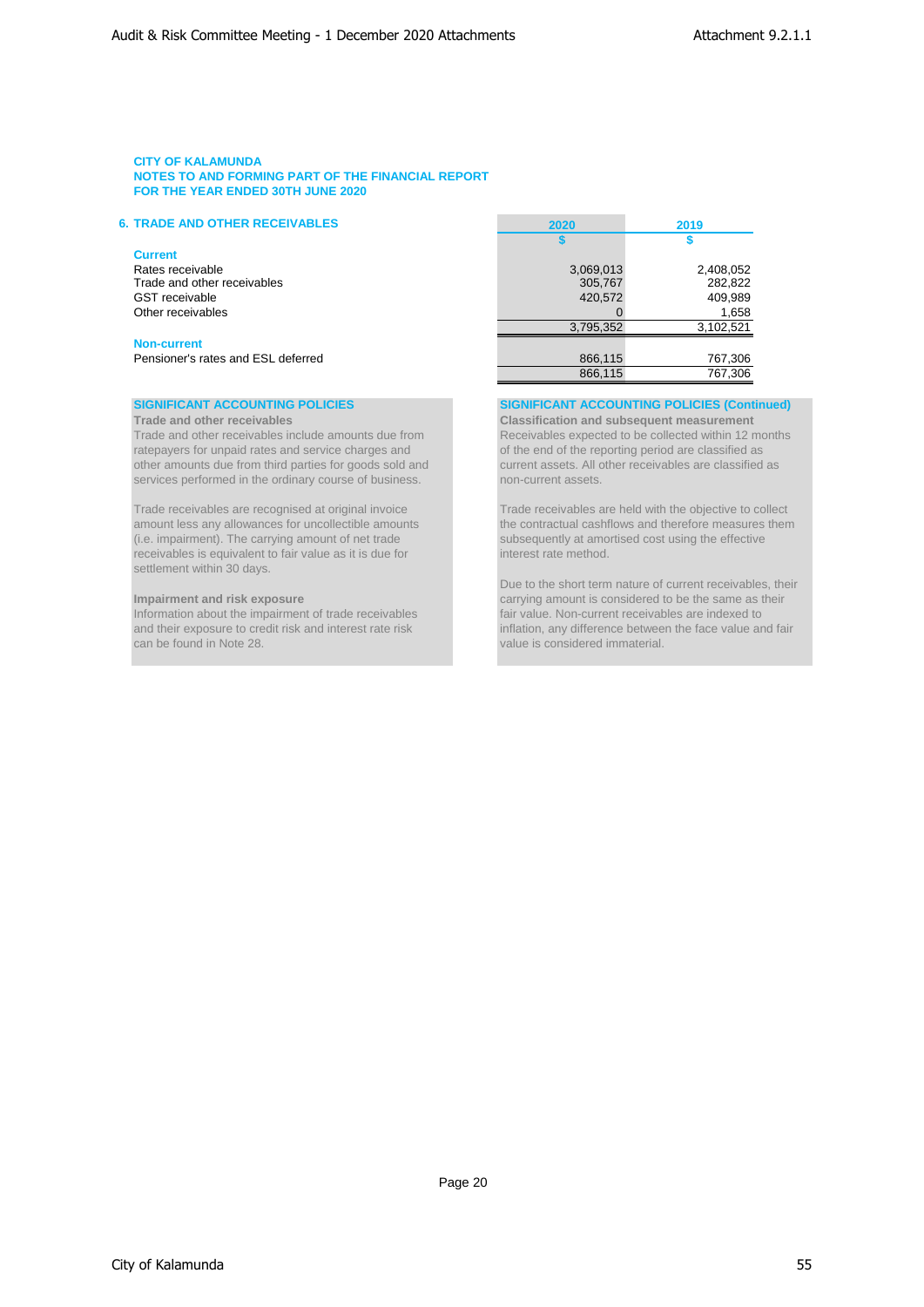# **6. TRADE AND OTHER RECEIVABLES 2020 2019**

# **Current**

| Rates receivable<br>Trade and other receivables |
|-------------------------------------------------|
| <b>GST</b> receivable                           |
| Other receivables                               |

### **Non-current**

Trade and other receivables include amounts due from Receivables expected to be collected within 12 months ratepayers for unpaid rates and service charges and  $\overline{\phantom{a}}$  of the end of the reporting period are classified a ratepayers for unpaid rates and service charges and other amounts due from third parties for goods sold and current assets. All other receivables are classified as services performed in the ordinary course of business. The mon-current assets.

Trade receivables are recognised at original invoice Trade receivables are held with the objective to collect<br>amount less any allowances for uncollectible amounts the contractual cashflows and therefore measures then (i.e. impairment). The carrying amount of net trade subsequently at amortised cost using the effective receivables is equivalent to fair value as it is due for interest rate method. receivables is equivalent to fair value as it is due for settlement within 30 days.

can be found in Note 28. value is considered immaterial.

| <b>TRADE AND OTHER RECEIVABLES</b> | 2020      | 2019      |
|------------------------------------|-----------|-----------|
|                                    |           |           |
| Current                            |           |           |
| Rates receivable                   | 3,069,013 | 2,408,052 |
| Trade and other receivables        | 305,767   | 282,822   |
| GST receivable                     | 420,572   | 409,989   |
| Other receivables                  |           | 1,658     |
|                                    | 3,795,352 | 3,102,521 |
| <b>Non-current</b>                 |           |           |
| Pensioner's rates and ESL deferred | 866,115   | 767,306   |
|                                    | 866,115   | 767,306   |

**SIGNIFICANT ACCOUNTING POLICIES SIGNIFICANT ACCOUNTING POLICIES (Continued)**

**Trade and other receivables Classification and subsequent measurement** 

the contractual cashflows and therefore measures them

Due to the short term nature of current receivables, their **Impairment and risk exposure** carrying amount is considered to be the same as their Information about the impairment of trade receivables fair value. Non-current receivables are indexed to and their exposure to credit risk and interest rate risk inflation, any difference between the face value and fair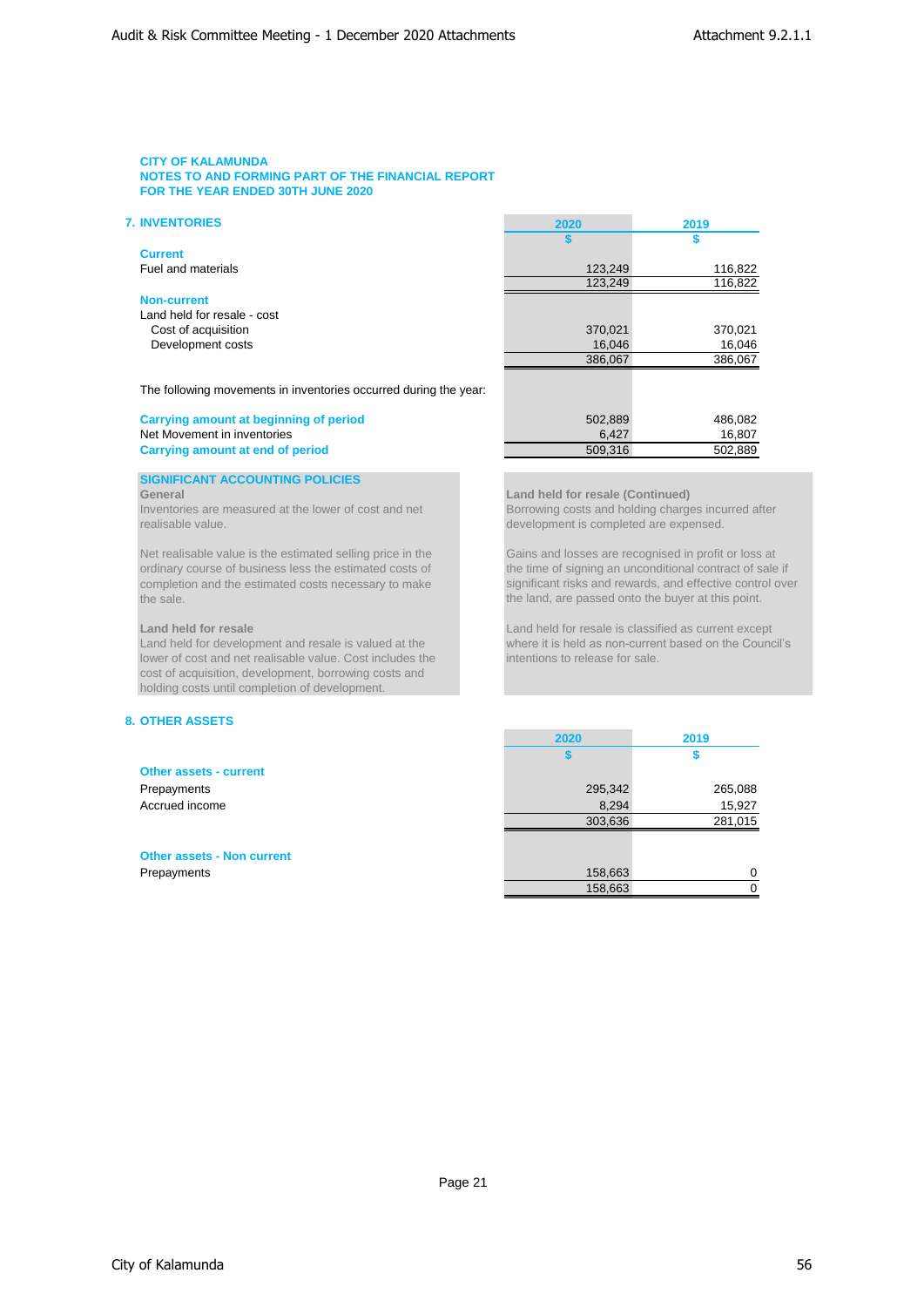| <b>7. INVENTORIES</b>       | 2020    | 2019    |
|-----------------------------|---------|---------|
|                             |         |         |
| <b>Current</b>              |         |         |
| Fuel and materials          | 123,249 | 116,822 |
|                             | 123,249 | 116,822 |
| <b>Non-current</b>          |         |         |
| Land held for resale - cost |         |         |
| Cost of acquisition         | 370,021 | 370,021 |
| Development costs           | 16,046  | 16,046  |
|                             | 386,067 | 386,067 |
|                             |         |         |

development is completed are expensed.

the land, are passed onto the buyer at this point.

**2020 2019**

The following movements in inventories occurred during the year:

### **Carrying amount at beginning of period** 502,889 486,082 Net Movement in inventories and of period<br>
Carrying amount at end of period<br>
Carrying amount at end of period<br>
S09,316 502,889 **Carrying amount at end of period**

### **SIGNIFICANT ACCOUNTING POLICIES**

### **General Land held for resale (Continued)**

Inventories are measured at the lower of cost and net Borrowing costs and holding charges incurred after<br>
realisable value.<br>
Revelopment is completed are expensed.

Net realisable value is the estimated selling price in the Gains and losses are recognised in profit or loss at ordinary course of business less the estimated costs of the time of signing an unconditional contract of sale ordinary course of business less the estimated costs of completion and the estimated costs necessary to make completion and the estimated costs necessary to make<br>the land, are passed onto the buver at this point.

# **Land held for resale** Land held for resale is classified as current except

Land held for development and resale is valued at the where it is held as non-current based on the Council's lower of cost and net realisable value. Cost includes the intentions to release for sale. lower of cost and net realisable value. Cost includes the cost of acquisition, development, borrowing costs and holding costs until completion of development.

# **8. OTHER ASSETS**

| <b>Other assets - current</b>     |         |         |
|-----------------------------------|---------|---------|
| Prepayments                       | 295,342 | 265,088 |
| Accrued income                    | 8,294   | 15,927  |
|                                   | 303,636 | 281,015 |
|                                   |         |         |
| <b>Other assets - Non current</b> |         |         |
| Prepayments                       | 158,663 | 0       |
|                                   | 158,663 |         |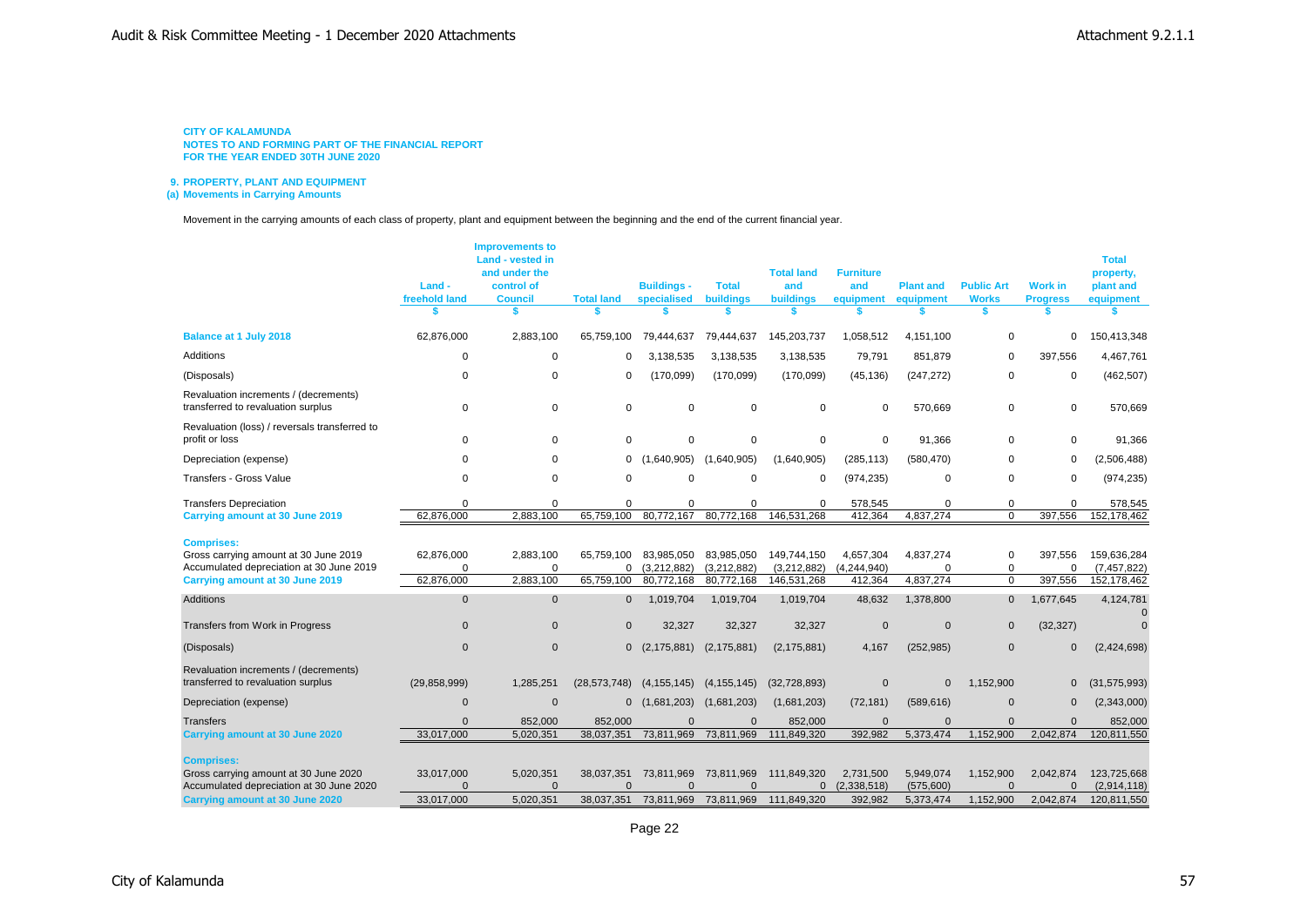**9. PROPERTY, PLANT AND EQUIPMENT**

**(a) Movements in Carrying Amounts**

Movement in the carrying amounts of each class of property, plant and equipment between the beginning and the end of the current financial year.

|                                                                                                                                                  | Land -<br>freehold land              | <b>Improvements to</b><br>Land - vested in<br>and under the<br>control of<br><b>Council</b> | <b>Total land</b>                    | <b>Buildings -</b><br>specialised       | <b>Total</b><br><b>buildings</b>        | <b>Total land</b><br>and<br><b>buildings</b> | <b>Furniture</b><br>and<br>equipment | <b>Plant and</b><br>equipment       | <b>Public Art</b><br><b>Works</b>  | <b>Work in</b><br><b>Progress</b>  | <b>Total</b><br>property,<br>plant and<br>equipment |
|--------------------------------------------------------------------------------------------------------------------------------------------------|--------------------------------------|---------------------------------------------------------------------------------------------|--------------------------------------|-----------------------------------------|-----------------------------------------|----------------------------------------------|--------------------------------------|-------------------------------------|------------------------------------|------------------------------------|-----------------------------------------------------|
| <b>Balance at 1 July 2018</b>                                                                                                                    | 62,876,000                           | 2,883,100                                                                                   | 65,759,100                           | 79,444,637                              | 79,444,637                              | 145,203,737                                  | 1,058,512                            | 4,151,100                           | $\Omega$                           | 0                                  | 150,413,348                                         |
| Additions                                                                                                                                        | $\mathbf 0$                          | $\mathbf 0$                                                                                 | 0                                    | 3,138,535                               | 3,138,535                               | 3,138,535                                    | 79,791                               | 851,879                             | $\Omega$                           | 397,556                            | 4,467,761                                           |
| (Disposals)                                                                                                                                      | $\Omega$                             | $\Omega$                                                                                    | 0                                    | (170,099)                               | (170, 099)                              | (170,099)                                    | (45, 136)                            | (247, 272)                          | $\mathbf 0$                        | $\mathbf 0$                        | (462, 507)                                          |
| Revaluation increments / (decrements)<br>transferred to revaluation surplus                                                                      | $\mathbf 0$                          | 0                                                                                           | $\mathbf 0$                          | $\mathbf 0$                             | $\mathbf 0$                             | $\mathbf 0$                                  | $\mathbf 0$                          | 570,669                             | $\mathbf 0$                        | 0                                  | 570,669                                             |
| Revaluation (loss) / reversals transferred to<br>profit or loss                                                                                  | $\Omega$                             | $\Omega$                                                                                    | 0                                    | $\Omega$                                | $\mathbf 0$                             | $\mathbf 0$                                  | $\mathbf 0$                          | 91,366                              | 0                                  | 0                                  | 91,366                                              |
| Depreciation (expense)                                                                                                                           | $\Omega$                             | $\Omega$                                                                                    | 0                                    | (1,640,905)                             | (1,640,905)                             | (1,640,905)                                  | (285, 113)                           | (580, 470)                          | 0                                  | $\mathbf 0$                        | (2,506,488)                                         |
| Transfers - Gross Value                                                                                                                          | $\Omega$                             | $\Omega$                                                                                    | $\Omega$                             | $\Omega$                                | $\Omega$                                | $\mathbf 0$                                  | (974, 235)                           | $\Omega$                            | $\Omega$                           | $\Omega$                           | (974, 235)                                          |
| <b>Transfers Depreciation</b>                                                                                                                    | $\Omega$                             | $\Omega$                                                                                    | $\Omega$                             | $\mathbf 0$                             | $\mathbf 0$                             | $\Omega$                                     | 578,545                              | $\Omega$                            | $\mathbf 0$                        | $\mathbf 0$                        | 578,545                                             |
| Carrying amount at 30 June 2019                                                                                                                  | 62,876,000                           | 2,883,100                                                                                   | 65,759,100                           | 80,772,167                              | 80,772,168                              | 146,531,268                                  | 412,364                              | 4,837,274                           | $\Omega$                           | 397,556                            | 152,178,462                                         |
| <b>Comprises:</b><br>Gross carrying amount at 30 June 2019<br>Accumulated depreciation at 30 June 2019<br>Carrying amount at 30 June 2019        | 62,876,000<br>$\Omega$<br>62,876,000 | 2,883,100<br>$\Omega$<br>2,883,100                                                          | 65.759.100<br>0<br>65,759,100        | 83.985.050<br>(3,212,882)<br>80,772,168 | 83,985,050<br>(3,212,882)<br>80,772,168 | 149,744,150<br>(3,212,882)<br>146,531,268    | 4,657,304<br>(4,244,940)<br>412,364  | 4,837,274<br>$\Omega$<br>4,837,274  | 0<br>$\mathbf 0$<br>$\Omega$       | 397,556<br>$\mathbf 0$<br>397,556  | 159,636,284<br>(7, 457, 822)<br>152,178,462         |
| Additions                                                                                                                                        | $\Omega$                             | $\mathbf{0}$                                                                                | $\mathbf 0$                          | 1,019,704                               | 1,019,704                               | 1,019,704                                    | 48,632                               | 1,378,800                           | $\mathbf{0}$                       | 1,677,645                          | 4,124,781                                           |
|                                                                                                                                                  |                                      |                                                                                             |                                      |                                         |                                         |                                              |                                      |                                     |                                    |                                    |                                                     |
| Transfers from Work in Progress                                                                                                                  | $\mathbf{0}$                         | $\Omega$                                                                                    | $\mathbf{0}$                         | 32,327                                  | 32,327                                  | 32,327                                       | $\overline{0}$                       | $\mathbf{0}$                        | $\mathbf{0}$                       | (32, 327)                          | $\Omega$                                            |
| (Disposals)                                                                                                                                      | $\mathbf{0}$                         | $\mathbf{0}$                                                                                | $\mathbf{0}$                         | (2, 175, 881)                           | (2, 175, 881)                           | (2, 175, 881)                                | 4,167                                | (252, 985)                          | $\mathbf{0}$                       | $\mathbf{0}$                       | (2,424,698)                                         |
| Revaluation increments / (decrements)<br>transferred to revaluation surplus                                                                      | (29, 858, 999)                       | 1,285,251                                                                                   | (28, 573, 748)                       | (4, 155, 145)                           | (4, 155, 145)                           | (32, 728, 893)                               | $\mathbf 0$                          | $\Omega$                            | 1,152,900                          | $\mathbf{0}$                       | (31, 575, 993)                                      |
| Depreciation (expense)                                                                                                                           | $\Omega$                             | $\mathbf{0}$                                                                                | $\mathbf{0}$                         | (1,681,203)                             | (1,681,203)                             | (1,681,203)                                  | (72, 181)                            | (589, 616)                          | $\mathbf{0}$                       | $\mathbf{0}$                       | (2,343,000)                                         |
| Transfers                                                                                                                                        | $\Omega$                             | 852,000                                                                                     | 852,000                              | $\Omega$                                | $\Omega$                                | 852,000                                      | $\Omega$                             | $\Omega$                            | $\Omega$                           | $\Omega$                           | 852,000                                             |
| <b>Carrying amount at 30 June 2020</b>                                                                                                           | 33,017,000                           | 5,020,351                                                                                   | 38,037,351                           | 73,811,969                              | 73,811,969                              | 111,849,320                                  | 392,982                              | 5,373,474                           | 1,152,900                          | 2,042,874                          | 120,811,550                                         |
| <b>Comprises:</b><br>Gross carrying amount at 30 June 2020<br>Accumulated depreciation at 30 June 2020<br><b>Carrying amount at 30 June 2020</b> | 33,017,000<br>$\Omega$<br>33,017,000 | 5,020,351<br>$\Omega$<br>5,020,351                                                          | 38,037,351<br>$\Omega$<br>38,037,351 | 73,811,969<br>$\Omega$<br>73,811,969    | 73,811,969<br>$\Omega$<br>73,811,969    | 111,849,320<br>$\mathbf 0$<br>111,849,320    | 2,731,500<br>(2,338,518)<br>392,982  | 5,949,074<br>(575,600)<br>5,373,474 | 1,152,900<br>$\Omega$<br>1,152,900 | 2,042,874<br>$\Omega$<br>2,042,874 | 123,725,668<br>(2,914,118)<br>120,811,550           |
|                                                                                                                                                  |                                      |                                                                                             |                                      |                                         |                                         |                                              |                                      |                                     |                                    |                                    |                                                     |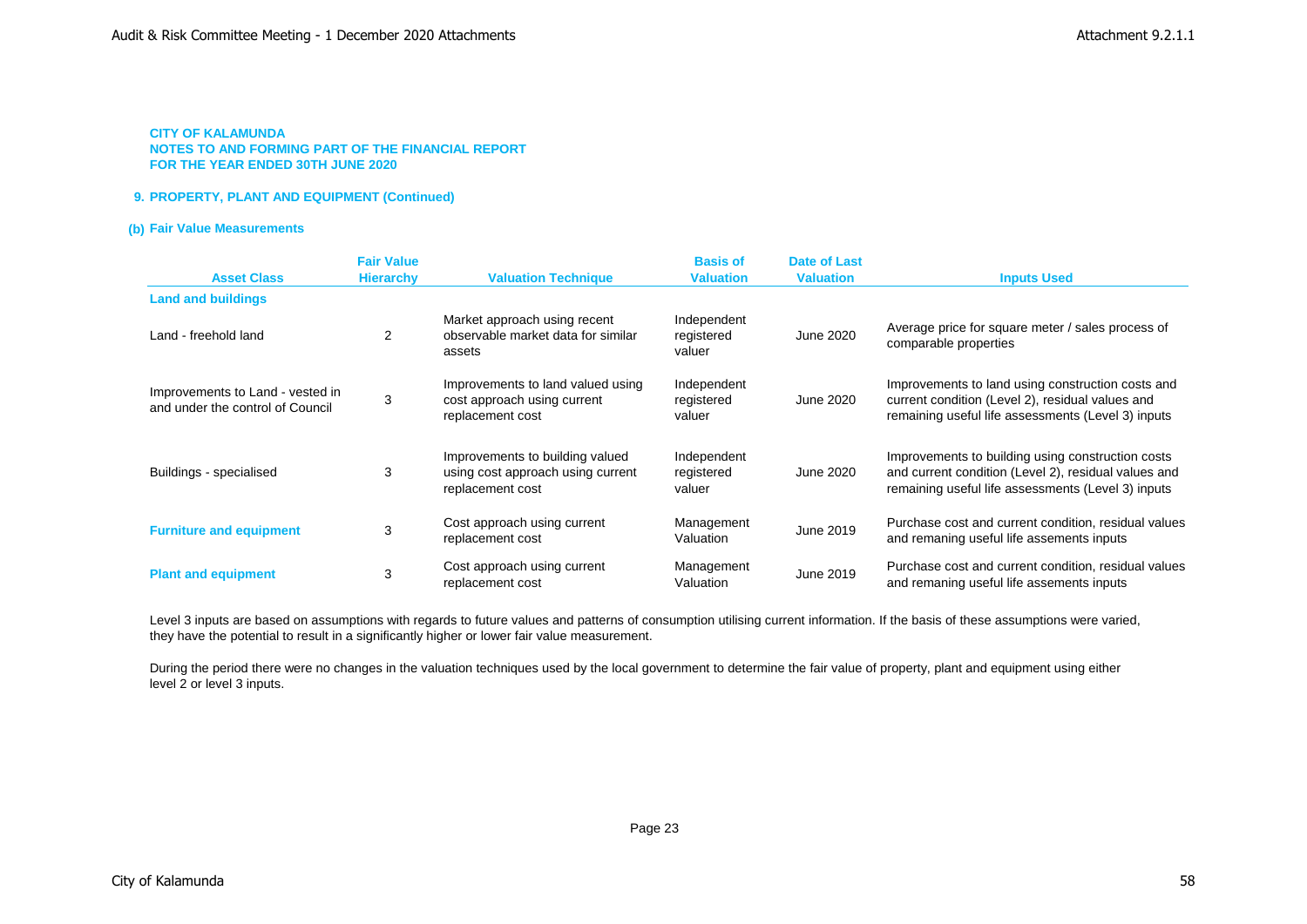# **9. PROPERTY, PLANT AND EQUIPMENT (Continued)**

# **(b) Fair Value Measurements**

|                                                                      | <b>Fair Value</b> |                                                                                          | <b>Basis of</b>                     | <b>Date of Last</b> |                                                                                                                                                                 |
|----------------------------------------------------------------------|-------------------|------------------------------------------------------------------------------------------|-------------------------------------|---------------------|-----------------------------------------------------------------------------------------------------------------------------------------------------------------|
| <b>Asset Class</b>                                                   | <b>Hierarchy</b>  | <b>Valuation Technique</b>                                                               | <b>Valuation</b>                    | <b>Valuation</b>    | <b>Inputs Used</b>                                                                                                                                              |
| <b>Land and buildings</b>                                            |                   |                                                                                          |                                     |                     |                                                                                                                                                                 |
| Land - freehold land                                                 | 2                 | Market approach using recent<br>observable market data for similar<br>assets             | Independent<br>registered<br>valuer | June 2020           | Average price for square meter / sales process of<br>comparable properties                                                                                      |
| Improvements to Land - vested in<br>and under the control of Council | 3                 | Improvements to land valued using<br>cost approach using current<br>replacement cost     | Independent<br>registered<br>valuer | June 2020           | Improvements to land using construction costs and<br>current condition (Level 2), residual values and<br>remaining useful life assessments (Level 3) inputs     |
| Buildings - specialised                                              | 3                 | Improvements to building valued<br>using cost approach using current<br>replacement cost | Independent<br>registered<br>valuer | June 2020           | Improvements to building using construction costs<br>and current condition (Level 2), residual values and<br>remaining useful life assessments (Level 3) inputs |
| <b>Furniture and equipment</b>                                       | 3                 | Cost approach using current<br>replacement cost                                          | Management<br>Valuation             | June 2019           | Purchase cost and current condition, residual values<br>and remaning useful life assements inputs                                                               |
| <b>Plant and equipment</b>                                           | 3                 | Cost approach using current<br>replacement cost                                          | Management<br>Valuation             | June 2019           | Purchase cost and current condition, residual values<br>and remaning useful life assements inputs                                                               |

Level 3 inputs are based on assumptions with regards to future values and patterns of consumption utilising current information. If the basis of these assumptions were varied, they have the potential to result in a significantly higher or lower fair value measurement.

level 2 or level 3 inputs. During the period there were no changes in the valuation techniques used by the local government to determine the fair value of property, plant and equipment using either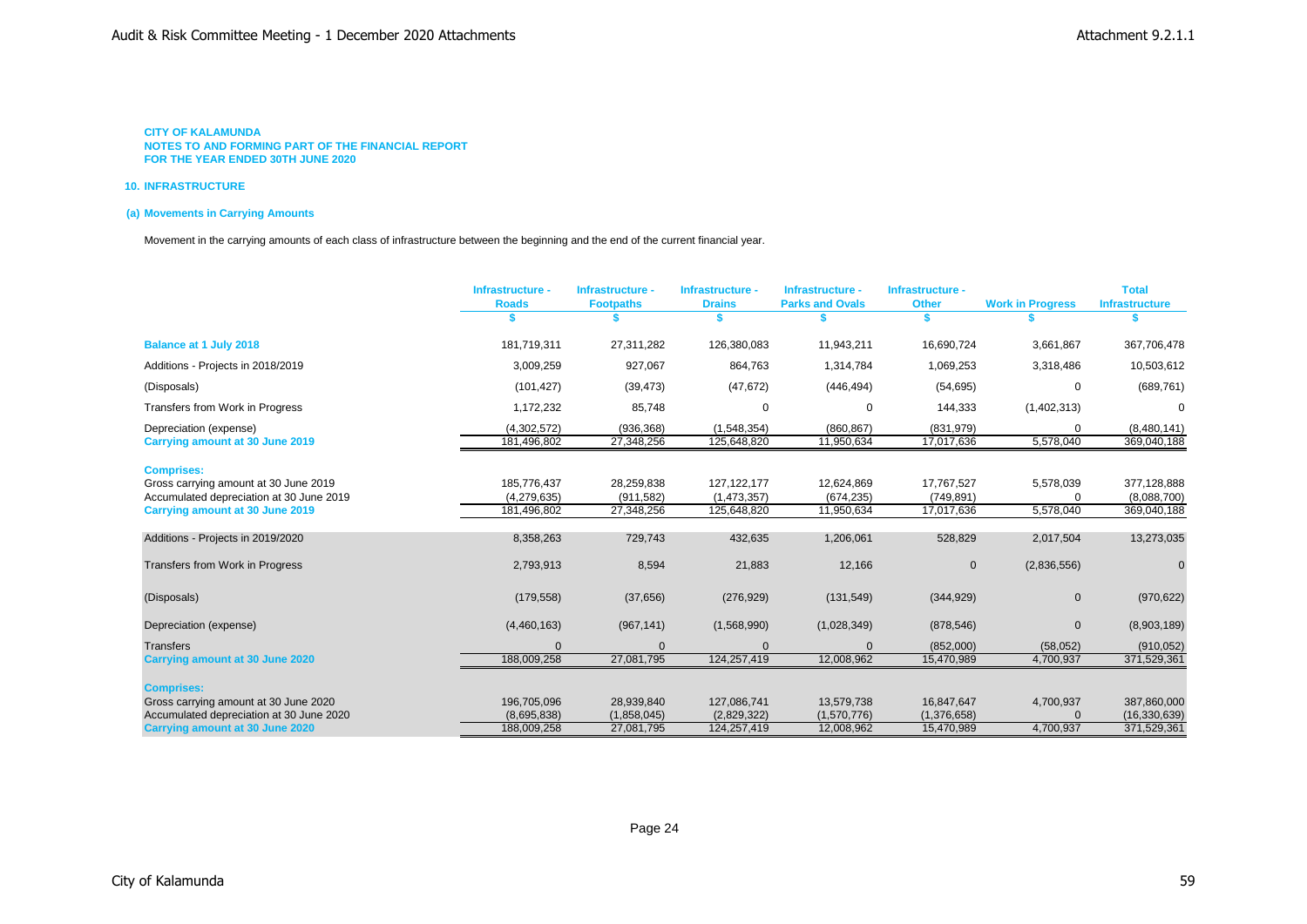### **10. INFRASTRUCTURE**

# **(a) Movements in Carrying Amounts**

Movement in the carrying amounts of each class of infrastructure between the beginning and the end of the current financial year.

|                                                                                    | Infrastructure -           | Infrastructure -          | Infrastructure -           | Infrastructure -          | Infrastructure -          |                         | <b>Total</b>                  |
|------------------------------------------------------------------------------------|----------------------------|---------------------------|----------------------------|---------------------------|---------------------------|-------------------------|-------------------------------|
|                                                                                    | <b>Roads</b>               | <b>Footpaths</b>          | <b>Drains</b>              | <b>Parks and Ovals</b>    | <b>Other</b>              | <b>Work in Progress</b> | <b>Infrastructure</b>         |
| <b>Balance at 1 July 2018</b>                                                      | 181,719,311                | 27,311,282                | 126,380,083                | 11,943,211                | 16,690,724                | 3,661,867               | 367,706,478                   |
| Additions - Projects in 2018/2019                                                  | 3,009,259                  | 927,067                   | 864,763                    | 1,314,784                 | 1,069,253                 | 3,318,486               | 10,503,612                    |
| (Disposals)                                                                        | (101, 427)                 | (39, 473)                 | (47, 672)                  | (446, 494)                | (54, 695)                 | $\Omega$                | (689, 761)                    |
| Transfers from Work in Progress                                                    | 1,172,232                  | 85,748                    | $\Omega$                   |                           | 144,333                   | (1,402,313)             | $\Omega$                      |
| Depreciation (expense)                                                             | (4,302,572)                | (936, 368)                | (1, 548, 354)              | (860, 867)                | (831, 979)                |                         | (8,480,141)                   |
| Carrying amount at 30 June 2019                                                    | 181,496,802                | 27,348,256                | 125,648,820                | 11,950,634                | 17,017,636                | 5,578,040               | 369,040,188                   |
| <b>Comprises:</b>                                                                  |                            |                           |                            |                           |                           |                         |                               |
| Gross carrying amount at 30 June 2019                                              | 185,776,437                | 28,259,838                | 127, 122, 177              | 12,624,869                | 17,767,527                | 5,578,039               | 377,128,888                   |
| Accumulated depreciation at 30 June 2019                                           | (4,279,635)                | (911, 582)                | (1,473,357)                | (674, 235)                | (749, 891)                |                         | (8,088,700)                   |
| Carrying amount at 30 June 2019                                                    | 181,496,802                | 27,348,256                | 125,648,820                | 11,950,634                | 17,017,636                | 5,578,040               | 369,040,188                   |
|                                                                                    |                            |                           |                            |                           |                           |                         |                               |
| Additions - Projects in 2019/2020                                                  | 8,358,263                  | 729,743                   | 432,635                    | 1,206,061                 | 528,829                   | 2,017,504               | 13,273,035                    |
| Transfers from Work in Progress                                                    | 2,793,913                  | 8,594                     | 21,883                     | 12,166                    | $\mathbf{0}$              | (2,836,556)             | $\Omega$                      |
| (Disposals)                                                                        | (179, 558)                 | (37, 656)                 | (276, 929)                 | (131, 549)                | (344, 929)                | $\mathbf 0$             | (970, 622)                    |
| Depreciation (expense)                                                             | (4,460,163)                | (967, 141)                | (1,568,990)                | (1,028,349)               | (878, 546)                | $\Omega$                | (8,903,189)                   |
| <b>Transfers</b>                                                                   |                            | $\Omega$                  |                            |                           | (852,000)                 | (58,052)                | (910, 052)                    |
| Carrying amount at 30 June 2020                                                    | 188,009,258                | 27,081,795                | 124,257,419                | 12,008,962                | 15,470,989                | 4,700,937               | 371,529,361                   |
|                                                                                    |                            |                           |                            |                           |                           |                         |                               |
| <b>Comprises:</b>                                                                  |                            |                           |                            |                           |                           |                         |                               |
| Gross carrying amount at 30 June 2020                                              | 196,705,096<br>(8,695,838) | 28,939,840                | 127,086,741                | 13,579,738<br>(1,570,776) | 16,847,647                | 4,700,937               | 387,860,000                   |
| Accumulated depreciation at 30 June 2020<br><b>Carrying amount at 30 June 2020</b> | 188,009,258                | (1,858,045)<br>27,081,795 | (2,829,322)<br>124,257,419 | 12,008,962                | (1,376,658)<br>15,470,989 | 4,700,937               | (16, 330, 639)<br>371,529,361 |
|                                                                                    |                            |                           |                            |                           |                           |                         |                               |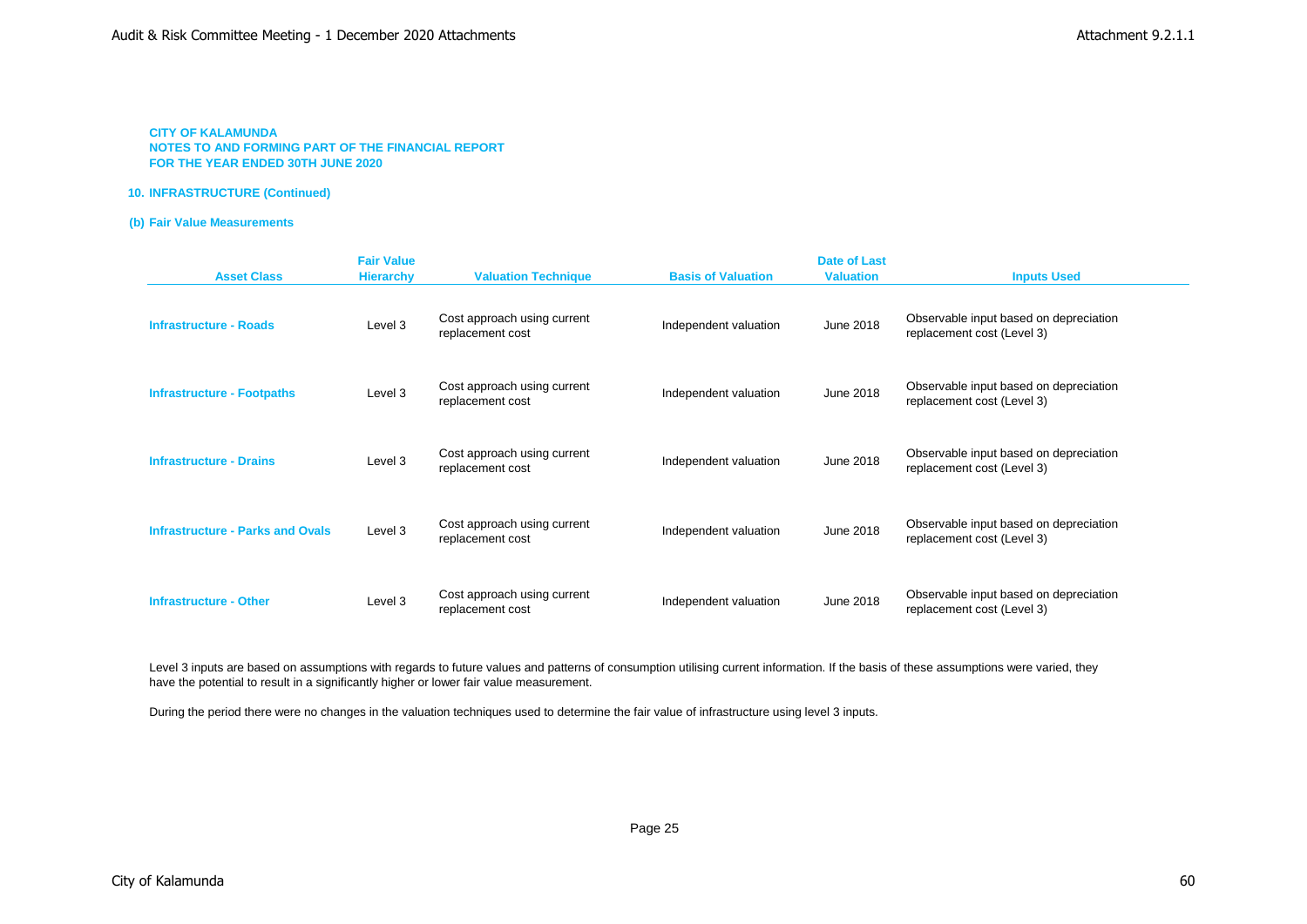### **10. INFRASTRUCTURE (Continued)**

# **(b) Fair Value Measurements**

| <b>Asset Class</b>                      | <b>Fair Value</b><br><b>Hierarchy</b> | <b>Valuation Technique</b>                      | <b>Basis of Valuation</b> | <b>Date of Last</b><br><b>Valuation</b> | <b>Inputs Used</b>                                                   |
|-----------------------------------------|---------------------------------------|-------------------------------------------------|---------------------------|-----------------------------------------|----------------------------------------------------------------------|
| <b>Infrastructure - Roads</b>           | Level 3                               | Cost approach using current<br>replacement cost | Independent valuation     | June 2018                               | Observable input based on depreciation<br>replacement cost (Level 3) |
| <b>Infrastructure - Footpaths</b>       | Level 3                               | Cost approach using current<br>replacement cost | Independent valuation     | June 2018                               | Observable input based on depreciation<br>replacement cost (Level 3) |
| <b>Infrastructure - Drains</b>          | Level 3                               | Cost approach using current<br>replacement cost | Independent valuation     | June 2018                               | Observable input based on depreciation<br>replacement cost (Level 3) |
| <b>Infrastructure - Parks and Ovals</b> | Level 3                               | Cost approach using current<br>replacement cost | Independent valuation     | June 2018                               | Observable input based on depreciation<br>replacement cost (Level 3) |
| <b>Infrastructure - Other</b>           | Level 3                               | Cost approach using current<br>replacement cost | Independent valuation     | June 2018                               | Observable input based on depreciation<br>replacement cost (Level 3) |

Level 3 inputs are based on assumptions with regards to future values and patterns of consumption utilising current information. If the basis of these assumptions were varied, they have the potential to result in a significantly higher or lower fair value measurement.

During the period there were no changes in the valuation techniques used to determine the fair value of infrastructure using level 3 inputs.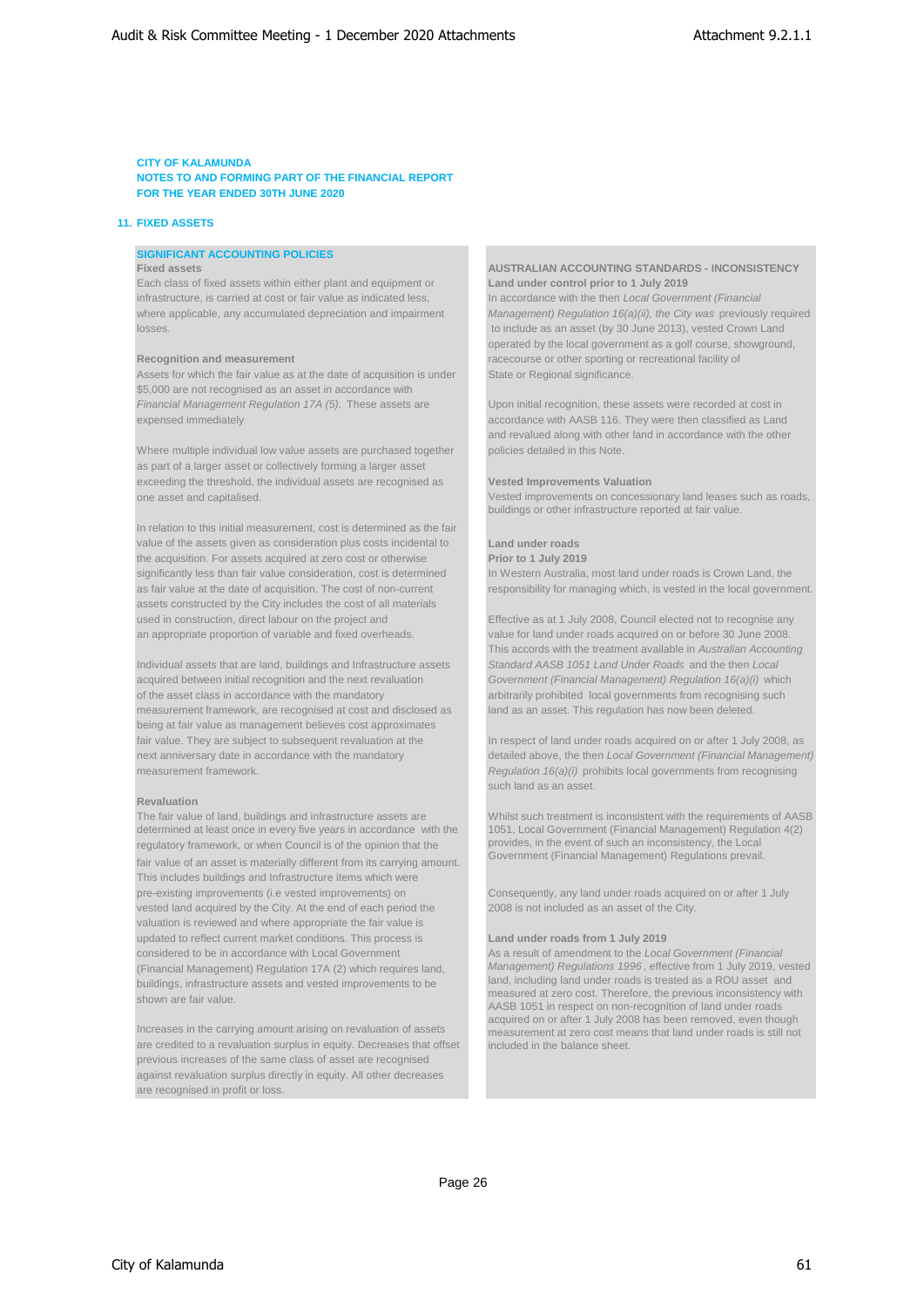### **11. FIXED ASSETS**

# **SIGNIFICANT ACCOUNTING POLICIES**

Each class of fixed assets within either plant and equipment or **Land under control prior to 1 July 2019** infrastructure, is carried at cost or fair value as indicated less, In accordance with the then *Local Government (Financial*  losses. to include as an asset (by 30 June 2013), vested Crown Land

Assets for which the fair value as at the date of acquisition is under State or Regional significance. \$5,000 are not recognised as an asset in accordance with *Financial Management Regulation 17A (5).* These assets are Upon initial recognition, these assets were recorded at cost in expensed immediately accordance with AASB 116. They were then classified as Land

Where multiple individual low value assets are purchased together policies detailed in this Note. as part of a larger asset or collectively forming a larger asset exceeding the threshold, the individual assets are recognised as **Vested Improvements Valuation**  one asset and capitalised.

In relation to this initial measurement, cost is determined as the fair value of the assets given as consideration plus costs incidental to **Land under roads** the acquisition. For assets acquired at zero cost or otherwise **Prior to 1 July 2019** significantly less than fair value consideration, cost is determined In Western Australia, most land under roads is Crown Land, the as fair value at the date of acquisition. The cost of non-current responsibility for managing which, is vested in the local government. assets constructed by the City includes the cost of all materials used in construction, direct labour on the project and Effective as at 1 July 2008, Council elected not to recognise any an appropriate proportion of variable and fixed overheads. value for land under roads acquired on or before 30 June 2008.

acquired between initial recognition and the next revaluation *Government (Financial Management) Regulation 16(a)(i)* which of the asset class in accordance with the mandatory arbitrarily prohibited local governments from recognising such measurement framework, are recognised at cost and disclosed as land as an asset. This regulation has now been deleted. being at fair value as management believes cost approximates fair value. They are subject to subsequent revaluation at the In respect of land under roads acquired on or after 1 July 2008, as measurement framework. **Regulation 16(a)(i)** prohibits local governments from recognising

#### **Revaluation**

The fair value of land, buildings and infrastructure assets are determined at least once in every five years in accordance with the regulatory framework, or when Council is of the opinion that the fair value of an asset is materially different from its carrying amount. This includes buildings and Infrastructure items which were pre-existing improvements (i.e vested improvements) on Consequently, any land under roads acquired on or after 1 July vested land acquired by the City. At the end of each period the 2008 is not included as an asset of the City. valuation is reviewed and where appropriate the fair value is updated to reflect current market conditions. This process is **Land under roads from 1 July 2019** considered to be in accordance with Local Government (Financial Management) Regulation 17A (2) which requires land, buildings, infrastructure assets and vested improvements to be shown are fair value.

Increases in the carrying amount arising on revaluation of assets are credited to a revaluation surplus in equity. Decreases that offset previous increases of the same class of asset are recognised against revaluation surplus directly in equity. All other decreases are recognised in profit or loss.

# **Fixed assets AUSTRALIAN ACCOUNTING STANDARDS - INCONSISTENCY**

where applicable, any accumulated depreciation and impairment *Management) Regulation 16(a)(ii), the City was previously required* operated by the local government as a golf course, showground, **Recognition and measurement racecourse or other sporting or recreational facility of** 

and revalued along with other land in accordance with the other

Vested improvements on concessionary land leases such as roads, buildings or other infrastructure reported at fair value.

This accords with the treatment available in *Australian Accounting*  Individual assets that are land, buildings and Infrastructure assets *Standard AASB 1051 Land Under Roads* and the then *Local* 

next anniversary date in accordance with the mandatory detailed above, the then *Local Government (Financial Management)*  such land as an asset.

> Whilst such treatment is inconsistent with the requirements of AASB 1051, Local Government (Financial Management) Regulation 4(2) provides, in the event of such an inconsistency, the Local Government (Financial Management) Regulations prevail.

As a result of amendment to the *Local Government (Financial Management) Regulations 1996* , effective from 1 July 2019, vested land, including land under roads is treated as a ROU asset and measured at zero cost. Therefore, the previous inconsistency with AASB 1051 in respect on non-recognition of land under roads acquired on or after 1 July 2008 has been removed, even though measurement at zero cost means that land under roads is still not ncluded in the balance sheet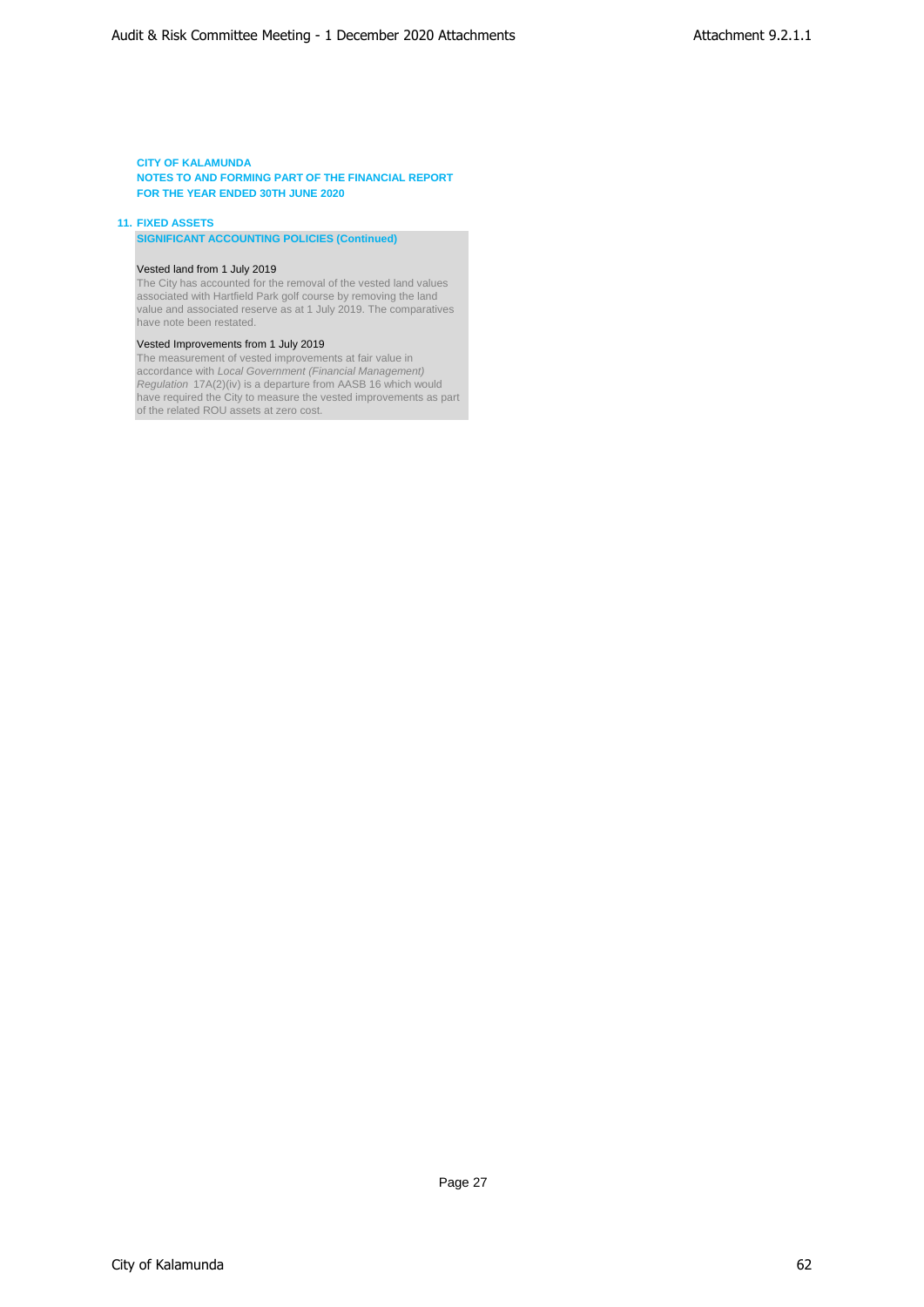### **11. FIXED ASSETS**

**SIGNIFICANT ACCOUNTING POLICIES (Continued)**

#### Vested land from 1 July 2019

The City has accounted for the removal of the vested land values associated with Hartfield Park golf course by removing the land value and associated reserve as at 1 July 2019. The comparatives have note been restated.

### Vested Improvements from 1 July 2019

The measurement of vested improvements at fair value in accordance with *Local Government (Financial Management) Regulation* 17A(2)(iv) is a departure from AASB 16 which would have required the City to measure the vested improvements as part of the related ROU assets at zero cost.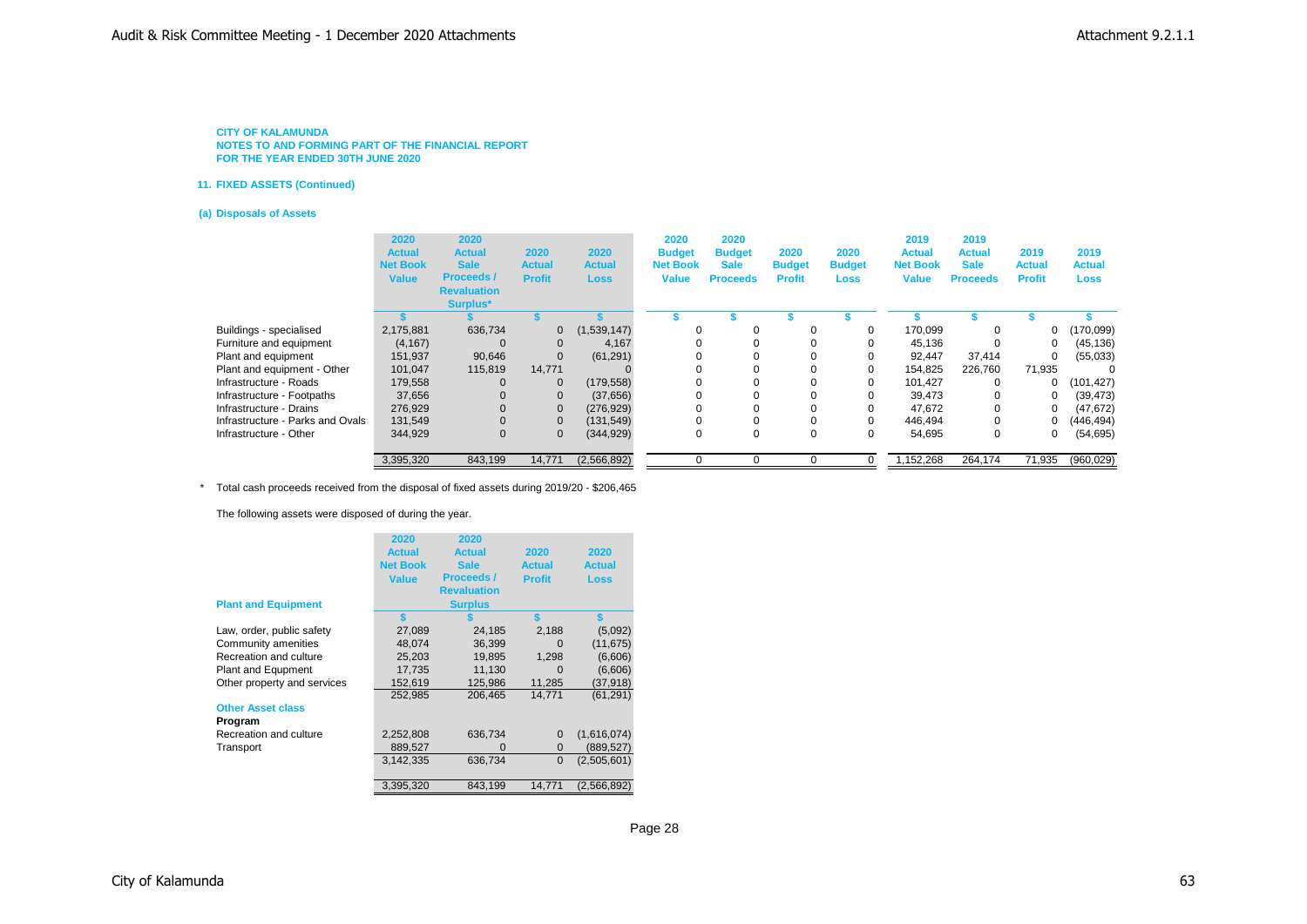#### **11. FIXED ASSETS (Continued)**

#### **(a) Disposals of Assets**

|                                  | 2020<br><b>Actual</b><br><b>Net Book</b><br><b>Value</b> | 2020<br><b>Actual</b><br><b>Sale</b><br><b>Proceeds/</b><br><b>Revaluation</b><br>Surplus* | 2020<br><b>Actual</b><br><b>Profit</b> | 2020<br><b>Actual</b><br><b>Loss</b> | 2020<br><b>Budget</b><br><b>Net Book</b><br><b>Value</b> | 2020<br><b>Budget</b><br><b>Sale</b><br><b>Proceeds</b> | 2020<br><b>Budget</b><br><b>Profit</b> | 2020<br><b>Budget</b><br>Loss | 2019<br><b>Actual</b><br><b>Net Book</b><br><b>Value</b> | 2019<br><b>Actual</b><br><b>Sale</b><br><b>Proceeds</b> | 2019<br><b>Actual</b><br><b>Profit</b> | 2019<br><b>Actual</b><br><b>Loss</b> |
|----------------------------------|----------------------------------------------------------|--------------------------------------------------------------------------------------------|----------------------------------------|--------------------------------------|----------------------------------------------------------|---------------------------------------------------------|----------------------------------------|-------------------------------|----------------------------------------------------------|---------------------------------------------------------|----------------------------------------|--------------------------------------|
|                                  |                                                          |                                                                                            |                                        |                                      |                                                          |                                                         |                                        |                               |                                                          |                                                         |                                        |                                      |
| Buildings - specialised          | 2,175,881                                                | 636,734                                                                                    | $\mathbf{0}$                           | (1,539,147)                          | 0                                                        | 0                                                       |                                        | 0                             | 170.099                                                  | 0                                                       | 0                                      | (170,099)                            |
| Furniture and equipment          | (4, 167)                                                 |                                                                                            | $\mathbf{0}$                           | 4,167                                | $\Omega$                                                 |                                                         |                                        | 0                             | 45.136                                                   | $\Omega$                                                | 0                                      | (45, 136)                            |
| Plant and equipment              | 151,937                                                  | 90,646                                                                                     | $\mathbf{0}$                           | (61, 291)                            |                                                          |                                                         |                                        | 0                             | 92.447                                                   | 37,414                                                  | 0                                      | (55,033)                             |
| Plant and equipment - Other      | 101.047                                                  | 115,819                                                                                    | 14.771                                 |                                      |                                                          |                                                         |                                        | 0                             | 154.825                                                  | 226,760                                                 | 71,935                                 |                                      |
| Infrastructure - Roads           | 179,558                                                  |                                                                                            | $\mathbf 0$                            | (179, 558)                           | $\Omega$                                                 |                                                         |                                        | 0                             | 101.427                                                  | $\Omega$                                                | 0                                      | (101, 427)                           |
| Infrastructure - Footpaths       | 37,656                                                   |                                                                                            | $\mathbf{0}$                           | (37,656)                             |                                                          |                                                         |                                        |                               | 39,473                                                   | 0                                                       | 0                                      | (39, 473)                            |
| Infrastructure - Drains          | 276,929                                                  |                                                                                            | $\mathbf 0$                            | (276, 929)                           |                                                          |                                                         |                                        |                               | 47,672                                                   | $\Omega$                                                | 0                                      | (47, 672)                            |
| Infrastructure - Parks and Ovals | 131,549                                                  |                                                                                            | $\mathbf 0$                            | (131, 549)                           |                                                          |                                                         |                                        | 0                             | 446.494                                                  | 0                                                       | 0                                      | (446, 494)                           |
| Infrastructure - Other           | 344,929                                                  | 0                                                                                          | $\mathbf 0$                            | (344, 929)                           |                                                          | 0                                                       |                                        | 0                             | 54,695                                                   | 0                                                       | 0                                      | (54, 695)                            |
|                                  | 3,395,320                                                | 843,199                                                                                    | 14,771                                 | (2,566,892)                          |                                                          |                                                         |                                        |                               | 1,152,268                                                | 264,174                                                 | 71,935                                 | (960, 029)                           |

\* Total cash proceeds received from the disposal of fixed assets during 2019/20 - \$206,465

The following assets were disposed of during the year.

|                             | 2020<br><b>Actual</b><br><b>Net Book</b><br><b>Value</b> | 2020<br><b>Actual</b><br><b>Sale</b><br><b>Proceeds /</b><br><b>Revaluation</b> | 2020<br><b>Actual</b><br><b>Profit</b> | 2020<br><b>Actual</b><br><b>Loss</b> |
|-----------------------------|----------------------------------------------------------|---------------------------------------------------------------------------------|----------------------------------------|--------------------------------------|
| <b>Plant and Equipment</b>  |                                                          | <b>Surplus</b>                                                                  |                                        |                                      |
|                             | \$                                                       |                                                                                 |                                        |                                      |
| Law, order, public safety   | 27,089                                                   | 24,185                                                                          | 2,188                                  | (5,092)                              |
| Community amenities         | 48,074                                                   | 36,399                                                                          | 0                                      | (11, 675)                            |
| Recreation and culture      | 25,203                                                   | 19,895                                                                          | 1,298                                  | (6,606)                              |
| Plant and Equpment          | 17,735                                                   | 11,130                                                                          | $\Omega$                               | (6,606)                              |
| Other property and services | 152,619                                                  | 125,986                                                                         | 11,285                                 | (37,918)                             |
|                             | 252,985                                                  | 206,465                                                                         | 14,771                                 | (61,291)                             |
| <b>Other Asset class</b>    |                                                          |                                                                                 |                                        |                                      |
| Program                     |                                                          |                                                                                 |                                        |                                      |
| Recreation and culture      | 2,252,808                                                | 636,734                                                                         | $\mathbf{0}$                           | (1,616,074)                          |
| Transport                   | 889,527                                                  | $\Omega$                                                                        | $\mathbf{0}$                           | (889,527)                            |
|                             | 3,142,335                                                | 636,734                                                                         | $\mathbf 0$                            | (2,505,601)                          |
|                             | 3,395,320                                                | 843,199                                                                         | 14,771                                 | (2,566,892)                          |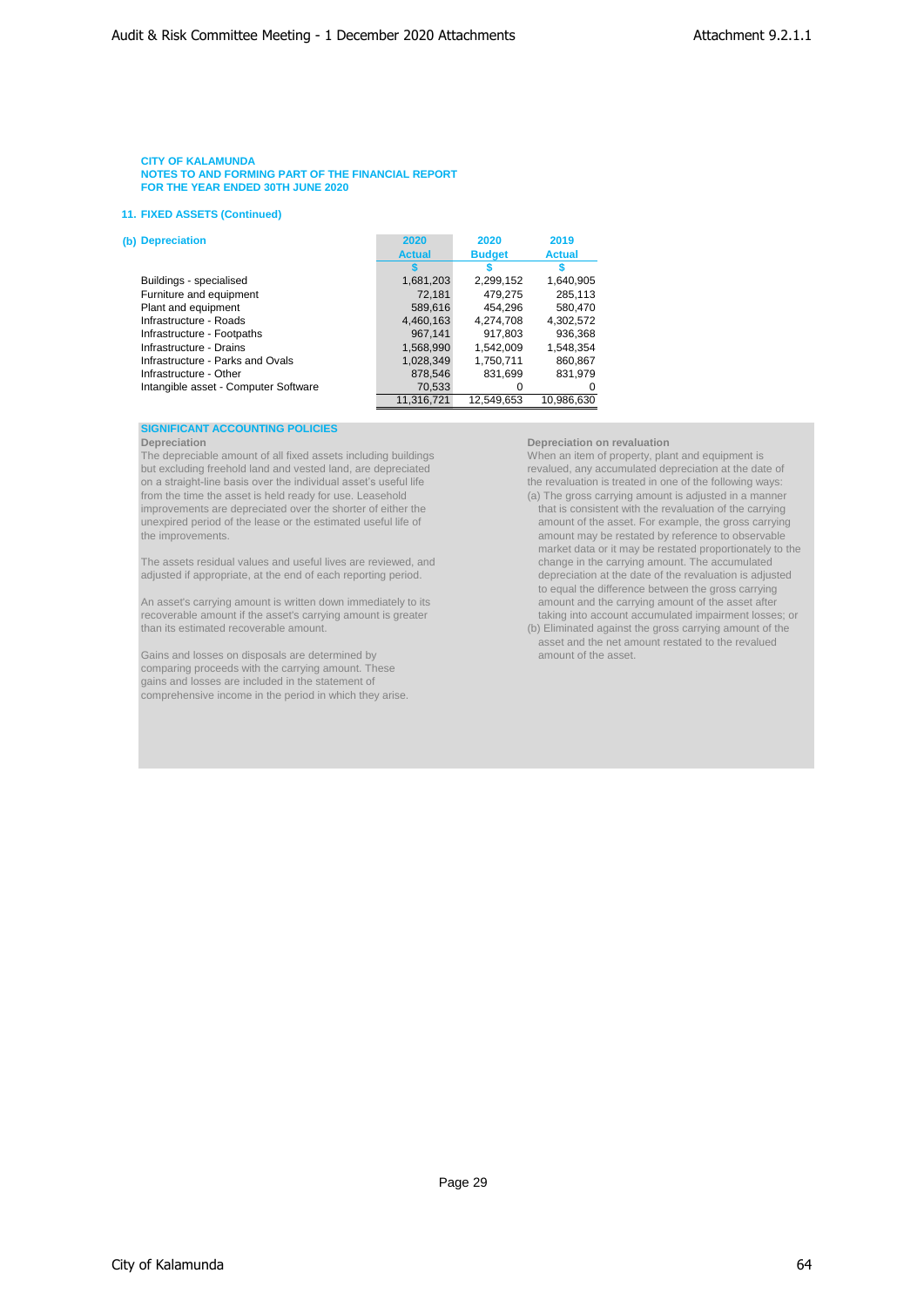## **11. FIXED ASSETS (Continued)**

| (b) Depreciation                     | 2020          | 2020          | 2019          |
|--------------------------------------|---------------|---------------|---------------|
|                                      | <b>Actual</b> | <b>Budget</b> | <b>Actual</b> |
|                                      |               |               |               |
| Buildings - specialised              | 1,681,203     | 2,299,152     | 1,640,905     |
| Furniture and equipment              | 72,181        | 479,275       | 285,113       |
| Plant and equipment                  | 589,616       | 454.296       | 580.470       |
| Infrastructure - Roads               | 4,460,163     | 4,274,708     | 4,302,572     |
| Infrastructure - Footpaths           | 967,141       | 917.803       | 936.368       |
| Infrastructure - Drains              | 1,568,990     | 1.542.009     | 1,548,354     |
| Infrastructure - Parks and Ovals     | 1,028,349     | 1,750,711     | 860,867       |
| Infrastructure - Other               | 878,546       | 831,699       | 831.979       |
| Intangible asset - Computer Software | 70,533        | 0             |               |
|                                      | 11.316.721    | 12.549.653    | 10.986.630    |

### **SIGNIFICANT ACCOUNTING POLICIES**

The depreciable amount of all fixed assets including buildings When an item of property, plant and equipment is but excluding freehold land and vested land, are depreciated revalued, any accumulated depreciation at the date of on a straight-line basis over the individual asset's useful life the revaluation is treated in one of the f on a straight-line basis over the individual asset's useful life from the time the asset is held ready for use. Leasehold (a) The gross carrying amount is adjusted in a manner improvements are depreciated over the shorter of either the that is consistent with the revaluation of the carrying<br>unexpired period of the lease or the estimated useful life of a mount of the asset. For example, the gross unexpired period of the lease or the estimated useful life of the improvements.

adjusted if appropriate, at the end of each reporting period.

An asset's carrying amount is written down immediately to its amount and the carrying amount of the asset after recoverable amount if the asset's carrying amount is greater that is a staking into account accumulated impairment losses; or than its estimated recoverable amount. (b) Eliminated against the gross carrying amount of the

Gains and losses on disposals are determined by comparing proceeds with the carrying amount. These gains and losses are included in the statement of comprehensive income in the period in which they arise.

**Depreciation Depreciation on revaluation**

amount may be restated by reference to observable market data or it may be restated proportionately to the change in the carrying amount. The accumulated The assets residual values and useful lives are reviewed, and change in the carrying amount. The accumulated<br>The adjusted if appropriate, at the end of each reporting period. The accumulation is adjusted if appropriate, to equal the difference between the gross carrying

asset and the net amount restated to the revalued<br>amount of the asset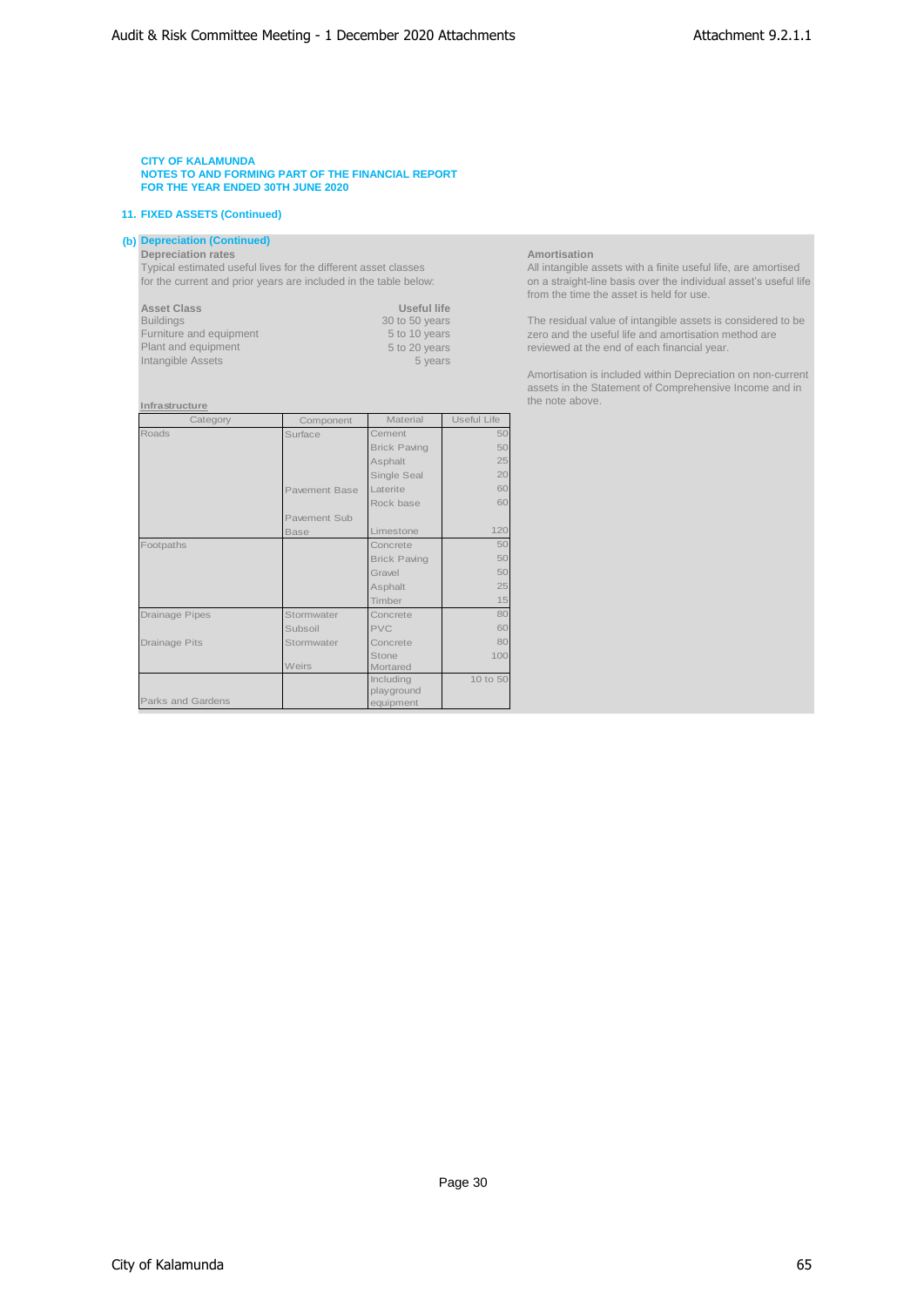# **11. FIXED ASSETS (Continued)**

# **(b) Depreciation (Continued)**

**Depreciation rates Amortisation**

Typical estimated useful lives for the different asset classes All intangible assets with a finite useful life, are amortised for the current and prior years are included in the table below: on a straight-line basis over the individual asset's useful life

| Useful life    |
|----------------|
| 30 to 50 years |
| 5 to 10 years  |
| 5 to 20 years  |
| 5 years        |
|                |

### **Infrastructure**

| Category              | Component            | Material                | Useful Life |
|-----------------------|----------------------|-------------------------|-------------|
| Roads                 | Surface              | Cement                  | 50          |
|                       |                      | <b>Brick Paving</b>     | 50          |
|                       |                      | Asphalt                 | 25          |
|                       |                      | Single Seal             | 20          |
|                       | <b>Pavement Base</b> | Laterite                | 60          |
|                       |                      | Rock base               | 60          |
|                       | Pavement Sub         |                         |             |
|                       | <b>Base</b>          | Limestone               | 120         |
| Footpaths             |                      | Concrete                | 50          |
|                       |                      | <b>Brick Paving</b>     | 50          |
|                       |                      | Gravel                  | 50          |
|                       |                      | Asphalt                 | 25          |
|                       |                      | Timber                  | 15          |
| <b>Drainage Pipes</b> | Stormwater           | Concrete                | 80          |
|                       | Subsoil              | <b>PVC</b>              | 60          |
| Drainage Pits         | Stormwater           | Concrete                | 80          |
|                       |                      | Stone                   | 100         |
|                       | Weirs                | Mortared                |             |
|                       |                      | Including               | 10 to 50    |
| Parks and Gardens     |                      | playground<br>equipment |             |

from the time the asset is held for use.

The residual value of intangible assets is considered to be zero and the useful life and amortisation method are reviewed at the end of each financial year.

Amortisation is included within Depreciation on non-current assets in the Statement of Comprehensive Income and in the note above.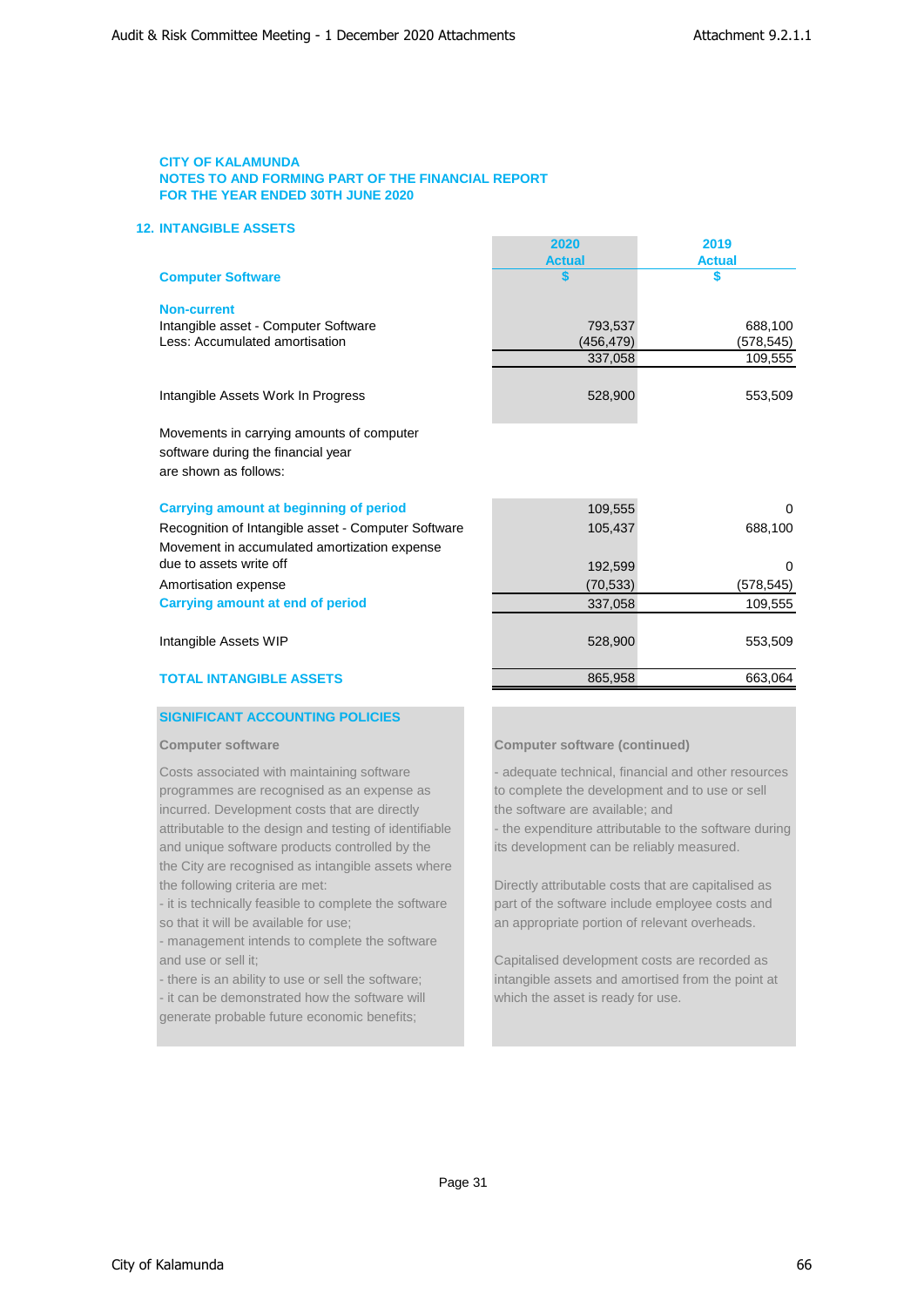# **12. INTANGIBLE ASSETS**

|                                                                                                          | <b>Actual</b> | <b>Actual</b> |
|----------------------------------------------------------------------------------------------------------|---------------|---------------|
| <b>Computer Software</b>                                                                                 |               |               |
| <b>Non-current</b>                                                                                       |               |               |
| Intangible asset - Computer Software                                                                     | 793.537       | 688,100       |
| Less: Accumulated amortisation                                                                           | (456,479)     | (578,545)     |
|                                                                                                          | 337,058       | 109,555       |
| Intangible Assets Work In Progress                                                                       | 528,900       | 553,509       |
| Movements in carrying amounts of computer<br>software during the financial year<br>are shown as follows: |               |               |
| Carrying amount at beginning of period                                                                   | 109,555       | $\Omega$      |
| Recognition of Intangible asset - Computer Software                                                      | 105,437       | 688,100       |
| Movement in accumulated amortization expense                                                             |               |               |
| due to assets write off                                                                                  | 192,599       | $\Omega$      |
| Amortisation expense                                                                                     | (70, 533)     | (578,545)     |
| <b>Carrying amount at end of period</b>                                                                  | 337,058       | 109,555       |
| Intangible Assets WIP                                                                                    | 528,900       | 553,509       |
| <b>TOTAL INTANGIBLE ASSETS</b>                                                                           | 865,958       | 663,064       |

# **SIGNIFICANT ACCOUNTING POLICIES**

programmes are recognised as an expense as to complete the development and to use or sell incurred. Development costs that are directly the software are available; and and unique software products controlled by the its development can be reliably measured. the City are recognised as intangible assets where the following criteria are met: Directly attributable costs that are capitalised as

so that it will be available for use; an appropriate portion of relevant overheads.

- management intends to complete the software and use or sell it; Capitalised development costs are recorded as

generate probable future economic benefits;

# **Computer software Computer software (continued)**

**2020 2019**

Costs associated with maintaining software - - - - adequate technical, financial and other resources attributable to the design and testing of identifiable - the expenditure attributable to the software during

- it is technically feasible to complete the software part of the software include employee costs and

- there is an ability to use or sell the software; intangible assets and amortised from the point at - it can be demonstrated how the software will which the asset is ready for use.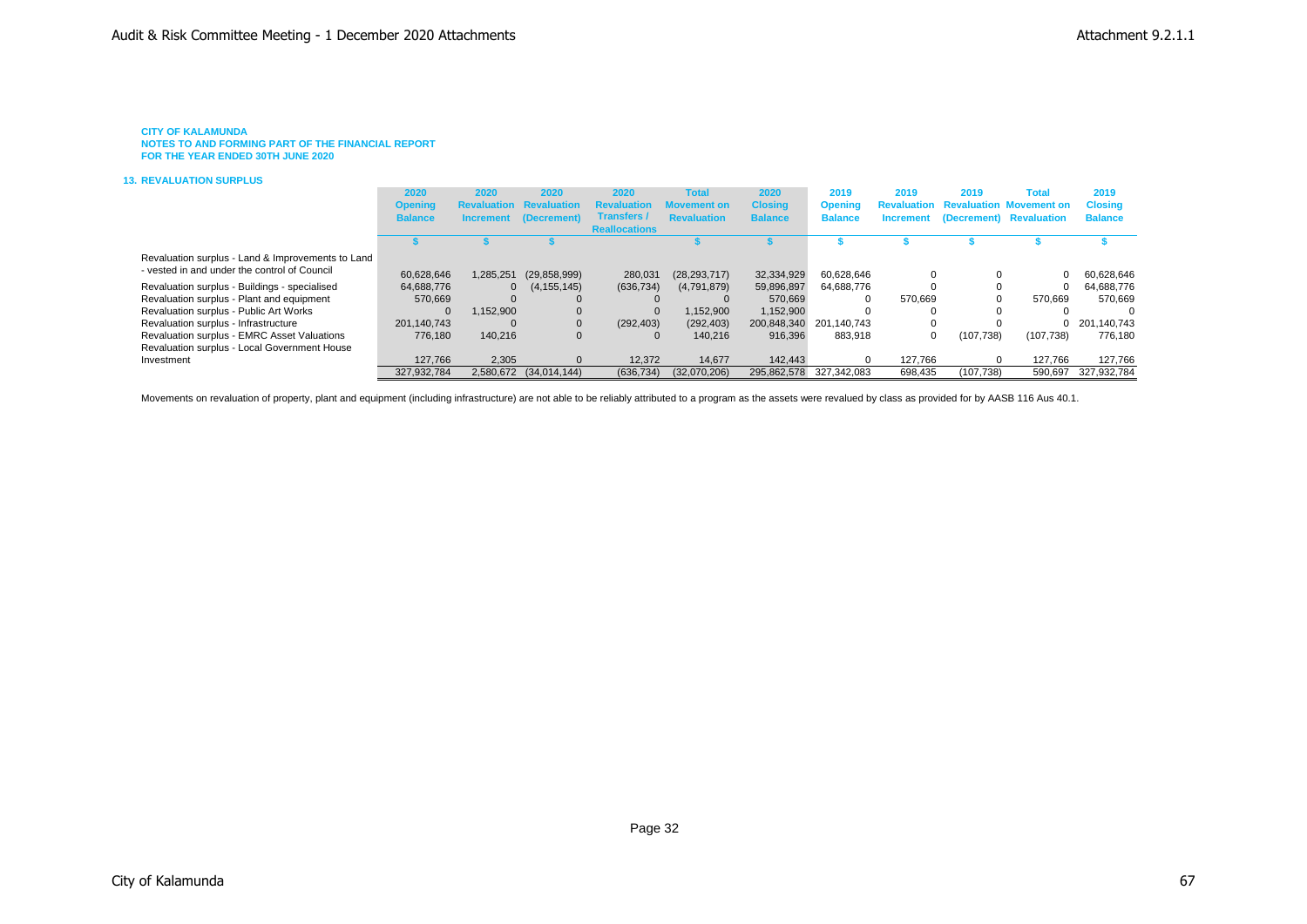**NOTES TO AND FORMING PART OF THE FINANCIAL REPORT FOR THE YEAR ENDED 30TH JUNE 2020**

#### **13. REVALUATION SURPLUS**

|                                                   | 2020           | 2020               | 2020           | 2020                 | <b>Total</b>       | 2020           | 2019           | 2019    | 2019       | Total                                      | 2019           |
|---------------------------------------------------|----------------|--------------------|----------------|----------------------|--------------------|----------------|----------------|---------|------------|--------------------------------------------|----------------|
|                                                   | <b>Opening</b> | <b>Revaluation</b> | uation         | <b>Revaluation</b>   | Movement on        | <b>Closing</b> | <b>Opening</b> |         |            | <b>Revaluation Revaluation Movement on</b> | <b>Closing</b> |
|                                                   | <b>Balance</b> | <b>Increment</b>   | (Decrement)    | Transfers /          | <b>Revaluation</b> | <b>Balance</b> | <b>Balance</b> |         |            | Increment (Decrement) Revaluation          | <b>Balance</b> |
|                                                   |                |                    |                | <b>Reallocations</b> |                    |                |                |         |            |                                            |                |
|                                                   |                |                    |                |                      |                    |                |                |         |            |                                            |                |
| Revaluation surplus - Land & Improvements to Land |                |                    |                |                      |                    |                |                |         |            |                                            |                |
| - vested in and under the control of Council      | 60.628.646     | 1,285,251          | (29, 858, 999) | 280,031              | (28, 293, 717)     | 32.334.929     | 60.628.646     |         |            | 0                                          | 60.628.646     |
| Revaluation surplus - Buildings - specialised     | 64.688.776     | $\mathbf{0}$       | (4, 155, 145)  | (636, 734)           | (4,791,879)        | 59,896,897     | 64,688,776     |         |            |                                            | 64.688.776     |
| Revaluation surplus - Plant and equipment         | 570,669        |                    |                |                      |                    | 570.669        | $\Omega$       | 570.669 | 0          | 570.669                                    | 570.669        |
| Revaluation surplus - Public Art Works            | $\mathbf 0$    | ,152,900           |                |                      | 1.152.900          | 1,152,900      |                |         |            |                                            |                |
| Revaluation surplus - Infrastructure              | 201.140.743    |                    |                | (292, 403)           | (292, 403)         | 200,848,340    | 201.140.743    | 0       |            | 0                                          | 201.140.743    |
| Revaluation surplus - EMRC Asset Valuations       | 776.180        | 140.216            |                | $\Omega$             | 140.216            | 916,396        | 883.918        | 0       | (107, 738) | (107, 738)                                 | 776.180        |
| Revaluation surplus - Local Government House      |                |                    |                |                      |                    |                |                |         |            |                                            |                |
| Investment                                        | 127.766        | 2.305              |                | 12.372               | 14.677             | 142,443        |                | 127.766 | $\Omega$   | 127.766                                    | 127,766        |
|                                                   | 327.932.784    | 2.580.672          | (34.014.144)   | (636, 734)           | (32.070.206)       | 295.862.578    | 327.342.083    | 698.435 | (107.738)  | 590.697                                    | 327.932.784    |

Movements on revaluation of property, plant and equipment (including infrastructure) are not able to be reliably attributed to a program as the assets were revalued by class as provided for by AASB 116 Aus 40.1.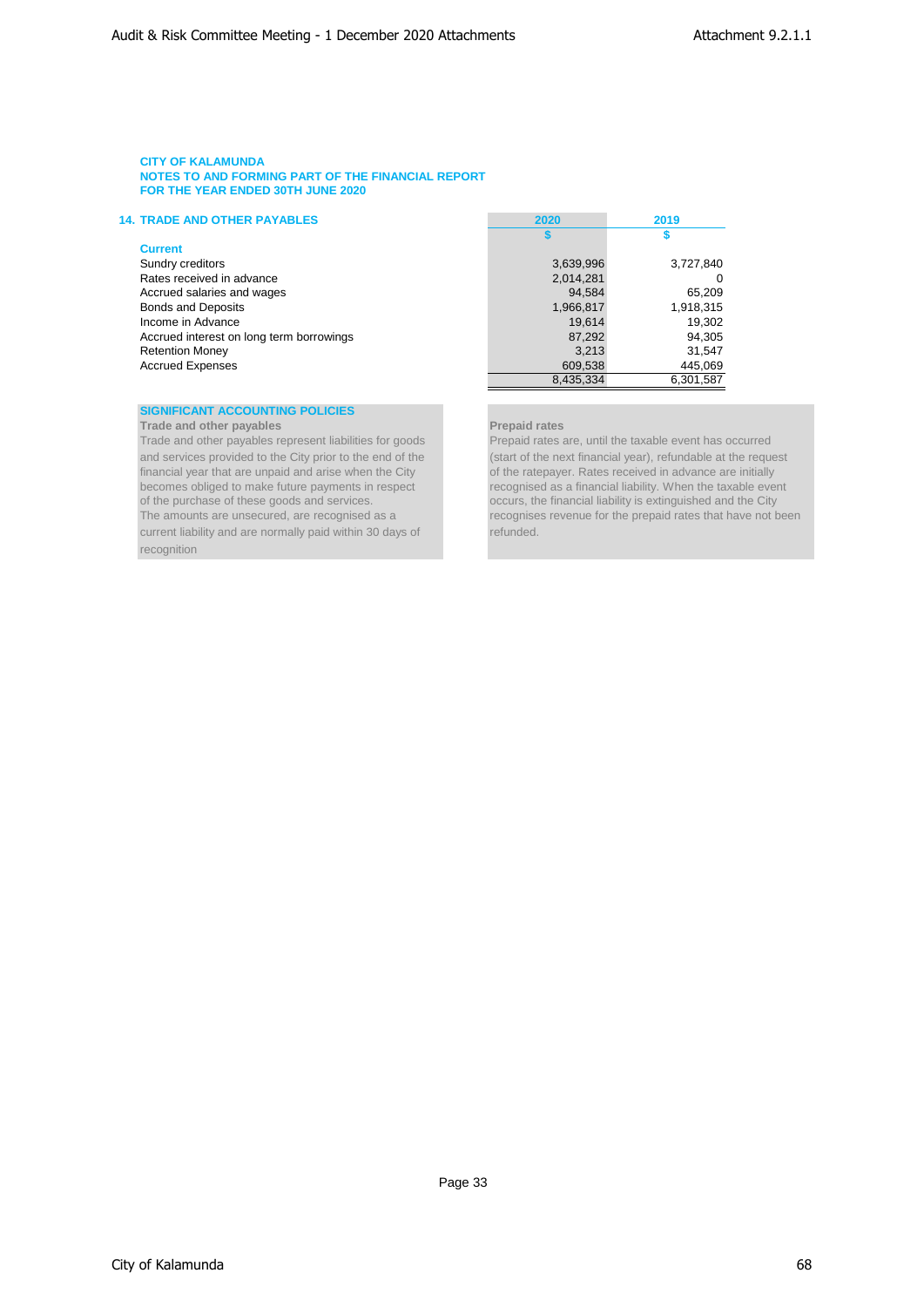| <b>14. TRADE AND OTHER PAYABLES</b>      | 2020      | 2019      |
|------------------------------------------|-----------|-----------|
|                                          |           |           |
| <b>Current</b>                           |           |           |
| Sundry creditors                         | 3,639,996 | 3,727,840 |
| Rates received in advance                | 2,014,281 | 0         |
| Accrued salaries and wages               | 94,584    | 65,209    |
| <b>Bonds and Deposits</b>                | 1,966,817 | 1,918,315 |
| Income in Advance                        | 19.614    | 19,302    |
| Accrued interest on long term borrowings | 87,292    | 94,305    |
| <b>Retention Money</b>                   | 3.213     | 31.547    |
| <b>Accrued Expenses</b>                  | 609,538   | 445,069   |
|                                          | 8,435,334 | 6.301.587 |

# **SIGNIFICANT ACCOUNTING POLICIES**

**Trade and other payables**<br> **Trade and other payables represent liabilities for goods**<br> **Prepaid rates are, until the taxable event has occurred** Trade and other payables represent liabilities for goods current liability and are normally paid within 30 days of refunded. recognition

and services provided to the City prior to the end of the (start of the next financial year), refundable at the request financial year that are unpaid and arise when the City of the ratepayer. Rates received in advance are of the ratepayer. Rates received in advance are initially becomes obliged to make future payments in respect recognised as a financial liability. When the taxable event of the purchase of these goods and services.<br>
occurs, the financial liability is extinguished and the City of the purchase of these goods and services.<br>The amounts are unsecured, are recognised as a service of the prepaid rates that have not be prepaid rates that have not be prepaid rates that have not be prepaid rates that hav recognises revenue for the prepaid rates that have not been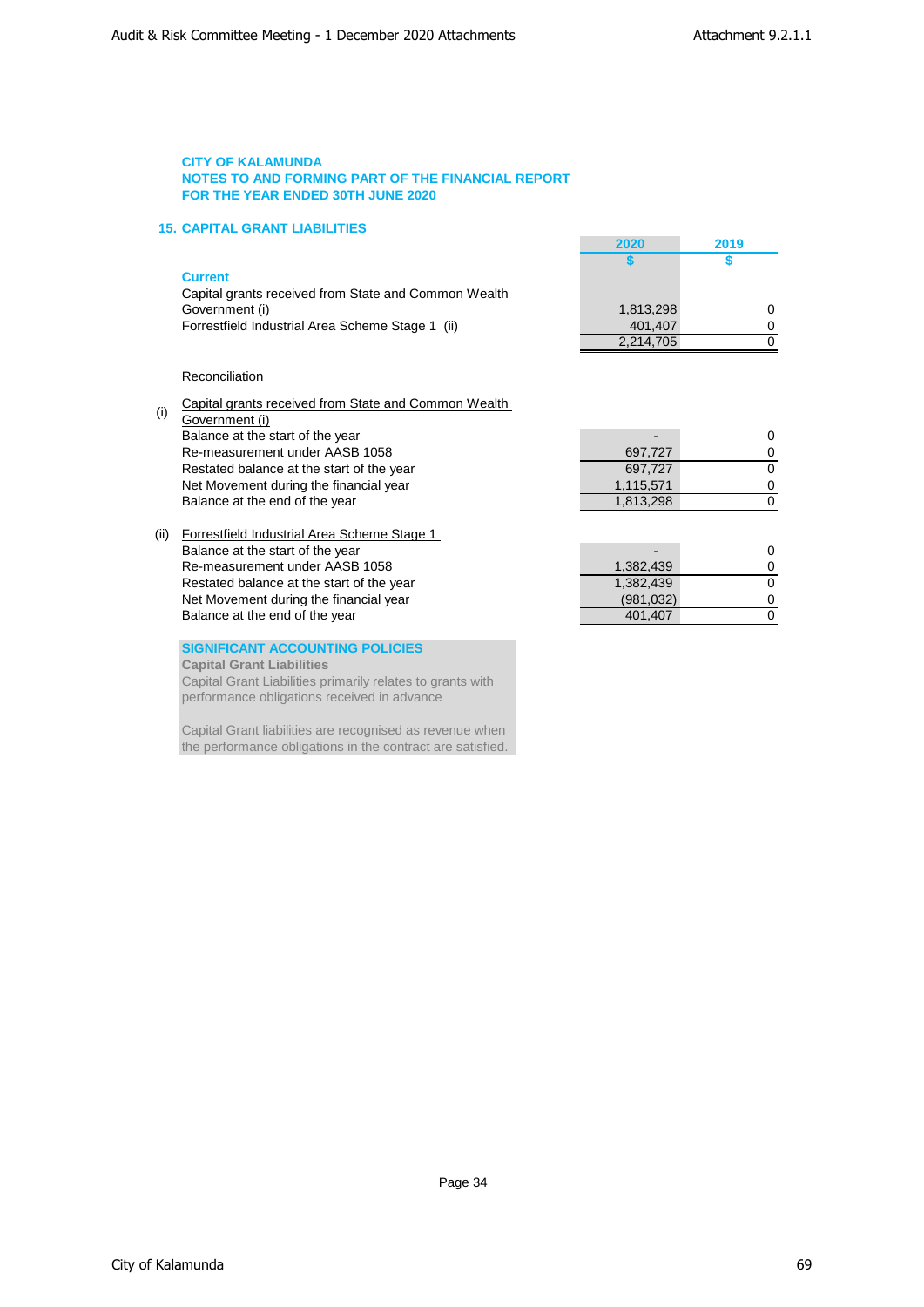# **15. CAPITAL GRANT LIABILITIES**

|     | P. |  |     |  |
|-----|----|--|-----|--|
| ___ |    |  | ___ |  |

| Capital grants received from State and Common Wealth |           |  |
|------------------------------------------------------|-----------|--|
| Government (i)                                       | 1.813.298 |  |
| Forrestfield Industrial Area Scheme Stage 1 (ii)     | 401.407   |  |

| 2020      | 2019 |
|-----------|------|
|           | S    |
|           |      |
|           |      |
| 1,813,298 | O    |
| 401,407   | O    |
| 2,214,705 |      |

# **Reconciliation**

(i) Capital grants received from State and Common Wealth

- Government (i) Balance at the start of the year  $\sim$  0 Re-measurement under AASB 1058 **697,727** 0 Restated balance at the start of the year 697,727 6<br>
Net Movement during the financial year 1,115,571 0 Net Movement during the financial year 1,115,571 0<br>Balance at the end of the year 1,813,298 0 Balance at the end of the year
- (ii) Forrestfield Industrial Area Scheme Stage 1 Balance at the start of the year 100 method of the start of the year 1.382,439 method of the year 1.382,439 method of the year 1.382,439 method of the year 1.382,439 method of the year 1.382,439 method of the year 1.382,43 Re-measurement under AASB 1058 1 and 1,382,439 1,382,439 0 Restated balance at the start of the year 1,382,439 0 Net Movement during the financial year (981,032) 0<br>
Balance at the end of the year (981,032) 0<br>
0 Balance at the end of the year 1980 of the search 10 and 201,407 0 and 401,407 0 and 401,407 0 and 401,407 0  $\sigma$

# **SIGNIFICANT ACCOUNTING POLICIES**

**Capital Grant Liabilities**

Capital Grant Liabilities primarily relates to grants with performance obligations received in advance

Capital Grant liabilities are recognised as revenue when the performance obligations in the contract are satisfied.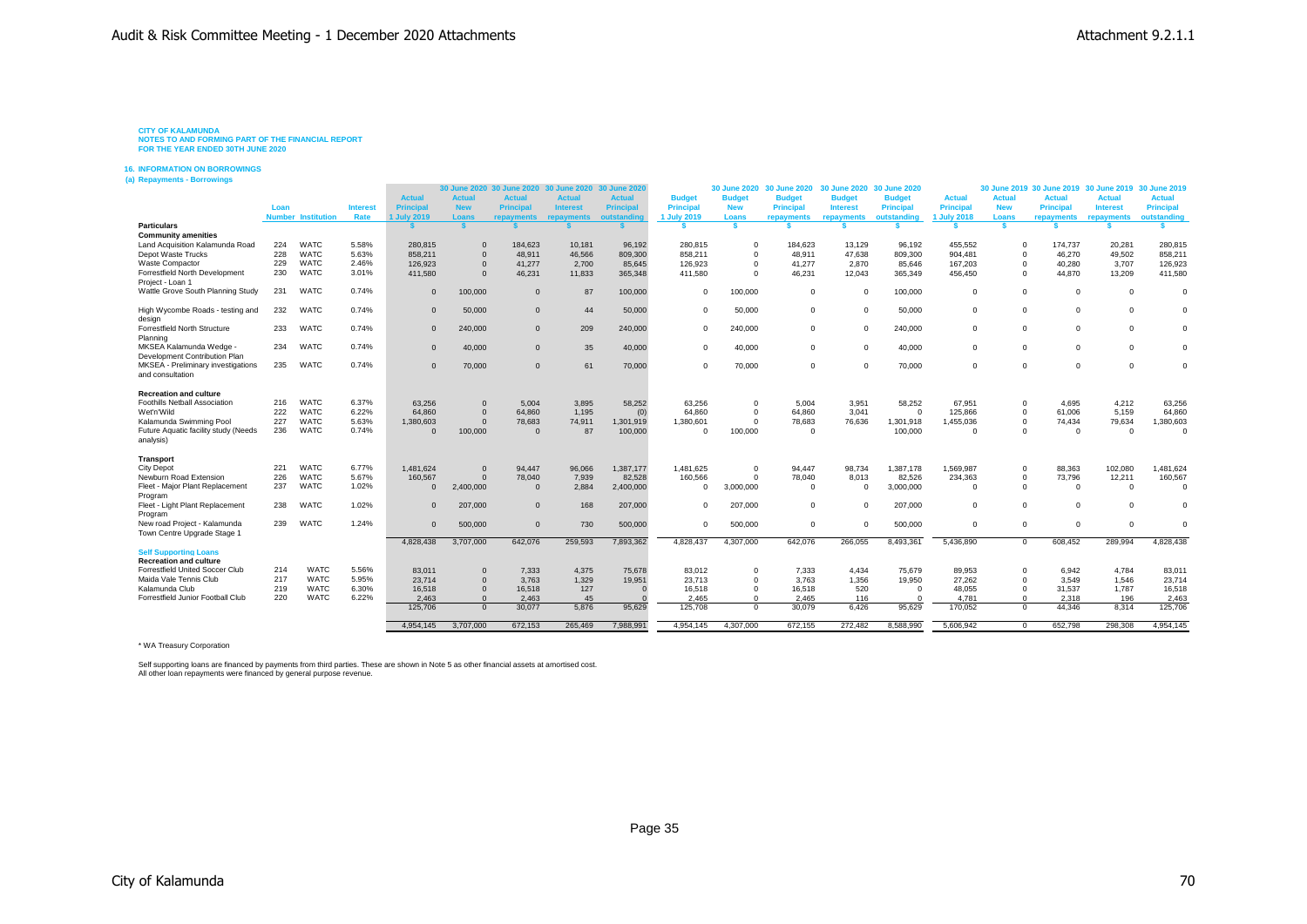**CITY OF KALAMUNDA NOTES TO AND FORMING PART OF THE FINANCIAL REPORT FOR THE YEAR ENDED 30TH JUNE 2020**

#### **16. INFORMATION ON BORROWINGS**

**(a) Repayments - Borrowings**

|                                                        |      |                           |                 |                    | 30 June 2020  | <b>30 June 2020</b> | 30 June 2020    | 30 June 2020  |                  | <b>30 June 2020</b> | 30 June 2020     | 30 June 2020 30 June 2020 |               |               |               | 30 June 2019 30 June 2019 30 June 2019 30 June 2019 |                 |                  |
|--------------------------------------------------------|------|---------------------------|-----------------|--------------------|---------------|---------------------|-----------------|---------------|------------------|---------------------|------------------|---------------------------|---------------|---------------|---------------|-----------------------------------------------------|-----------------|------------------|
|                                                        |      |                           |                 | <b>Actual</b>      | <b>Actual</b> | <b>Actual</b>       | <b>Actual</b>   | <b>Actual</b> | <b>Budget</b>    | <b>Budget</b>       | <b>Budget</b>    | <b>Budget</b>             | <b>Budget</b> | <b>Actual</b> | <b>Actual</b> | <b>Actual</b>                                       | <b>Actual</b>   | <b>Actual</b>    |
|                                                        | Loan |                           | <b>Interest</b> | <b>Principal</b>   | <b>New</b>    | <b>Principal</b>    | <b>Interest</b> | Principal     | <b>Principal</b> | <b>New</b>          | <b>Principal</b> | <b>Interest</b>           | Principal     | Principal     | <b>New</b>    | <b>Principal</b>                                    | <b>Interest</b> | <b>Principal</b> |
|                                                        |      | <b>Number Institution</b> | Rate            | <b>1 July 2019</b> | Loans         | repayments          | repayments      | outstanding   | 1 July 2019      | Loans               | repayments       | repayments                | outstanding   | 1 July 2018   | Loans         | repayments                                          | repayments      | outstanding      |
| <b>Particulars</b>                                     |      |                           |                 |                    |               |                     |                 |               |                  |                     |                  |                           |               |               |               |                                                     |                 |                  |
| <b>Community amenities</b>                             |      |                           |                 |                    |               |                     |                 |               |                  |                     |                  |                           |               |               |               |                                                     |                 |                  |
| Land Acquisition Kalamunda Road                        | 224  | <b>WATC</b>               | 5.58%           | 280,815            | $\Omega$      | 184.623             | 10,181          | 96,192        | 280.815          | $\Omega$            | 184,623          | 13,129                    | 96.192        | 455.552       | $\Omega$      | 174.737                                             | 20,281          | 280,815          |
| Depot Waste Trucks                                     | 228  | <b>WATC</b>               | 5.63%           | 858,211            | $\Omega$      | 48,911              | 46,566          | 809,300       | 858,211          | $\Omega$            | 48,911           | 47.638                    | 809,300       | 904,481       | $\Omega$      | 46,270                                              | 49,502          | 858,211          |
| Waste Compactor                                        | 229  | <b>WATC</b>               | 2.46%           | 126,923            | $\Omega$      | 41,277              | 2,700           | 85,645        | 126,923          | $\Omega$            | 41,277           | 2,870                     | 85.646        | 167,203       | $\Omega$      | 40,280                                              | 3,707           | 126,923          |
| Forrestfield North Development                         | 230  | <b>WATC</b>               | 3.01%           | 411,580            | $\Omega$      | 46,231              | 11,833          | 365,348       | 411,580          | $\Omega$            | 46.231           | 12.043                    | 365,349       | 456.450       | $\Omega$      | 44,870                                              | 13,209          | 411,580          |
| Project - Loan 1                                       |      |                           |                 |                    |               |                     |                 |               |                  |                     |                  |                           |               |               |               |                                                     |                 |                  |
| Wattle Grove South Planning Study                      | 231  | <b>WATC</b>               | 0.74%           | $\Omega$           | 100,000       | $\mathbf{0}$        | 87              | 100,000       | $\Omega$         | 100.000             | $\Omega$         | $\Omega$                  | 100,000       | $\Omega$      | $\Omega$      | $\Omega$                                            | $\overline{0}$  | $\Omega$         |
| High Wycombe Roads - testing and                       | 232  | <b>WATC</b>               | 0.74%           | $\Omega$           | 50,000        | $\mathbf{0}$        | 44              | 50,000        | $^{\circ}$       | 50,000              | $\Omega$         | $\Omega$                  | 50,000        | $\mathbf 0$   | $\Omega$      | $\overline{0}$                                      | $^{\circ}$      | $\mathbf 0$      |
| design                                                 |      |                           |                 |                    |               |                     |                 |               |                  |                     |                  |                           |               |               |               |                                                     |                 |                  |
| Forrestfield North Structure                           | 233  | <b>WATC</b>               | 0.74%           | $\Omega$           | 240,000       | $\mathbf 0$         | 209             | 240,000       | $^{\circ}$       | 240.000             | $\Omega$         | $\Omega$                  | 240.000       | $\Omega$      | $\Omega$      | $\overline{0}$                                      | $\Omega$        | $\Omega$         |
| Planning                                               |      |                           |                 |                    |               |                     |                 |               |                  |                     |                  |                           |               |               |               |                                                     |                 |                  |
| MKSEA Kalamunda Wedge                                  | 234  | <b>WATC</b>               | 0.74%           | $\Omega$           | 40,000        | $\mathbf{0}$        | 35              | 40,000        | $^{\circ}$       | 40.000              | $\Omega$         | $\Omega$                  | 40.000        | $\Omega$      | $\Omega$      | $\Omega$                                            | $\Omega$        | $\Omega$         |
| Development Contribution Plan                          |      |                           |                 |                    |               |                     |                 |               |                  |                     |                  |                           |               |               |               |                                                     |                 |                  |
| MKSEA - Preliminary investigations<br>and consultation | 235  | <b>WATC</b>               | 0.74%           | $\Omega$           | 70,000        | $\mathbf{0}$        | 61              | 70,000        | $\Omega$         | 70,000              | $\Omega$         | $\Omega$                  | 70,000        | $\Omega$      | $\Omega$      | $\Omega$                                            | $\Omega$        | $\Omega$         |
|                                                        |      |                           |                 |                    |               |                     |                 |               |                  |                     |                  |                           |               |               |               |                                                     |                 |                  |
| <b>Recreation and culture</b>                          |      |                           |                 |                    |               |                     |                 |               |                  |                     |                  |                           |               |               |               |                                                     |                 |                  |
| Foothills Netball Association                          | 216  | <b>WATC</b>               | 6.37%           | 63,256             | $\mathbf 0$   | 5,004               | 3,895           | 58,252        | 63,256           | $\Omega$            | 5,004            | 3,951                     | 58,252        | 67,951        | $\Omega$      | 4.695                                               | 4,212           | 63,256           |
| Wet'n'Wild                                             | 222  | <b>WATC</b>               | 6.22%           | 64,860             | $\Omega$      | 64,860              | 1.195           | (0)           | 64,860           | $\Omega$            | 64.860           | 3.041                     | $\Omega$      | 125,866       | $\Omega$      | 61.006                                              | 5.159           | 64,860           |
| Kalamunda Swimming Pool                                | 227  | <b>WATC</b>               | 5.63%           | 1,380,603          | $\Omega$      | 78,683              | 74,911          | 1,301,919     | 1,380,601        | $\Omega$            | 78,683           | 76,636                    | 1,301,918     | 1,455,036     | $\Omega$      | 74,434                                              | 79,634          | 1,380,603        |
| Future Aquatic facility study (Needs                   | 236  | <b>WATC</b>               | 0.74%           | $\Omega$           | 100,000       | $\Omega$            | 87              | 100,000       | $\Omega$         | 100,000             | $\Omega$         |                           | 100,000       | $\Omega$      | $\Omega$      | $\Omega$                                            | $\overline{0}$  | $\Omega$         |
| analysis)                                              |      |                           |                 |                    |               |                     |                 |               |                  |                     |                  |                           |               |               |               |                                                     |                 |                  |
|                                                        |      |                           |                 |                    |               |                     |                 |               |                  |                     |                  |                           |               |               |               |                                                     |                 |                  |
| <b>Transport</b>                                       |      |                           |                 |                    |               |                     |                 |               |                  |                     |                  |                           |               |               |               |                                                     |                 |                  |
| <b>City Depot</b>                                      | 221  | <b>WATC</b>               | 6.77%           | 1.481.624          | $\Omega$      | 94.447              | 96.066          | 1,387,177     | 1,481,625        | $\Omega$            | 94.447           | 98.734                    | 1.387.178     | 1,569,987     | $\Omega$      | 88.363                                              | 102.080         | 1,481,624        |
| Newburn Road Extension                                 | 226  | <b>WATC</b>               | 5.67%           | 160.567            | $\Omega$      | 78,040              | 7,939           | 82,528        | 160.566          | $\Omega$            | 78,040           | 8.013                     | 82,526        | 234,363       | $\Omega$      | 73,796                                              | 12,211          | 160,567          |
| Fleet - Maior Plant Replacement                        | 237  | <b>WATC</b>               | 1.02%           | $\mathbf{0}$       | 2,400,000     | $\Omega$            | 2.884           | 2,400,000     | $\Omega$         | 3,000,000           | $\Omega$         | $\Omega$                  | 3,000,000     | $\Omega$      | $\Omega$      | $\overline{0}$                                      | $\overline{0}$  | $\Omega$         |
| Program                                                |      |                           |                 |                    |               |                     |                 |               |                  |                     |                  |                           |               |               |               |                                                     |                 |                  |
| Fleet - Light Plant Replacement                        | 238  | <b>WATC</b>               | 1.02%           | $\Omega$           | 207,000       | $\mathbf{0}$        | 168             | 207,000       | $\Omega$         | 207,000             | $\Omega$         | $\Omega$                  | 207,000       | $\Omega$      | $\Omega$      | $\overline{0}$                                      | $\Omega$        | $\Omega$         |
| Program                                                |      |                           |                 |                    |               |                     |                 |               |                  |                     |                  |                           |               |               |               |                                                     |                 |                  |
| New road Project - Kalamunda                           | 239  | <b>WATC</b>               | 1.24%           | $\Omega$           | 500,000       | $\mathbf{0}$        | 730             | 500,000       | $^{\circ}$       | 500,000             | $\Omega$         | $\Omega$                  | 500,000       | $\mathbf 0$   | $\Omega$      | $\overline{0}$                                      | $\Omega$        | $\mathbf 0$      |
| Town Centre Upgrade Stage 1                            |      |                           |                 |                    |               |                     |                 |               |                  |                     |                  |                           |               |               |               |                                                     |                 |                  |
|                                                        |      |                           |                 | 4,828,438          | 3,707,000     | 642,076             | 259,593         | 7,893,362     | 4,828,437        | 4,307,000           | 642,076          | 266,055                   | 8,493,361     | 5,436,890     | $\Omega$      | 608,452                                             | 289,994         | 4,828,438        |
| <b>Self Supporting Loans</b>                           |      |                           |                 |                    |               |                     |                 |               |                  |                     |                  |                           |               |               |               |                                                     |                 |                  |
| <b>Recreation and culture</b>                          |      |                           |                 |                    |               |                     |                 |               |                  |                     |                  |                           |               |               |               |                                                     |                 |                  |
| Forrestfield United Soccer Club                        | 214  | <b>WATC</b>               | 5.56%           | 83,011             | $\Omega$      | 7,333               | 4,375           | 75,678        | 83,012           | $\Omega$            | 7,333            | 4,434                     | 75,679        | 89,953        | $\Omega$      | 6,942                                               | 4,784           | 83,011           |
| Maida Vale Tennis Club                                 | 217  | <b>WATC</b>               | 5.95%           | 23,714             | $\Omega$      | 3.763               | 1,329           | 19,951        | 23,713           | $\Omega$            | 3.763            | 1,356                     | 19,950        | 27,262        | $\Omega$      | 3.549                                               | 1,546           | 23,714           |
| Kalamunda Club                                         | 219  | <b>WATC</b>               | 6.30%           | 16,518             | $\Omega$      | 16,518              | 127             | $\Omega$      | 16,518           | $\Omega$            | 16,518           | 520                       | $\Omega$      | 48,055        | $\Omega$      | 31,537                                              | 1,787           | 16,518           |
| Forrestfield Junior Football Club                      | 220  | <b>WATC</b>               | 6.22%           | 2.463              | $\Omega$      | 2.463               | 45              |               | 2.465            | $\Omega$            | 2.465            | 116                       |               | 4.781         | $\Omega$      | 2.318                                               | 196             | 2,463            |
|                                                        |      |                           |                 | 125,706            | $\Omega$      | 30,077              | 5,876           | 95,629        | 125,708          | $\Omega$            | 30,079           | 6,426                     | 95,629        | 170,052       | $\Omega$      | 44,346                                              | 8,314           | 125,706          |
|                                                        |      |                           |                 | 4.954.145          | 3.707.000     | 672.153             | 265.469         | 7.988.991     | 4.954.145        | 4.307.000           | 672.155          | 272.482                   | 8.588.990     | 5.606.942     | $\Omega$      | 652.798                                             | 298.308         | 4.954.145        |

\* WA Treasury Corporation

Self supporting loans are financed by payments from third parties. These are shown in Note 5 as other financial assets at amortised cost. All other loan repayments were financed by general purpose revenue.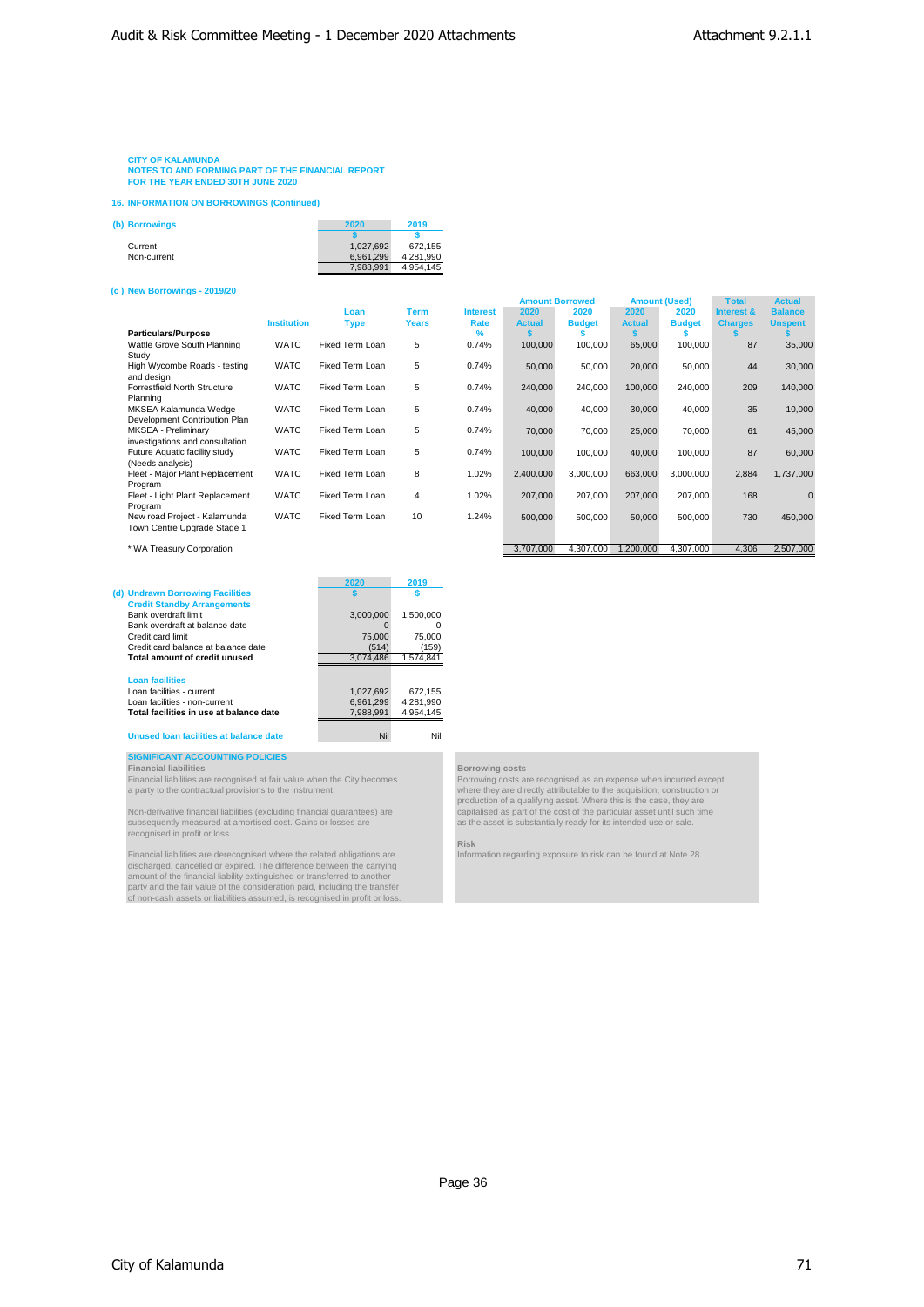**NOTES TO AND FORMING PART OF THE FINANCIAL REPORT FOR THE YEAR ENDED 30TH JUNE 2020**

**16. INFORMATION ON BORROWINGS (Continued)**

| (b) Borrowings | 2020      | 2019      |
|----------------|-----------|-----------|
|                |           |           |
| Current        | 1.027.692 | 672.155   |
| Non-current    | 6.961.299 | 4.281.990 |
|                | 7.988.991 | 4,954,145 |

#### **(c ) New Borrowings - 2019/20**

|                                 |                    |                 |             |                 | <b>Amount Borrowed</b> |               | <b>Amount (Used)</b> |               | <b>Total</b>   | <b>Actual</b>  |
|---------------------------------|--------------------|-----------------|-------------|-----------------|------------------------|---------------|----------------------|---------------|----------------|----------------|
|                                 |                    | Loan            | <b>Term</b> | <b>Interest</b> | 2020                   | 2020          | 2020                 | 2020          | Interest &     | <b>Balance</b> |
|                                 | <b>Institution</b> | <b>Type</b>     | Years       | Rate            | <b>Actual</b>          | <b>Budget</b> | <b>Actual</b>        | <b>Budget</b> | <b>Charges</b> | <b>Unspent</b> |
| <b>Particulars/Purpose</b>      |                    |                 |             | $\frac{9}{6}$   |                        |               |                      |               |                |                |
| Wattle Grove South Planning     | <b>WATC</b>        | Fixed Term Loan | 5           | 0.74%           | 100,000                | 100,000       | 65,000               | 100,000       | 87             | 35,000         |
| Study                           |                    |                 |             |                 |                        |               |                      |               |                |                |
| High Wycombe Roads - testing    | <b>WATC</b>        | Fixed Term Loan | 5           | 0.74%           | 50,000                 | 50,000        | 20,000               | 50,000        | 44             | 30,000         |
| and design                      |                    |                 |             |                 |                        |               |                      |               |                |                |
| Forrestfield North Structure    | <b>WATC</b>        | Fixed Term Loan | 5           | 0.74%           | 240,000                | 240,000       | 100,000              | 240,000       | 209            | 140,000        |
| Planning                        |                    |                 |             |                 |                        |               |                      |               |                |                |
| MKSEA Kalamunda Wedge -         | <b>WATC</b>        | Fixed Term Loan | 5           | 0.74%           | 40,000                 | 40,000        | 30,000               | 40,000        | 35             | 10,000         |
| Development Contribution Plan   |                    |                 |             |                 |                        |               |                      |               |                |                |
| MKSEA - Preliminary             | <b>WATC</b>        | Fixed Term Loan | 5           | 0.74%           | 70,000                 | 70,000        | 25,000               | 70,000        | 61             | 45,000         |
| investigations and consultation |                    |                 |             |                 |                        |               |                      |               |                |                |
| Future Aquatic facility study   | <b>WATC</b>        | Fixed Term Loan | 5           | 0.74%           | 100,000                | 100,000       | 40,000               | 100,000       | 87             | 60,000         |
| (Needs analysis)                |                    |                 |             |                 |                        |               |                      |               |                |                |
| Fleet - Major Plant Replacement | <b>WATC</b>        | Fixed Term Loan | 8           | 1.02%           | 2,400,000              | 3.000.000     | 663,000              | 3,000,000     | 2,884          | 1,737,000      |
| Program                         |                    |                 |             |                 |                        |               |                      |               |                |                |
| Fleet - Light Plant Replacement | <b>WATC</b>        | Fixed Term Loan | 4           | 1.02%           | 207,000                | 207,000       | 207,000              | 207,000       | 168            | $\Omega$       |
| Program                         |                    |                 |             |                 |                        |               |                      |               |                |                |
| New road Project - Kalamunda    | <b>WATC</b>        | Fixed Term Loan | 10          | 1.24%           | 500,000                | 500,000       | 50,000               | 500,000       | 730            | 450,000        |
| Town Centre Upgrade Stage 1     |                    |                 |             |                 |                        |               |                      |               |                |                |
|                                 |                    |                 |             |                 |                        |               |                      |               |                |                |
| * WA Treasury Corporation       |                    |                 |             |                 | 3,707,000              | 4,307,000     | 1,200,000            | 4,307,000     | 4,306          | 2,507,000      |

|                                         | 2020      | 2019      |
|-----------------------------------------|-----------|-----------|
| (d) Undrawn Borrowing Facilities        |           |           |
| <b>Credit Standby Arrangements</b>      |           |           |
| Bank overdraft limit                    | 3.000.000 | 1.500.000 |
| Bank overdraft at balance date          |           |           |
| Credit card limit                       | 75,000    | 75.000    |
| Credit card balance at balance date     | (514)     | (159)     |
| Total amount of credit unused           | 3.074.486 | 1.574.841 |
|                                         |           |           |
| <b>Loan facilities</b>                  |           |           |
| Loan facilities - current               | 1.027.692 | 672.155   |
| Loan facilities - non-current           | 6.961.299 | 4,281,990 |
| Total facilities in use at balance date | 7.988.991 | 4.954.145 |

#### **Unused loan facilities at balance date** Nil Nil

# **SIGNIFICANT ACCOUNTING POLICIES Financial liabilities Borrowing costs**

Non-derivative financial liabilities (excluding financial guarantees) are capitalised as part of the cost of the particular asset until such time<br>subsequently measured at amortised cost. Gains or losses are asset is substa

Financial liabilities are derecognised where the related obligations are linformation regarding exposure to risk can be found at Note 28.<br>Calcharged, cancelled or expired. The difference between the carrying<br>amount of the

Financial liabilities are recognised at fair value when the City becomes<br>a party to the contractual provisions to the instrument.<br>production of a qualifying asset. Where this is the case, they are<br>production of a qualifyin

Risk<br>Information regarding exposure to risk can be found at Note 28.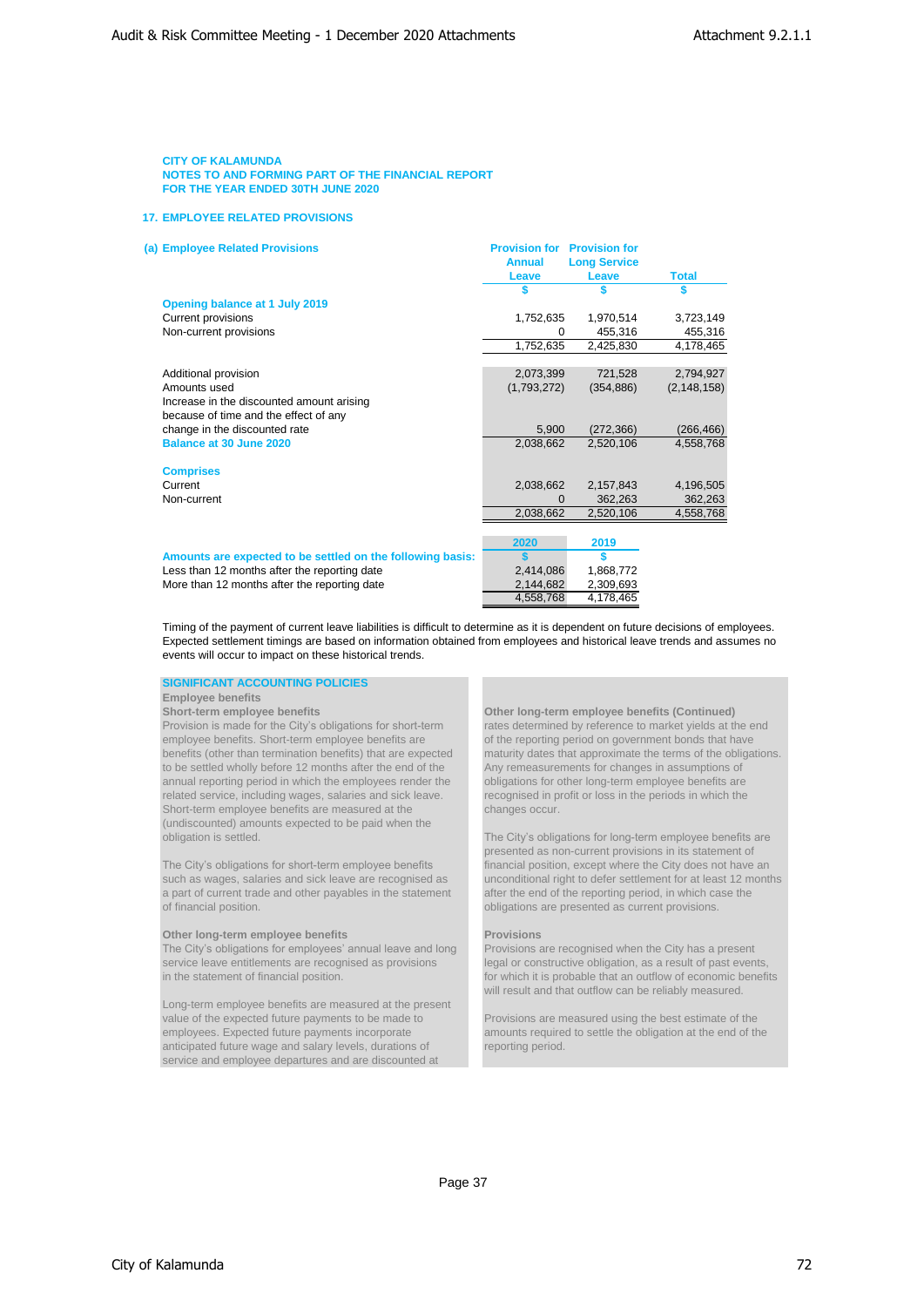### **17. EMPLOYEE RELATED PROVISIONS**

| (a) Employee Related Provisions                            | <b>Provision for</b> | <b>Provision for</b> |               |
|------------------------------------------------------------|----------------------|----------------------|---------------|
|                                                            | <b>Annual</b>        | <b>Long Service</b>  |               |
|                                                            | Leave                | Leave                | <b>Total</b>  |
|                                                            |                      |                      |               |
| Opening balance at 1 July 2019                             |                      |                      |               |
| Current provisions                                         | 1,752,635            | 1,970,514            | 3,723,149     |
| Non-current provisions                                     | 0                    | 455,316              | 455,316       |
|                                                            | 1,752,635            | 2,425,830            | 4,178,465     |
|                                                            |                      |                      |               |
| Additional provision                                       | 2,073,399            | 721,528              | 2,794,927     |
| Amounts used                                               | (1,793,272)          | (354, 886)           | (2, 148, 158) |
| Increase in the discounted amount arising                  |                      |                      |               |
| because of time and the effect of any                      |                      |                      |               |
| change in the discounted rate                              | 5,900                | (272, 366)           | (266, 466)    |
| Balance at 30 June 2020                                    | 2,038,662            | 2,520,106            | 4,558,768     |
|                                                            |                      |                      |               |
| <b>Comprises</b>                                           |                      |                      |               |
| Current                                                    | 2,038,662            | 2,157,843            | 4,196,505     |
| Non-current                                                | $\Omega$             | 362.263              | 362,263       |
|                                                            | 2,038,662            | 2,520,106            | 4,558,768     |
|                                                            |                      |                      |               |
|                                                            | 2020                 | 2019                 |               |
| Amounts are expected to be settled on the following basis: | \$.                  | \$                   |               |
| Less than 12 months after the reporting date               | 2,414,086            | 1,868,772            |               |
| More than 12 months after the reporting date               | 2,144,682            | 2,309,693            |               |
|                                                            | 4,558,768            | 4,178,465            |               |

Timing of the payment of current leave liabilities is difficult to determine as it is dependent on future decisions of employees. Expected settlement timings are based on information obtained from employees and historical leave trends and assumes no events will occur to impact on these historical trends.

#### **SIGNIFICANT ACCOUNTING POLICIES**

#### **Employee benefits**

employee benefits. Short-term employee benefits are of the reporting period on government bonds that have to be settled wholly before 12 months after the end of the Any remeasurements for changes in assumptions of annual reporting period in which the employees render the obligations for other long-term employee benefits are related service, including wages, salaries and sick leave. recognised in profit or loss in the periods in which the Short-term employee benefits are measured at the changes occur. (undiscounted) amounts expected to be paid when the obligation is settled. The City's obligations for long-term employee benefits are

a part of current trade and other payables in the statement after the end of the reporting period, in which case the of financial position. obligations are presented as current provisions.

#### **Other long-term employee benefits Provisions**

The City's obligations for employees' annual leave and long Provisions are recognised when the City has a present service leave entitlements are recognised as provisions legal or constructive obligation, as a result of pas service leave entitlements are recognised as provisions legal or constructive obligation, as a result of past events,<br>in the statement of financial position. <br>for which it is probable that an outflow of economic benefi

Long-term employee benefits are measured at the present value of the expected future payments to be made to Provisions are measured using the best estimate of the employees. Expected future payments incorporate amounts required to settle the obligation at the end of the anticipated future wage and salary levels, durations of service and employee departures and are discounted at

Short-term employee benefits **Continued** Other long-term employee benefits (Continued) Provision is made for the City's obligations for short-term rates determined by reference to market yields at the end benefits (other than termination benefits) that are expected maturity dates that approximate the terms of the obligations.

presented as non-current provisions in its statement of The City's obligations for short-term employee benefits financial position, except where the City does not have an such as wages, salaries and sick leave are recognised as unconditional right to defer settlement for at least 12 months

for which it is probable that an outflow of economic benefits will result and that outflow can be reliably measured.

amounts required to settle the obligation at the end of the reporting period.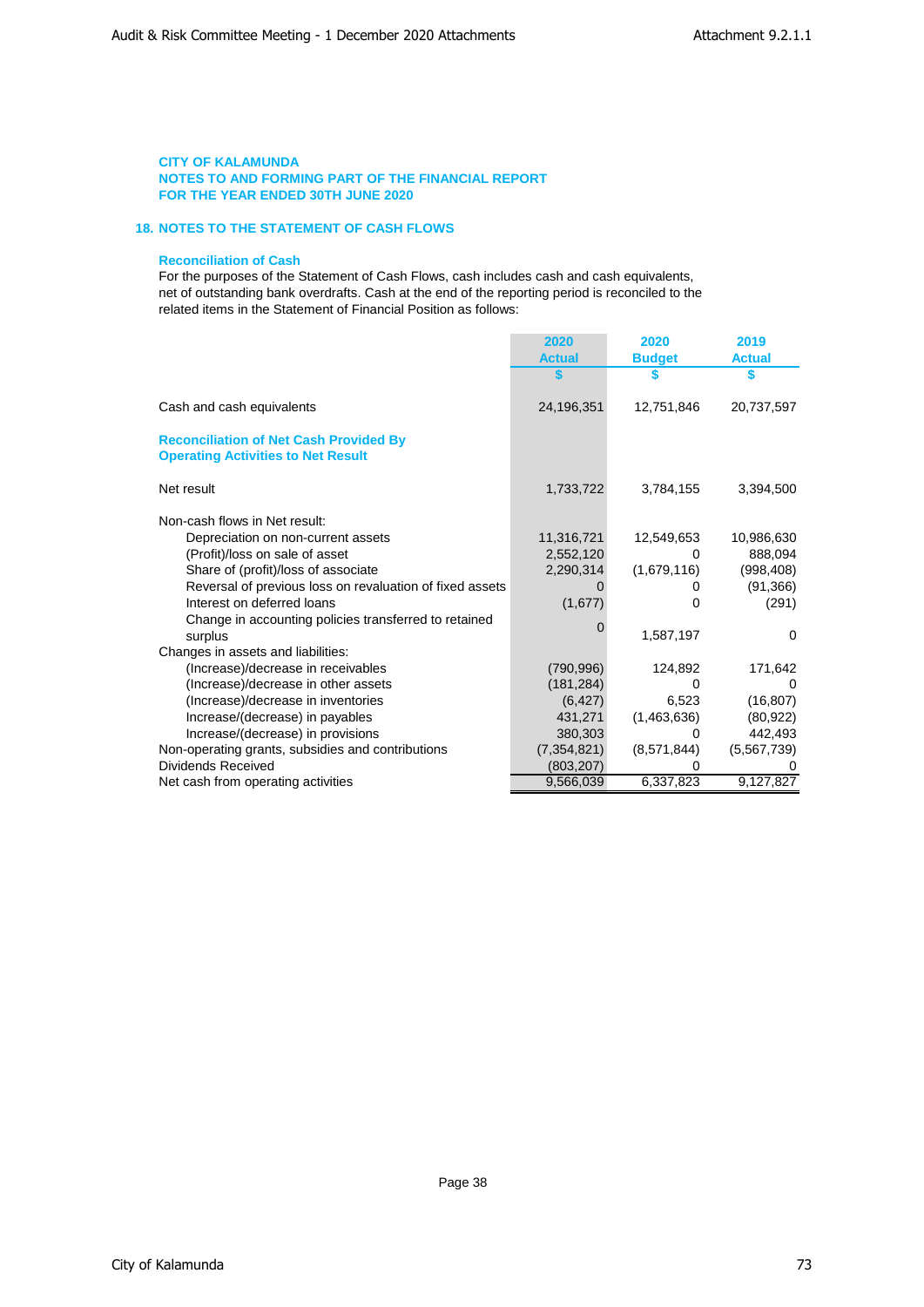# **18. NOTES TO THE STATEMENT OF CASH FLOWS**

### **Reconciliation of Cash**

For the purposes of the Statement of Cash Flows, cash includes cash and cash equivalents, net of outstanding bank overdrafts. Cash at the end of the reporting period is reconciled to the related items in the Statement of Financial Position as follows:

|                                                                                            | 2020          | 2020          | 2019          |
|--------------------------------------------------------------------------------------------|---------------|---------------|---------------|
|                                                                                            | <b>Actual</b> | <b>Budget</b> | <b>Actual</b> |
|                                                                                            |               |               | S             |
| Cash and cash equivalents                                                                  | 24,196,351    | 12,751,846    | 20,737,597    |
| <b>Reconciliation of Net Cash Provided By</b><br><b>Operating Activities to Net Result</b> |               |               |               |
| Net result                                                                                 | 1,733,722     | 3,784,155     | 3,394,500     |
| Non-cash flows in Net result:                                                              |               |               |               |
| Depreciation on non-current assets                                                         | 11,316,721    | 12,549,653    | 10,986,630    |
| (Profit)/loss on sale of asset                                                             | 2,552,120     | 0             | 888,094       |
| Share of (profit)/loss of associate                                                        | 2,290,314     | (1,679,116)   | (998, 408)    |
| Reversal of previous loss on revaluation of fixed assets                                   |               | O             | (91, 366)     |
| Interest on deferred loans                                                                 | (1,677)       | 0             | (291)         |
| Change in accounting policies transferred to retained                                      |               |               |               |
| surplus                                                                                    |               | 1.587.197     | 0             |
| Changes in assets and liabilities:                                                         |               |               |               |
| (Increase)/decrease in receivables                                                         | (790, 996)    | 124,892       | 171,642       |
| (Increase)/decrease in other assets                                                        | (181, 284)    |               |               |
| (Increase)/decrease in inventories                                                         | (6, 427)      | 6,523         | (16, 807)     |
| Increase/(decrease) in payables                                                            | 431,271       | (1,463,636)   | (80, 922)     |
| Increase/(decrease) in provisions                                                          | 380,303       |               | 442,493       |
| Non-operating grants, subsidies and contributions                                          | (7, 354, 821) | (8,571,844)   | (5,567,739)   |
| Dividends Received                                                                         | (803, 207)    | 0             |               |
| Net cash from operating activities                                                         | 9,566,039     | 6,337,823     | 9,127,827     |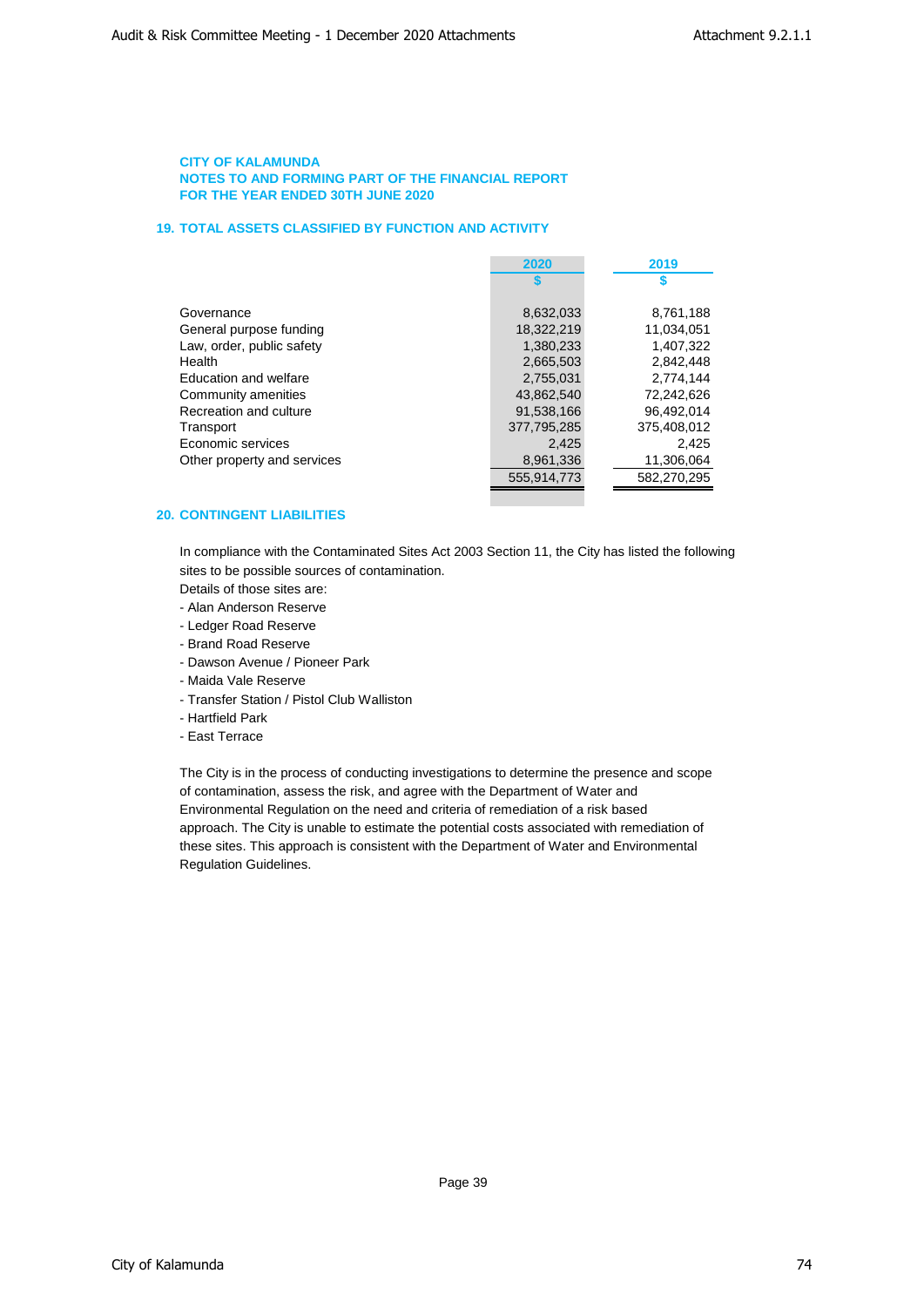# **19. TOTAL ASSETS CLASSIFIED BY FUNCTION AND ACTIVITY**

|                             | 2020        | 2019        |
|-----------------------------|-------------|-------------|
|                             |             |             |
|                             |             |             |
| Governance                  | 8,632,033   | 8,761,188   |
| General purpose funding     | 18.322.219  | 11.034.051  |
| Law, order, public safety   | 1.380.233   | 1.407.322   |
| Health                      | 2,665,503   | 2.842.448   |
| Education and welfare       | 2.755.031   | 2.774.144   |
| Community amenities         | 43.862.540  | 72,242,626  |
| Recreation and culture      | 91.538.166  | 96.492.014  |
| Transport                   | 377,795,285 | 375,408,012 |
| Economic services           | 2.425       | 2.425       |
| Other property and services | 8,961,336   | 11,306,064  |
|                             | 555.914.773 | 582.270.295 |
|                             |             |             |

# **20. CONTINGENT LIABILITIES**

In compliance with the Contaminated Sites Act 2003 Section 11, the City has listed the following sites to be possible sources of contamination.

Details of those sites are:

- Alan Anderson Reserve
- Ledger Road Reserve
- Brand Road Reserve
- Dawson Avenue / Pioneer Park
- Maida Vale Reserve
- Transfer Station / Pistol Club Walliston
- Hartfield Park
- East Terrace

The City is in the process of conducting investigations to determine the presence and scope of contamination, assess the risk, and agree with the Department of Water and Environmental Regulation on the need and criteria of remediation of a risk based approach. The City is unable to estimate the potential costs associated with remediation of these sites. This approach is consistent with the Department of Water and Environmental Regulation Guidelines.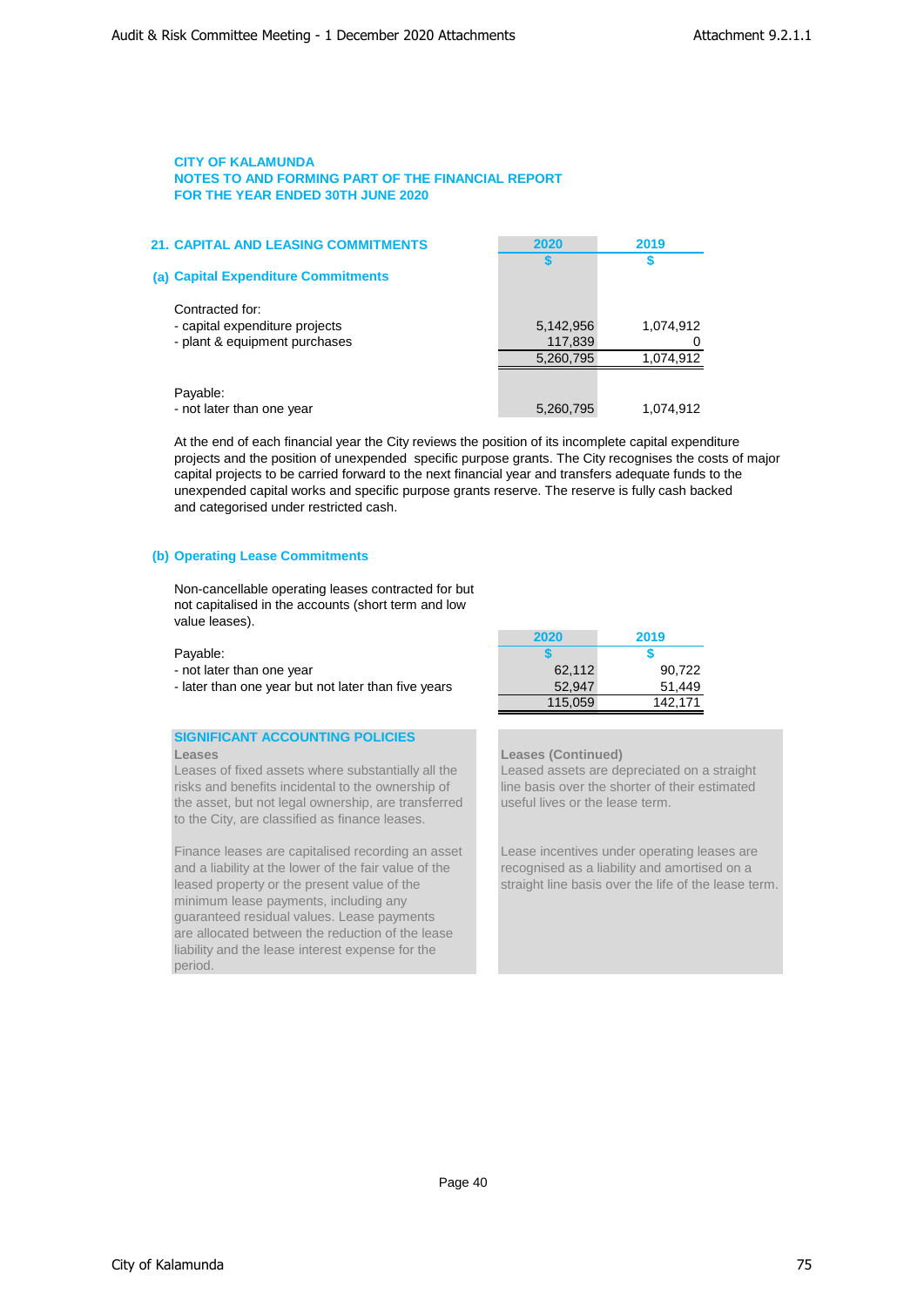| <b>21. CAPITAL AND LEASING COMMITMENTS</b>                                         | 2020                 | 2019      |
|------------------------------------------------------------------------------------|----------------------|-----------|
| (a) Capital Expenditure Commitments                                                |                      |           |
| Contracted for:<br>- capital expenditure projects<br>- plant & equipment purchases | 5,142,956<br>117,839 | 1,074,912 |
|                                                                                    | 5,260,795            | 1,074,912 |
| Payable:<br>- not later than one year                                              | 5,260,795            | 1,074,912 |

At the end of each financial year the City reviews the position of its incomplete capital expenditure projects and the position of unexpended specific purpose grants. The City recognises the costs of major capital projects to be carried forward to the next financial year and transfers adequate funds to the unexpended capital works and specific purpose grants reserve. The reserve is fully cash backed and categorised under restricted cash.

# **(b) Operating Lease Commitments**

Non-cancellable operating leases contracted for but not capitalised in the accounts (short term and low value leases).

- not later than one year
- later than one year but not later than five years

# **SIGNIFICANT ACCOUNTING POLICIES**

Leases of fixed assets where substantially all the Leased assets are depreciated on a straight risks and benefits incidental to the ownership of line basis over the shorter of their estimated the asset, but not legal ownership, are transferred useful lives or the lease term. to the City, are classified as finance leases.

Finance leases are capitalised recording an asset Lease incentives under operating leases are and a liability at the lower of the fair value of the recognised as a liability and amortised on a leased property or the present value of the straight line basis over the life of the lease term. minimum lease payments, including any guaranteed residual values. Lease payments are allocated between the reduction of the lease liability and the lease interest expense for the period.

|                                                     | 2020    | 2019    |
|-----------------------------------------------------|---------|---------|
| Payable:                                            |         |         |
| - not later than one year                           | 62.112  | 90.722  |
| - later than one year but not later than five years | 52.947  | 51.449  |
|                                                     | 115.059 | 142.171 |

# **Leases Leases (Continued)**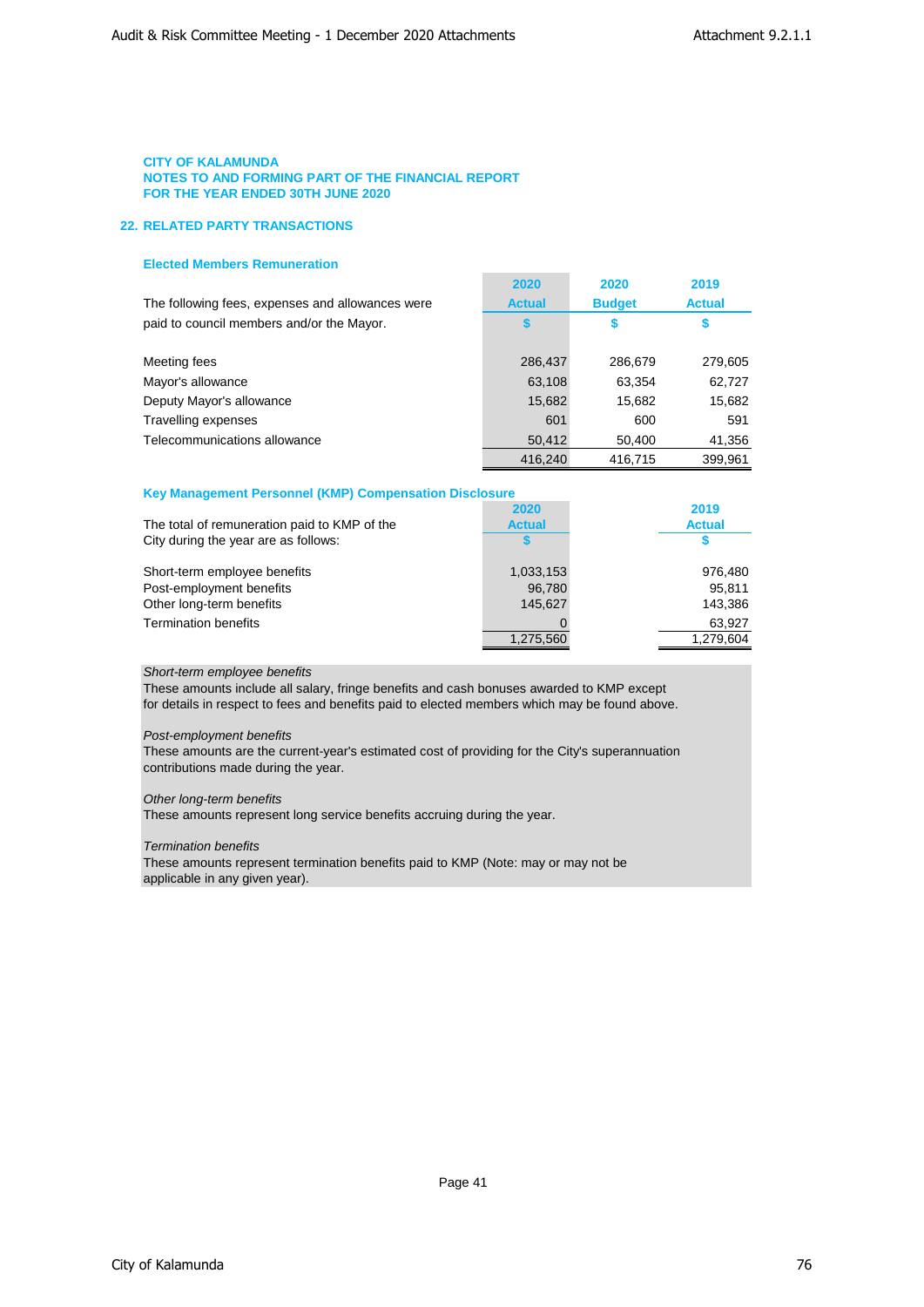# **22. RELATED PARTY TRANSACTIONS**

# **Elected Members Remuneration**

|                                                  | 2020          | 2020          | 2019          |
|--------------------------------------------------|---------------|---------------|---------------|
| The following fees, expenses and allowances were | <b>Actual</b> | <b>Budget</b> | <b>Actual</b> |
| paid to council members and/or the Mayor.        | S             | S             | \$            |
|                                                  |               |               |               |
| Meeting fees                                     | 286,437       | 286,679       | 279,605       |
| Mayor's allowance                                | 63,108        | 63.354        | 62,727        |
| Deputy Mayor's allowance                         | 15,682        | 15.682        | 15,682        |
| Travelling expenses                              | 601           | 600           | 591           |
| Telecommunications allowance                     | 50,412        | 50,400        | 41,356        |
|                                                  | 416.240       | 416.715       | 399.961       |

 $\sim$ 

# **Key Management Personnel (KMP) Compensation Disclosure**

|                                              | 2020          | 2019          |
|----------------------------------------------|---------------|---------------|
| The total of remuneration paid to KMP of the | <b>Actual</b> | <b>Actual</b> |
| City during the year are as follows:         |               |               |
| Short-term employee benefits                 | 1,033,153     | 976.480       |
| Post-employment benefits                     | 96,780        | 95.811        |
| Other long-term benefits                     | 145.627       | 143,386       |
| <b>Termination benefits</b>                  |               | 63,927        |
|                                              | 1,275,560     | 1.279.604     |
|                                              |               |               |

# *Short-term employee benefits*

These amounts include all salary, fringe benefits and cash bonuses awarded to KMP except for details in respect to fees and benefits paid to elected members which may be found above.

# *Post-employment benefits*

These amounts are the current-year's estimated cost of providing for the City's superannuation contributions made during the year.

# *Other long-term benefits*

These amounts represent long service benefits accruing during the year.

# *Termination benefits*

These amounts represent termination benefits paid to KMP (Note: may or may not be applicable in any given year).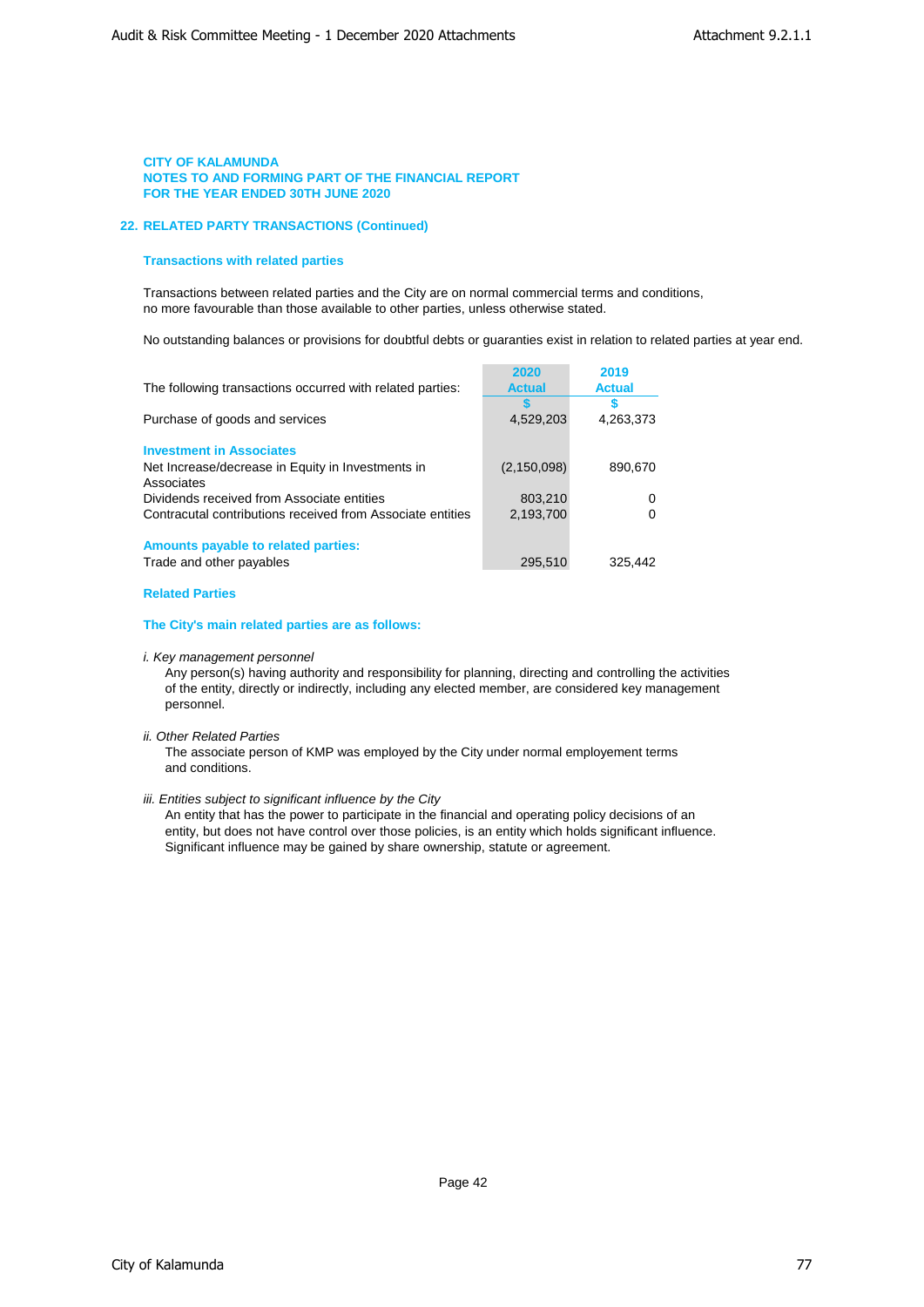### **22. RELATED PARTY TRANSACTIONS (Continued)**

# **Transactions with related parties**

Transactions between related parties and the City are on normal commercial terms and conditions, no more favourable than those available to other parties, unless otherwise stated.

No outstanding balances or provisions for doubtful debts or guaranties exist in relation to related parties at year end.

|                                                            | 2020          | 2019          |
|------------------------------------------------------------|---------------|---------------|
| The following transactions occurred with related parties:  | <b>Actual</b> | <b>Actual</b> |
|                                                            |               |               |
| Purchase of goods and services                             | 4,529,203     | 4,263,373     |
|                                                            |               |               |
| <b>Investment in Associates</b>                            |               |               |
| Net Increase/decrease in Equity in Investments in          | (2, 150, 098) | 890.670       |
| Associates                                                 |               |               |
| Dividends received from Associate entities                 | 803,210       |               |
| Contracutal contributions received from Associate entities | 2.193.700     |               |
|                                                            |               |               |
| Amounts payable to related parties:                        |               |               |
| Trade and other payables                                   | 295,510       | 325.442       |
|                                                            |               |               |

# **Related Parties**

# **The City's main related parties are as follows:**

*i. Key management personnel*

Any person(s) having authority and responsibility for planning, directing and controlling the activities of the entity, directly or indirectly, including any elected member, are considered key management personnel.

*ii. Other Related Parties*

The associate person of KMP was employed by the City under normal employement terms and conditions.

### *iii. Entities subject to significant influence by the City*

An entity that has the power to participate in the financial and operating policy decisions of an entity, but does not have control over those policies, is an entity which holds significant influence. Significant influence may be gained by share ownership, statute or agreement.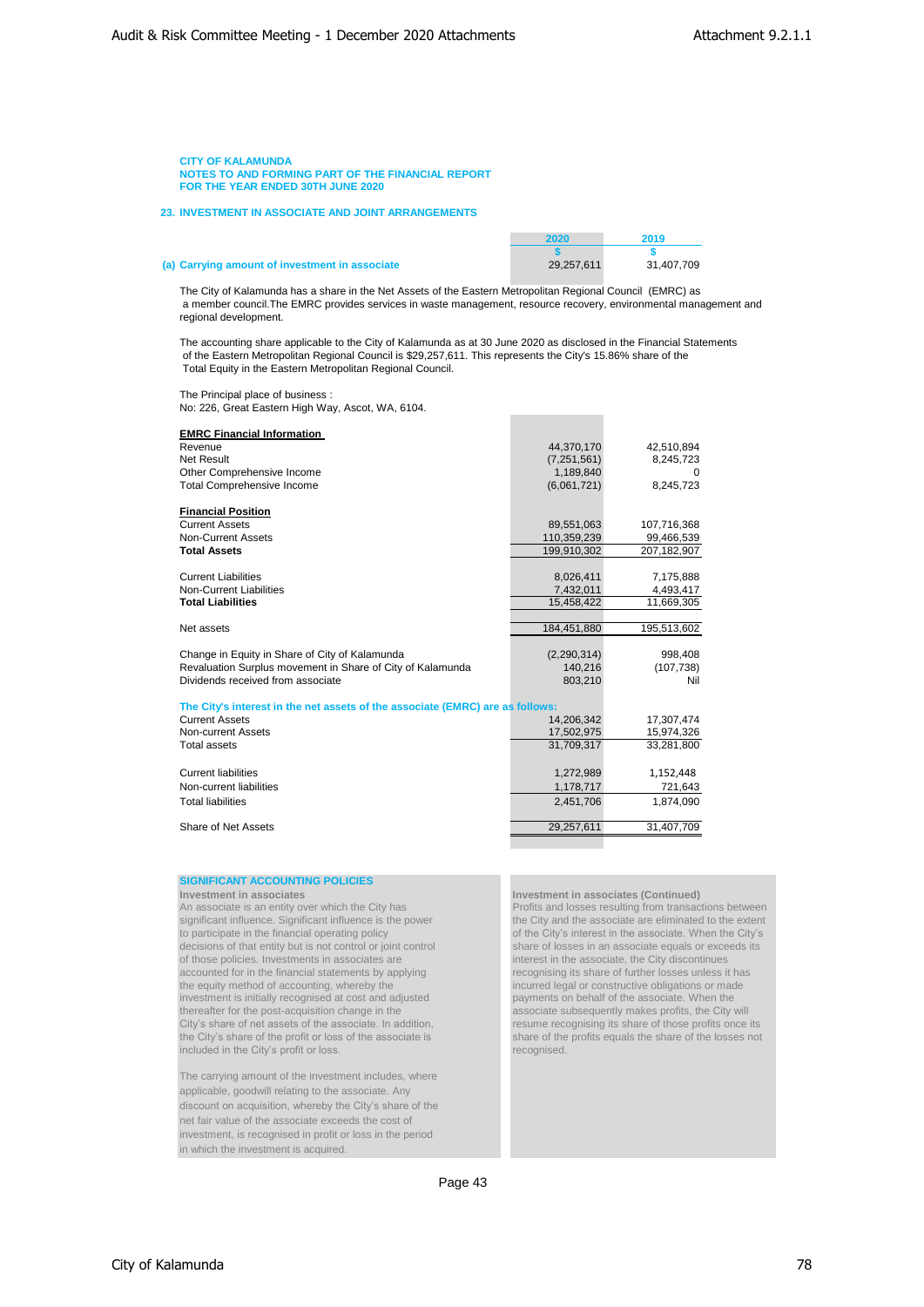**23. INVESTMENT IN ASSOCIATE AND JOINT ARRANGEMENTS**

| (a) Carrying amount of investment in associate | 29,257,611 | 31,407,709 |
|------------------------------------------------|------------|------------|

**2020 2019 \$ \$**

The City of Kalamunda has a share in the Net Assets of the Eastern Metropolitan Regional Council (EMRC) as a member council.The EMRC provides services in waste management, resource recovery, environmental management and regional development.

The accounting share applicable to the City of Kalamunda as at 30 June 2020 as disclosed in the Financial Statements of the Eastern Metropolitan Regional Council is \$29,257,611. This represents the City's 15.86% share of the Total Equity in the Eastern Metropolitan Regional Council.

The Principal place of business : No: 226, Great Eastern High Way, Ascot, WA, 6104.

| <b>EMRC Financial Information</b><br>Revenue<br><b>Net Result</b><br>Other Comprehensive Income<br><b>Total Comprehensive Income</b>                | 44,370,170<br>(7, 251, 561)<br>1,189,840<br>(6,061,721) | 42,510,894<br>8,245,723<br>$\Omega$<br>8,245,723 |
|-----------------------------------------------------------------------------------------------------------------------------------------------------|---------------------------------------------------------|--------------------------------------------------|
| <b>Financial Position</b><br><b>Current Assets</b><br><b>Non-Current Assets</b><br><b>Total Assets</b>                                              | 89,551,063<br>110,359,239<br>199,910,302                | 107,716,368<br>99,466,539<br>207,182,907         |
| <b>Current Liabilities</b><br><b>Non-Current Liabilities</b><br><b>Total Liabilities</b>                                                            | 8,026,411<br>7,432,011<br>15,458,422                    | 7,175,888<br>4,493,417<br>11,669,305             |
| Net assets                                                                                                                                          | 184,451,880                                             | 195,513,602                                      |
| Change in Equity in Share of City of Kalamunda<br>Revaluation Surplus movement in Share of City of Kalamunda<br>Dividends received from associate   | (2, 290, 314)<br>140,216<br>803,210                     | 998,408<br>(107, 738)<br>Nil                     |
| The City's interest in the net assets of the associate (EMRC) are as follows:<br><b>Current Assets</b><br>Non-current Assets<br><b>Total assets</b> | 14.206.342<br>17,502,975<br>31.709.317                  | 17,307,474<br>15,974,326<br>33,281,800           |
| <b>Current liabilities</b><br>Non-current liabilities<br><b>Total liabilities</b>                                                                   | 1,272,989<br>1,178,717<br>2,451,706                     | 1,152,448<br>721,643<br>1,874,090                |
| Share of Net Assets                                                                                                                                 | 29,257,611                                              | 31,407,709                                       |

# **SIGNIFICANT ACCOUNTING POLICIES**

**Investment in associates**<br> **An associate is an entity over which the City has**<br> **Investment in associates (Continued)**<br> **Profits and losses resulting from transactional profits and losses resulting from transactional prof** significant influence. Significant influence is the power to participate in the financial operating policy decisions of that entity but is not control or joint control share of losses in an associate equals or exceeds those policies. Investments in associates are of those policies. Investments in associates are interest in the associate, the City discontinues<br>accounted for in the financial statements by applying<br>recognising its share of further losses unless it has accounted for in the financial statements by applying the equity method of accounting, whereby the investment is initially recognised at cost and adjusted thereafter for the post-acquisition change in the City's share of net assets of the associate. In addition, resume recognising its share of those profits once its the City's share of the profit or loss of the associate is the City's share of the profit or loss of the associate is share of the included in the City's profit or loss. included in the City's profit or loss.

The carrying amount of the investment includes, where applicable, goodwill relating to the associate. Any discount on acquisition, whereby the City's share of the net fair value of the associate exceeds the cost of investment, is recognised in profit or loss in the period in which the investment is acquired.

Profits and losses resulting from transactions between<br>the City and the associate are eliminated to the extent of the City's interest in the associate. When the City's share of losses in an associate equals or exceeds its incurred legal or constructive obligations or made<br>payments on behalf of the associate. When the associate subsequently makes profits, the City will<br>resume recognising its share of those profits once its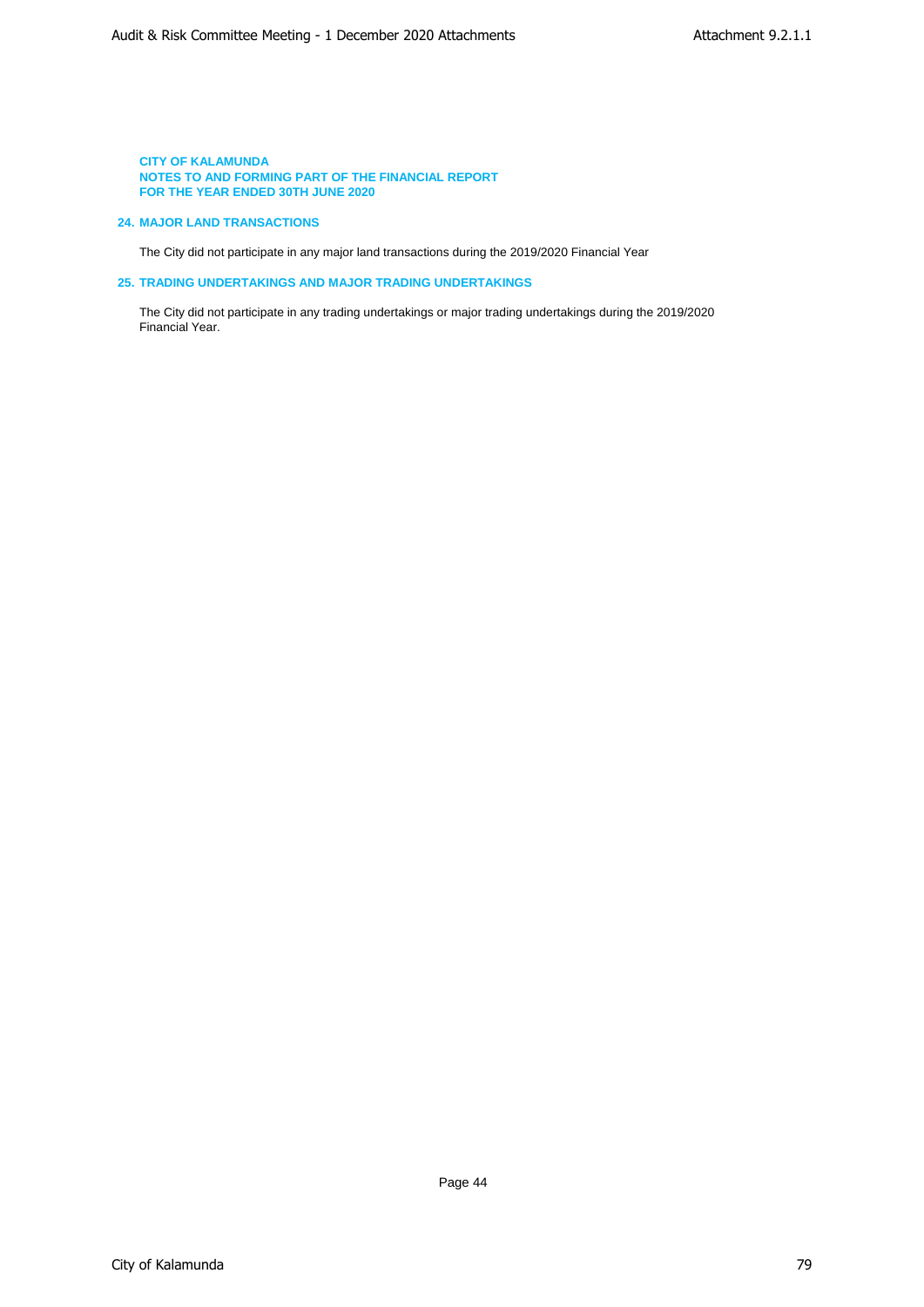# **24. MAJOR LAND TRANSACTIONS**

The City did not participate in any major land transactions during the 2019/2020 Financial Year

# **25. TRADING UNDERTAKINGS AND MAJOR TRADING UNDERTAKINGS**

The City did not participate in any trading undertakings or major trading undertakings during the 2019/2020 Financial Year.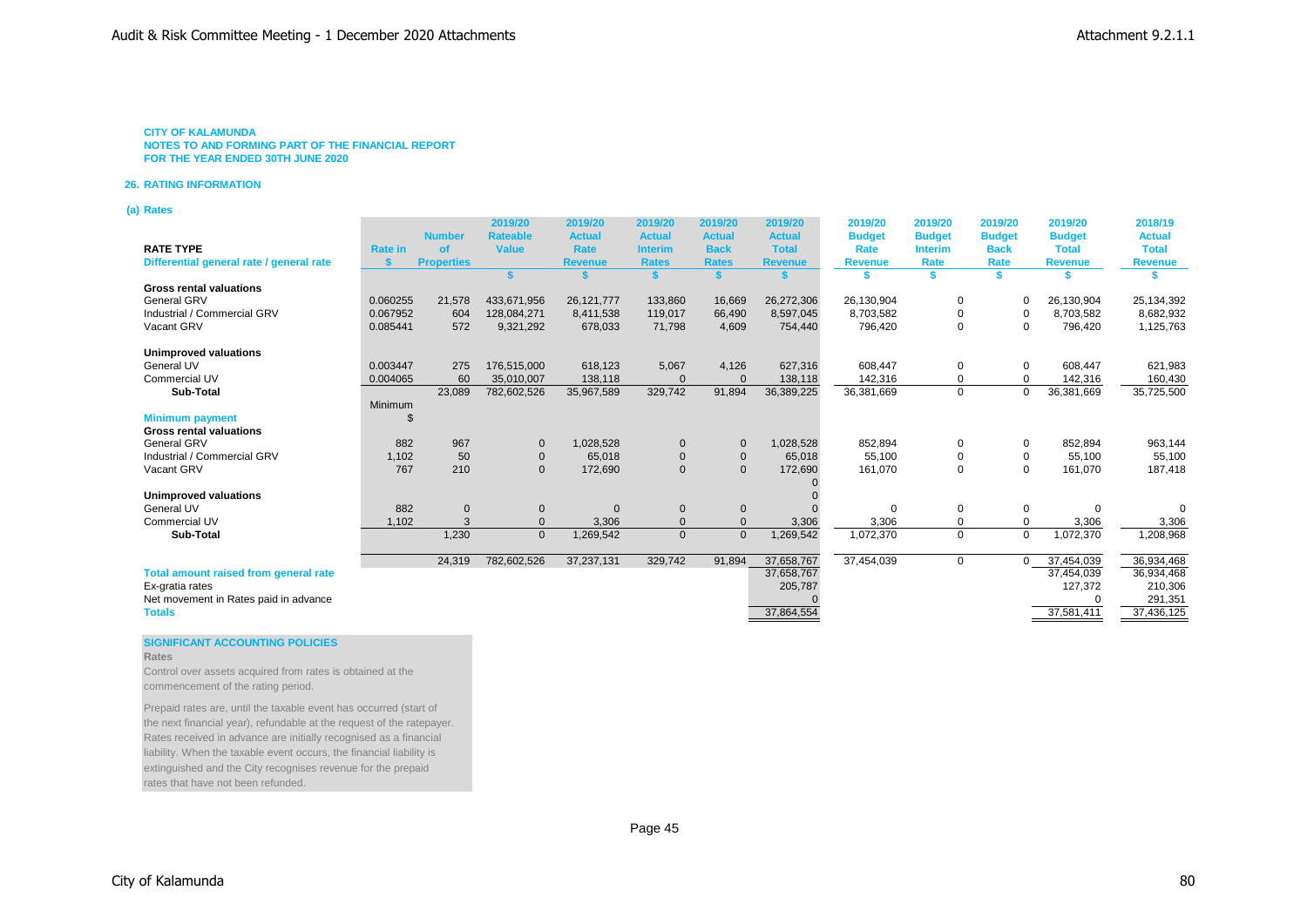**NOTES TO AND FORMING PART OF THE FINANCIAL REPORT FOR THE YEAR ENDED 30TH JUNE 2020**

#### **26. RATING INFORMATION**

**(a) Rates**

|                                              |                |                   | 2019/20         | 2019/20        | 2019/20        | 2019/20        | 2019/20        | 2019/20        | 2019/20        | 2019/20       | 2019/20        | 2018/19        |
|----------------------------------------------|----------------|-------------------|-----------------|----------------|----------------|----------------|----------------|----------------|----------------|---------------|----------------|----------------|
|                                              |                | <b>Number</b>     | <b>Rateable</b> | <b>Actual</b>  | <b>Actual</b>  | <b>Actual</b>  | <b>Actual</b>  | <b>Budget</b>  | <b>Budget</b>  | <b>Budget</b> | <b>Budget</b>  | <b>Actual</b>  |
| <b>RATE TYPE</b>                             | <b>Rate in</b> | <b>of</b>         | <b>Value</b>    | <b>Rate</b>    | <b>Interim</b> | <b>Back</b>    | <b>Total</b>   | Rate           | <b>Interim</b> | <b>Back</b>   | <b>Total</b>   | <b>Total</b>   |
| Differential general rate / general rate     |                | <b>Properties</b> |                 | <b>Revenue</b> | <b>Rates</b>   | <b>Rates</b>   | <b>Revenue</b> | <b>Revenue</b> | Rate           | Rate          | <b>Revenue</b> | <b>Revenue</b> |
|                                              |                |                   | s.              |                |                |                |                |                | \$             | \$.           |                |                |
| <b>Gross rental valuations</b>               |                |                   |                 |                |                |                |                |                |                |               |                |                |
| General GRV                                  | 0.060255       | 21,578            | 433.671.956     | 26,121,777     | 133,860        | 16,669         | 26,272,306     | 26,130,904     | 0              | 0             | 26,130,904     | 25,134,392     |
| Industrial / Commercial GRV                  | 0.067952       | 604               | 128,084,271     | 8,411,538      | 119,017        | 66,490         | 8,597,045      | 8,703,582      | 0              | $\Omega$      | 8,703,582      | 8,682,932      |
| Vacant GRV                                   | 0.085441       | 572               | 9,321,292       | 678,033        | 71,798         | 4,609          | 754,440        | 796,420        | 0              | $\Omega$      | 796,420        | 1,125,763      |
| Unimproved valuations                        |                |                   |                 |                |                |                |                |                |                |               |                |                |
| General UV                                   | 0.003447       | 275               | 176,515,000     | 618,123        | 5,067          | 4,126          | 627,316        | 608,447        | 0              | 0             | 608,447        | 621,983        |
| <b>Commercial UV</b>                         | 0.004065       | 60                | 35,010,007      | 138,118        | $\Omega$       | $\Omega$       | 138,118        | 142,316        | 0              | $\Omega$      | 142,316        | 160,430        |
| Sub-Total                                    |                | 23,089            | 782,602,526     | 35,967,589     | 329,742        | 91,894         | 36,389,225     | 36,381,669     | $\mathbf 0$    | 0             | 36,381,669     | 35,725,500     |
|                                              | Minimum        |                   |                 |                |                |                |                |                |                |               |                |                |
| <b>Minimum payment</b>                       |                |                   |                 |                |                |                |                |                |                |               |                |                |
| <b>Gross rental valuations</b>               |                |                   |                 |                |                |                |                |                |                |               |                |                |
| General GRV                                  | 882            | 967               | $\mathbf{0}$    | 1,028,528      | $\mathbf 0$    | $\Omega$       | 1,028,528      | 852,894        | 0              | 0             | 852,894        | 963,144        |
| Industrial / Commercial GRV                  | 1,102          | 50                | $\mathbf 0$     | 65,018         | $\mathbf 0$    | $\mathbf 0$    | 65,018         | 55,100         | 0              | $\Omega$      | 55,100         | 55,100         |
| Vacant GRV                                   | 767            | 210               | $\mathbf{0}$    | 172,690        | $\mathbf 0$    | $\Omega$       | 172,690        | 161,070        | 0              |               | 161,070        | 187,418        |
|                                              |                |                   |                 |                |                |                |                |                |                |               |                |                |
| Unimproved valuations                        |                |                   |                 |                |                |                |                |                |                |               |                |                |
| General UV                                   | 882            | $\mathbf 0$       | $\mathbf 0$     | $\Omega$       | $\mathbf 0$    | 0              |                | $\Omega$       | 0              | $\Omega$      | $\mathbf 0$    | $\Omega$       |
| <b>Commercial UV</b>                         | 1.102          | 3                 | $\overline{0}$  | 3,306          | $\overline{0}$ | $\Omega$       | 3,306          | 3,306          | 0              |               | 3,306          | 3,306          |
| Sub-Total                                    |                | 1,230             | $\mathbf{0}$    | 1,269,542      | $\mathbf{0}$   | $\overline{0}$ | 1,269,542      | 1,072,370      | $\mathbf 0$    | $\mathbf 0$   | 1,072,370      | 1,208,968      |
|                                              |                |                   |                 |                |                |                |                |                |                |               |                |                |
|                                              |                | 24,319            | 782,602,526     | 37,237,131     | 329,742        | 91.894         | 37,658,767     | 37,454,039     | $\mathbf 0$    | $\Omega$      | 37,454,039     | 36,934,468     |
| <b>Total amount raised from general rate</b> |                |                   |                 |                |                |                | 37,658,767     |                |                |               | 37,454,039     | 36,934,468     |
| Ex-gratia rates                              |                |                   |                 |                |                |                | 205,787        |                |                |               | 127,372        | 210,306        |
| Net movement in Rates paid in advance        |                |                   |                 |                |                |                |                |                |                |               |                | 291,351        |
| <b>Totals</b>                                |                |                   |                 |                |                |                | 37,864,554     |                |                |               | 37,581,411     | 37,436,125     |

#### **SIGNIFICANT ACCOUNTING POLICIES**

**Rates**

Control over assets acquired from rates is obtained at the commencement of the rating period.

Prepaid rates are, until the taxable event has occurred (start of the next financial year), refundable at the request of the ratepayer. Rates received in advance are initially recognised as a financial liability. When the taxable event occurs, the financial liability is extinguished and the City recognises revenue for the prepaid rates that have not been refunded.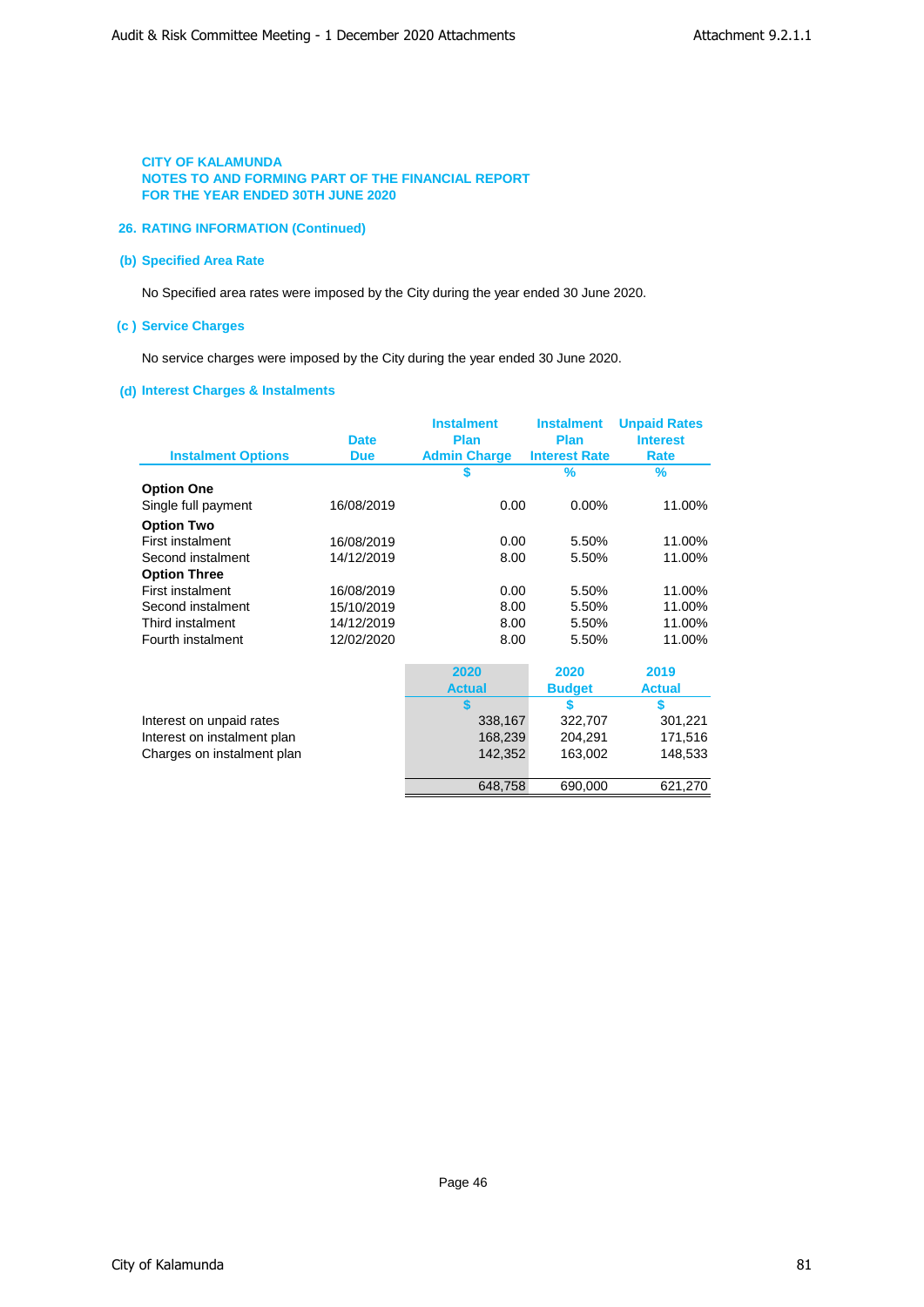# **26. RATING INFORMATION (Continued)**

# **(b) Specified Area Rate**

No Specified area rates were imposed by the City during the year ended 30 June 2020.

# **(c ) Service Charges**

No service charges were imposed by the City during the year ended 30 June 2020.

# **(d) Interest Charges & Instalments**

| <b>Instalment Options</b>   | <b>Date</b><br><b>Due</b> | <b>Instalment</b><br>Plan<br><b>Admin Charge</b> | <b>Instalment</b><br>Plan<br><b>Interest Rate</b> | <b>Unpaid Rates</b><br><b>Interest</b><br>Rate |
|-----------------------------|---------------------------|--------------------------------------------------|---------------------------------------------------|------------------------------------------------|
|                             |                           | \$                                               | ℅                                                 | %                                              |
| <b>Option One</b>           |                           |                                                  |                                                   |                                                |
| Single full payment         | 16/08/2019                | 0.00                                             | 0.00%                                             | 11.00%                                         |
| <b>Option Two</b>           |                           |                                                  |                                                   |                                                |
| First instalment            | 16/08/2019                | 0.00                                             | 5.50%                                             | 11.00%                                         |
| Second instalment           | 14/12/2019                | 8.00                                             | 5.50%                                             | 11.00%                                         |
| <b>Option Three</b>         |                           |                                                  |                                                   |                                                |
| First instalment            | 16/08/2019                | 0.00                                             | 5.50%                                             | 11.00%                                         |
| Second instalment           | 15/10/2019                | 8.00                                             | 5.50%                                             | 11.00%                                         |
| Third instalment            | 14/12/2019                | 8.00                                             | 5.50%                                             | 11.00%                                         |
| Fourth instalment           | 12/02/2020                | 8.00                                             | 5.50%                                             | 11.00%                                         |
|                             |                           | 2020                                             | 2020                                              | 2019                                           |
|                             |                           | <b>Actual</b>                                    | <b>Budget</b>                                     | <b>Actual</b>                                  |
|                             |                           |                                                  | \$                                                | \$                                             |
| Interest on unpaid rates    |                           | 338,167                                          | 322,707                                           | 301,221                                        |
| Interest on instalment plan |                           | 168,239                                          | 204,291                                           | 171,516                                        |
| Charges on instalment plan  |                           | 142,352                                          | 163,002                                           | 148,533                                        |
|                             |                           | 648,758                                          | 690,000                                           | 621,270                                        |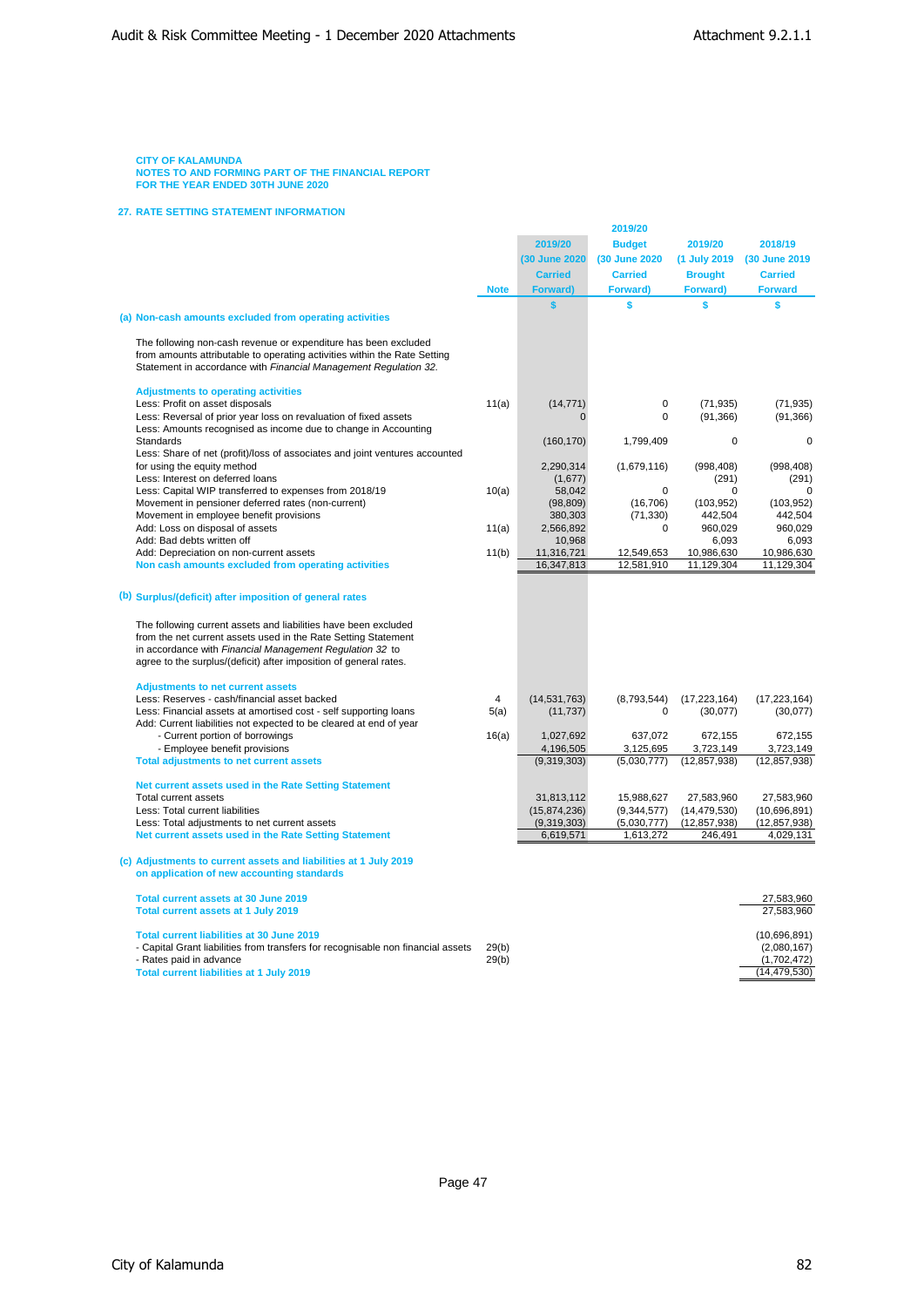# **27. RATE SETTING STATEMENT INFORMATION**

|                                                                                                                                                                                                                                                                                                                               |             |                             | 2019/20                      |                                  |                                |
|-------------------------------------------------------------------------------------------------------------------------------------------------------------------------------------------------------------------------------------------------------------------------------------------------------------------------------|-------------|-----------------------------|------------------------------|----------------------------------|--------------------------------|
|                                                                                                                                                                                                                                                                                                                               |             | 2019/20                     | <b>Budget</b>                | 2019/20                          | 2018/19                        |
|                                                                                                                                                                                                                                                                                                                               |             | (30 June 2020)              | (30 June 2020)               | (1 July 2019)                    | (30 June 2019                  |
|                                                                                                                                                                                                                                                                                                                               |             | <b>Carried</b>              | <b>Carried</b>               | <b>Brought</b>                   | <b>Carried</b>                 |
|                                                                                                                                                                                                                                                                                                                               | <b>Note</b> | <b>Forward)</b>             | Forward)                     | Forward)                         | <b>Forward</b>                 |
|                                                                                                                                                                                                                                                                                                                               |             | $\mathbf{s}$                | \$                           | \$                               | \$                             |
| (a) Non-cash amounts excluded from operating activities                                                                                                                                                                                                                                                                       |             |                             |                              |                                  |                                |
| The following non-cash revenue or expenditure has been excluded<br>from amounts attributable to operating activities within the Rate Setting<br>Statement in accordance with Financial Management Regulation 32.                                                                                                              |             |                             |                              |                                  |                                |
| <b>Adjustments to operating activities</b>                                                                                                                                                                                                                                                                                    |             |                             |                              |                                  |                                |
| Less: Profit on asset disposals                                                                                                                                                                                                                                                                                               | 11(a)       | (14, 771)                   | 0                            | (71, 935)                        | (71, 935)                      |
| Less: Reversal of prior year loss on revaluation of fixed assets                                                                                                                                                                                                                                                              |             |                             | 0                            | (91, 366)                        | (91, 366)                      |
| Less: Amounts recognised as income due to change in Accounting                                                                                                                                                                                                                                                                |             |                             |                              |                                  |                                |
| Standards                                                                                                                                                                                                                                                                                                                     |             | (160, 170)                  | 1,799,409                    | $\mathbf 0$                      | $\mathbf 0$                    |
| Less: Share of net (profit)/loss of associates and joint ventures accounted                                                                                                                                                                                                                                                   |             |                             |                              |                                  |                                |
| for using the equity method<br>Less: Interest on deferred loans                                                                                                                                                                                                                                                               |             | 2,290,314                   | (1,679,116)                  | (998, 408)<br>(291)              | (998, 408)<br>(291)            |
| Less: Capital WIP transferred to expenses from 2018/19                                                                                                                                                                                                                                                                        | 10(a)       | (1,677)<br>58,042           | 0                            | $\mathbf 0$                      | $\mathbf 0$                    |
| Movement in pensioner deferred rates (non-current)                                                                                                                                                                                                                                                                            |             | (98, 809)                   | (16, 706)                    | (103, 952)                       | (103, 952)                     |
| Movement in employee benefit provisions                                                                                                                                                                                                                                                                                       |             | 380,303                     | (71, 330)                    | 442,504                          | 442,504                        |
| Add: Loss on disposal of assets                                                                                                                                                                                                                                                                                               | 11(a)       | 2,566,892                   | $\Omega$                     | 960,029                          | 960,029                        |
| Add: Bad debts written off                                                                                                                                                                                                                                                                                                    |             | 10,968                      |                              | 6,093                            | 6,093                          |
| Add: Depreciation on non-current assets                                                                                                                                                                                                                                                                                       | 11(b)       | 11,316,721                  | 12,549,653                   | 10,986,630                       | 10,986,630                     |
| Non cash amounts excluded from operating activities                                                                                                                                                                                                                                                                           |             | 16,347,813                  | 12,581,910                   | 11,129,304                       | 11,129,304                     |
| (b) Surplus/(deficit) after imposition of general rates<br>The following current assets and liabilities have been excluded<br>from the net current assets used in the Rate Setting Statement<br>in accordance with Financial Management Regulation 32 to<br>agree to the surplus/(deficit) after imposition of general rates. |             |                             |                              |                                  |                                |
| <b>Adjustments to net current assets</b>                                                                                                                                                                                                                                                                                      |             |                             |                              |                                  |                                |
| Less: Reserves - cash/financial asset backed                                                                                                                                                                                                                                                                                  | 4           | (14, 531, 763)              | (8,793,544)                  | (17, 223, 164)                   | (17, 223, 164)                 |
| Less: Financial assets at amortised cost - self supporting loans                                                                                                                                                                                                                                                              | 5(a)        | (11, 737)                   | 0                            | (30,077)                         | (30,077)                       |
| Add: Current liabilities not expected to be cleared at end of year                                                                                                                                                                                                                                                            |             |                             |                              |                                  |                                |
| - Current portion of borrowings<br>- Employee benefit provisions                                                                                                                                                                                                                                                              | 16(a)       | 1,027,692<br>4,196,505      | 637.072<br>3,125,695         | 672,155<br>3,723,149             | 672,155<br>3,723,149           |
| <b>Total adjustments to net current assets</b>                                                                                                                                                                                                                                                                                |             | (9,319,303)                 | (5,030,777)                  | (12, 857, 938)                   | (12, 857, 938)                 |
|                                                                                                                                                                                                                                                                                                                               |             |                             |                              |                                  |                                |
| Net current assets used in the Rate Setting Statement                                                                                                                                                                                                                                                                         |             |                             |                              |                                  |                                |
| Total current assets                                                                                                                                                                                                                                                                                                          |             | 31,813,112                  | 15,988,627                   | 27,583,960                       | 27,583,960                     |
| Less: Total current liabilities<br>Less: Total adjustments to net current assets                                                                                                                                                                                                                                              |             | (15,874,236)<br>(9,319,303) | (9, 344, 577)<br>(5,030,777) | (14, 479, 530)<br>(12, 857, 938) | (10,696,891)<br>(12, 857, 938) |
| Net current assets used in the Rate Setting Statement                                                                                                                                                                                                                                                                         |             | 6,619,571                   | 1,613,272                    | 246,491                          | 4,029,131                      |
|                                                                                                                                                                                                                                                                                                                               |             |                             |                              |                                  |                                |
| (c) Adjustments to current assets and liabilities at 1 July 2019<br>on application of new accounting standards                                                                                                                                                                                                                |             |                             |                              |                                  |                                |
| Total current assets at 30 June 2019                                                                                                                                                                                                                                                                                          |             |                             |                              |                                  | 27,583,960                     |
| Total current assets at 1 July 2019                                                                                                                                                                                                                                                                                           |             |                             |                              |                                  | 27,583,960                     |
| <b>Total current liabilities at 30 June 2019</b>                                                                                                                                                                                                                                                                              |             |                             |                              |                                  | (10,696,891)                   |
| - Capital Grant liabilities from transfers for recognisable non financial assets                                                                                                                                                                                                                                              | 29(b)       |                             |                              |                                  | (2,080,167)                    |
| - Rates paid in advance                                                                                                                                                                                                                                                                                                       | 29(b)       |                             |                              |                                  | (1,702,472)                    |
| <b>Total current liabilities at 1 July 2019</b>                                                                                                                                                                                                                                                                               |             |                             |                              |                                  | (14, 479, 530)                 |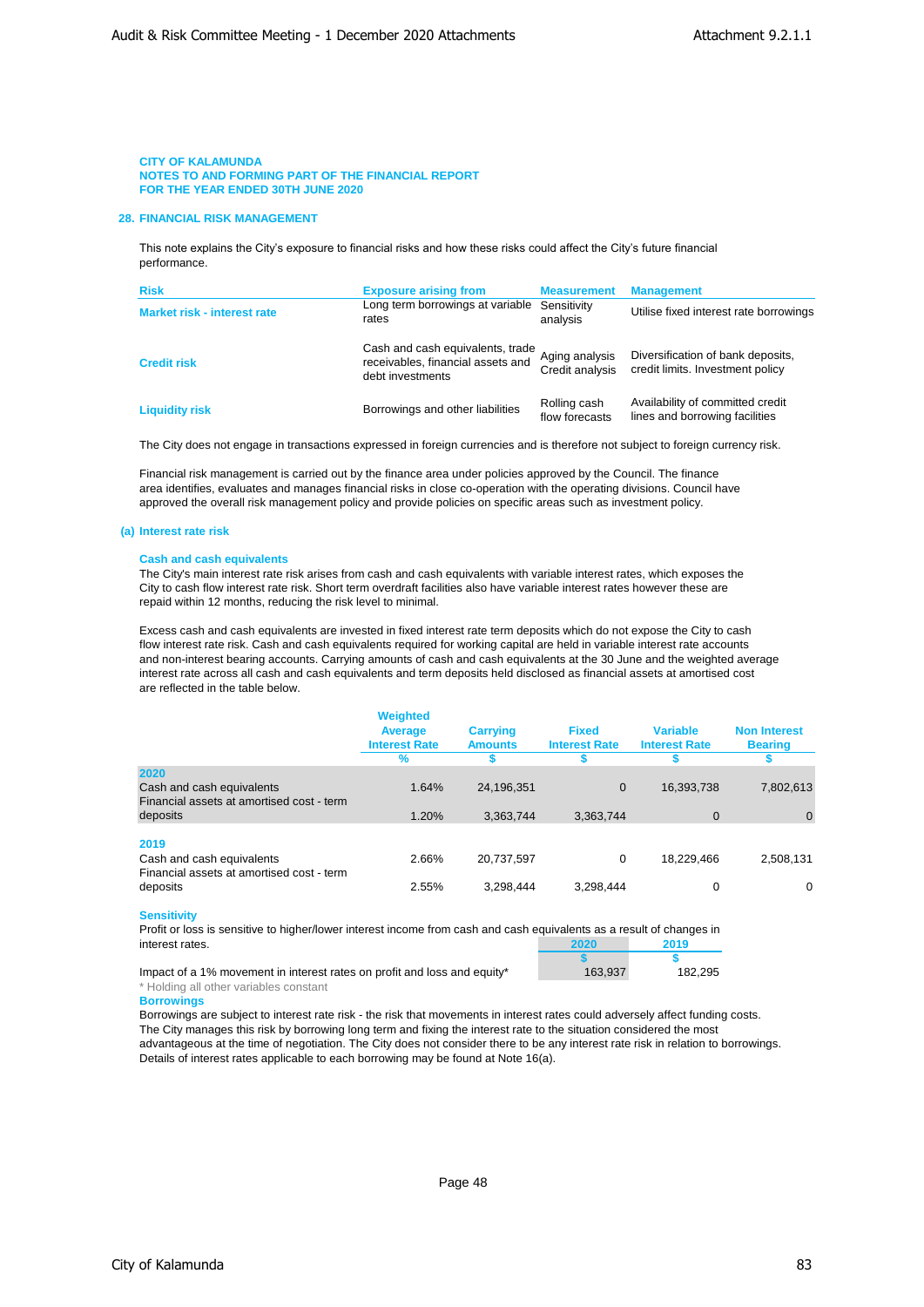### **28. FINANCIAL RISK MANAGEMENT**

This note explains the City's exposure to financial risks and how these risks could affect the City's future financial performance.

| <b>Risk</b>                        | <b>Exposure arising from</b>                                                              | <b>Measurement</b>                | <b>Management</b>                                                     |
|------------------------------------|-------------------------------------------------------------------------------------------|-----------------------------------|-----------------------------------------------------------------------|
| <b>Market risk - interest rate</b> | Long term borrowings at variable<br>rates                                                 | Sensitivity<br>analysis           | Utilise fixed interest rate borrowings                                |
| <b>Credit risk</b>                 | Cash and cash equivalents, trade<br>receivables, financial assets and<br>debt investments | Aging analysis<br>Credit analysis | Diversification of bank deposits,<br>credit limits. Investment policy |
| <b>Liquidity risk</b>              | Borrowings and other liabilities                                                          | Rolling cash<br>flow forecasts    | Availability of committed credit<br>lines and borrowing facilities    |

The City does not engage in transactions expressed in foreign currencies and is therefore not subject to foreign currency risk.

Financial risk management is carried out by the finance area under policies approved by the Council. The finance area identifies, evaluates and manages financial risks in close co-operation with the operating divisions. Council have approved the overall risk management policy and provide policies on specific areas such as investment policy.

#### **(a) Interest rate risk**

#### **Cash and cash equivalents**

The City's main interest rate risk arises from cash and cash equivalents with variable interest rates, which exposes the City to cash flow interest rate risk. Short term overdraft facilities also have variable interest rates however these are repaid within 12 months, reducing the risk level to minimal.

Excess cash and cash equivalents are invested in fixed interest rate term deposits which do not expose the City to cash flow interest rate risk. Cash and cash equivalents required for working capital are held in variable interest rate accounts and non-interest bearing accounts. Carrying amounts of cash and cash equivalents at the 30 June and the weighted average interest rate across all cash and cash equivalents and term deposits held disclosed as financial assets at amortised cost are reflected in the table below.

|                                                                        | <b>Weighted</b><br>Average<br><b>Interest Rate</b><br>$\%$ | <b>Carrying</b><br><b>Amounts</b> | <b>Fixed</b><br><b>Interest Rate</b> | <b>Variable</b><br><b>Interest Rate</b> | <b>Non Interest</b><br><b>Bearing</b> |
|------------------------------------------------------------------------|------------------------------------------------------------|-----------------------------------|--------------------------------------|-----------------------------------------|---------------------------------------|
| 2020                                                                   |                                                            |                                   |                                      |                                         |                                       |
| Cash and cash equivalents<br>Financial assets at amortised cost - term | 1.64%                                                      | 24,196,351                        | 0                                    | 16,393,738                              | 7,802,613                             |
| deposits                                                               | 1.20%                                                      | 3,363,744                         | 3,363,744                            | $\mathbf 0$                             | $\mathbf{0}$                          |
| 2019                                                                   |                                                            |                                   |                                      |                                         |                                       |
| Cash and cash equivalents<br>Financial assets at amortised cost - term | 2.66%                                                      | 20,737,597                        | 0                                    | 18,229,466                              | 2,508,131                             |
| deposits                                                               | 2.55%                                                      | 3,298,444                         | 3,298,444                            | 0                                       | $\Omega$                              |

#### **Sensitivity**

Profit or loss is sensitive to higher/lower interest income from cash and cash equivalents as a result of changes in interest rates. **2020 2019**

| Impact of a 1% movement in interest rates on profit and loss and equity* | 163.937 | 182.295 |
|--------------------------------------------------------------------------|---------|---------|
| المستحصص والمستعمر بعمطهم المسمئلة امليلا                                |         |         |

### \* Holding all other variables constant **Borrowings**

Borrowings are subject to interest rate risk - the risk that movements in interest rates could adversely affect funding costs. The City manages this risk by borrowing long term and fixing the interest rate to the situation considered the most advantageous at the time of negotiation. The City does not consider there to be any interest rate risk in relation to borrowings. Details of interest rates applicable to each borrowing may be found at Note 16(a).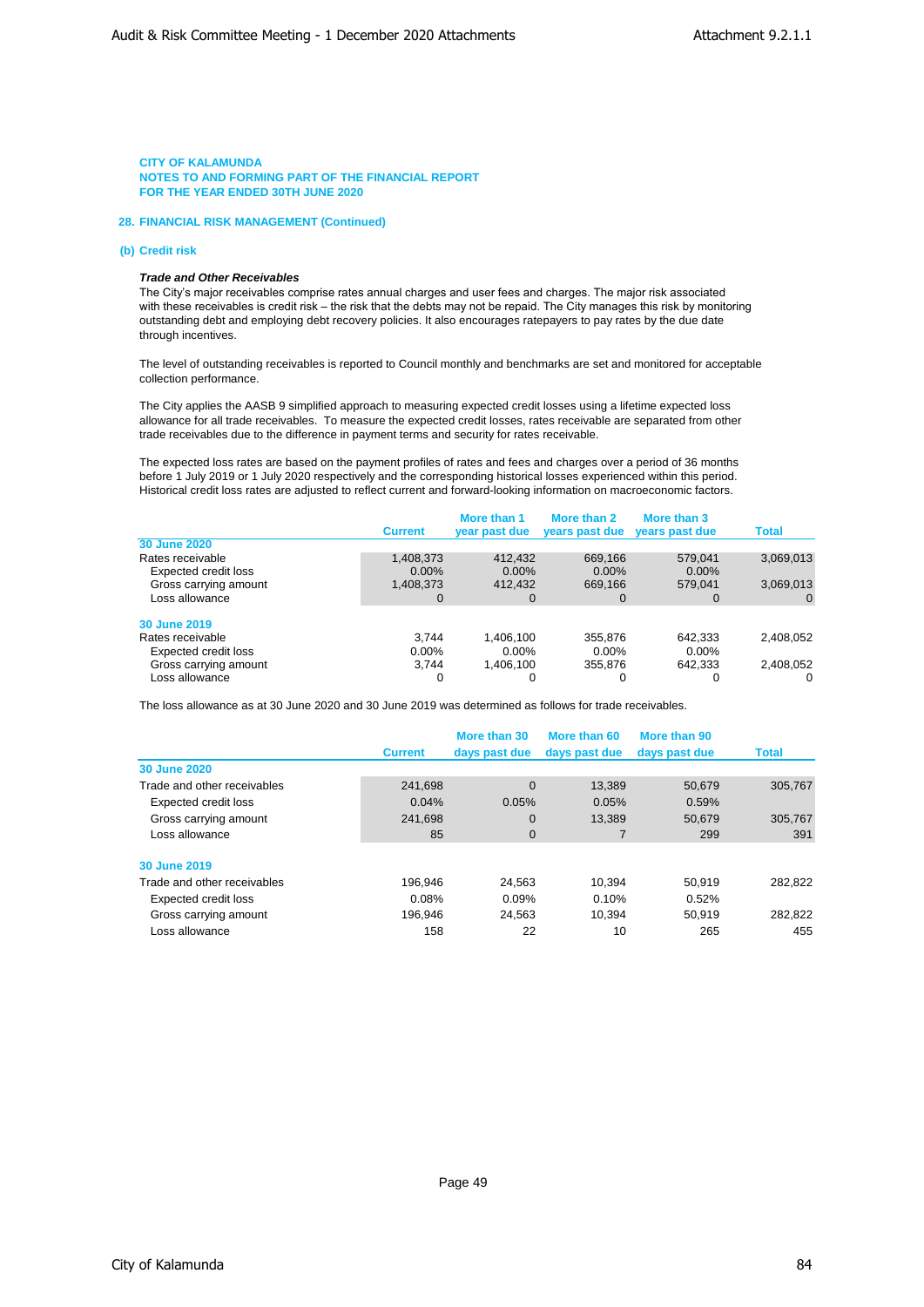### **28. FINANCIAL RISK MANAGEMENT (Continued)**

#### **(b) Credit risk**

### *Trade and Other Receivables*

The City's major receivables comprise rates annual charges and user fees and charges. The major risk associated with these receivables is credit risk – the risk that the debts may not be repaid. The City manages this risk by monitoring outstanding debt and employing debt recovery policies. It also encourages ratepayers to pay rates by the due date through incentives.

The level of outstanding receivables is reported to Council monthly and benchmarks are set and monitored for acceptable collection performance.

The City applies the AASB 9 simplified approach to measuring expected credit losses using a lifetime expected loss allowance for all trade receivables. To measure the expected credit losses, rates receivable are separated from other trade receivables due to the difference in payment terms and security for rates receivable.

The expected loss rates are based on the payment profiles of rates and fees and charges over a period of 36 months before 1 July 2019 or 1 July 2020 respectively and the corresponding historical losses experienced within this period. Historical credit loss rates are adjusted to reflect current and forward-looking information on macroeconomic factors.

|                       | <b>Current</b> | More than 1<br>year past due | More than 2<br>years past due | More than 3<br>years past due | <b>Total</b> |
|-----------------------|----------------|------------------------------|-------------------------------|-------------------------------|--------------|
| <b>30 June 2020</b>   |                |                              |                               |                               |              |
| Rates receivable      | 1,408,373      | 412.432                      | 669.166                       | 579.041                       | 3,069,013    |
| Expected credit loss  | $0.00\%$       | $0.00\%$                     | $0.00\%$                      | $0.00\%$                      |              |
| Gross carrying amount | 1,408,373      | 412,432                      | 669,166                       | 579.041                       | 3,069,013    |
| Loss allowance        |                | 0                            | 0                             | 0                             | $\Omega$     |
| 30 June 2019          |                |                              |                               |                               |              |
| Rates receivable      | 3.744          | 1.406.100                    | 355.876                       | 642.333                       | 2.408.052    |
| Expected credit loss  | $0.00\%$       | $0.00\%$                     | $0.00\%$                      | $0.00\%$                      |              |
| Gross carrying amount | 3.744          | 1.406.100                    | 355.876                       | 642.333                       | 2,408,052    |
| Loss allowance        |                | 0                            | 0                             | 0                             | 0            |

The loss allowance as at 30 June 2020 and 30 June 2019 was determined as follows for trade receivables.

|                             | <b>Current</b> | More than 30<br>days past due | More than 60<br>days past due | More than 90<br>days past due | <b>Total</b> |
|-----------------------------|----------------|-------------------------------|-------------------------------|-------------------------------|--------------|
| 30 June 2020                |                |                               |                               |                               |              |
| Trade and other receivables | 241.698        | $\Omega$                      | 13.389                        | 50.679                        | 305,767      |
| Expected credit loss        | 0.04%          | 0.05%                         | 0.05%                         | 0.59%                         |              |
| Gross carrying amount       | 241.698        | $\mathbf 0$                   | 13,389                        | 50.679                        | 305,767      |
| Loss allowance              | 85             | $\mathbf 0$                   |                               | 299                           | 391          |
| 30 June 2019                |                |                               |                               |                               |              |
| Trade and other receivables | 196.946        | 24,563                        | 10.394                        | 50.919                        | 282,822      |
| Expected credit loss        | 0.08%          | 0.09%                         | 0.10%                         | 0.52%                         |              |
| Gross carrying amount       | 196.946        | 24.563                        | 10.394                        | 50.919                        | 282.822      |
| Loss allowance              | 158            | 22                            | 10                            | 265                           | 455          |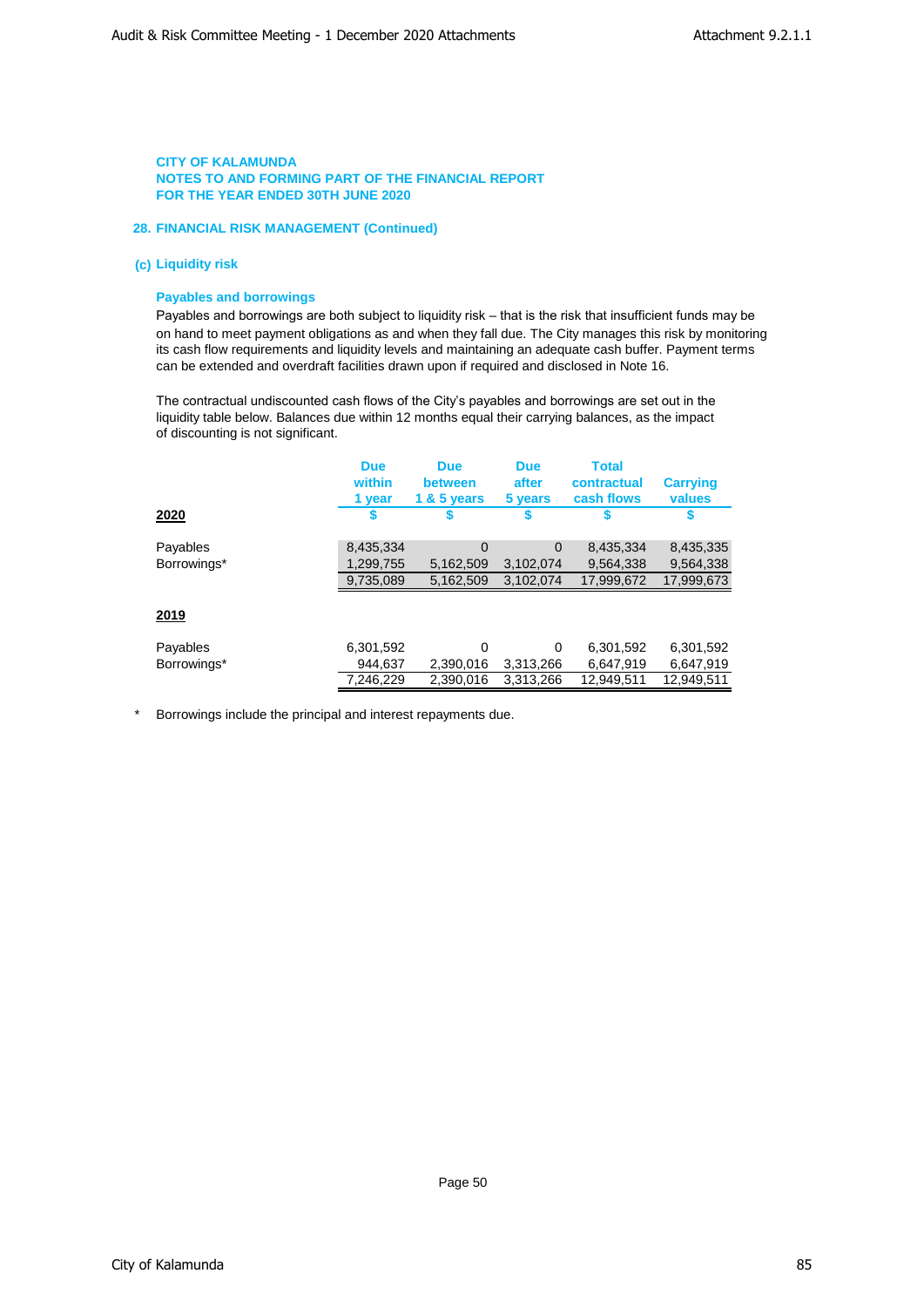# **28. FINANCIAL RISK MANAGEMENT (Continued)**

# **(c) Liquidity risk**

# **Payables and borrowings**

Payables and borrowings are both subject to liquidity risk – that is the risk that insufficient funds may be on hand to meet payment obligations as and when they fall due. The City manages this risk by monitoring its cash flow requirements and liquidity levels and maintaining an adequate cash buffer. Payment terms can be extended and overdraft facilities drawn upon if required and disclosed in Note 16.

The contractual undiscounted cash flows of the City's payables and borrowings are set out in the liquidity table below. Balances due within 12 months equal their carrying balances, as the impact of discounting is not significant.

|             | <b>Due</b><br>within<br>1 year | <b>Due</b><br>between<br>1 & 5 years | <b>Due</b><br>after<br>5 years | <b>Total</b><br>contractual<br>cash flows | <b>Carrying</b><br>values |
|-------------|--------------------------------|--------------------------------------|--------------------------------|-------------------------------------------|---------------------------|
| 2020        |                                |                                      |                                |                                           |                           |
| Payables    | 8,435,334                      | $\Omega$                             | $\Omega$                       | 8,435,334                                 | 8,435,335                 |
| Borrowings* | 1,299,755                      | 5,162,509                            | 3,102,074                      | 9,564,338                                 | 9,564,338                 |
|             | 9,735,089                      | 5,162,509                            | 3,102,074                      | 17,999,672                                | 17,999,673                |
| <u>2019</u> |                                |                                      |                                |                                           |                           |
| Payables    | 6,301,592                      | $\Omega$                             | $\Omega$                       | 6,301,592                                 | 6,301,592                 |
| Borrowings* | 944,637                        | 2,390,016                            | 3.313.266                      | 6,647,919                                 | 6,647,919                 |
|             | 7,246,229                      | 2,390,016                            | 3,313,266                      | 12,949,511                                | 12,949,511                |

\* Borrowings include the principal and interest repayments due.

Page 50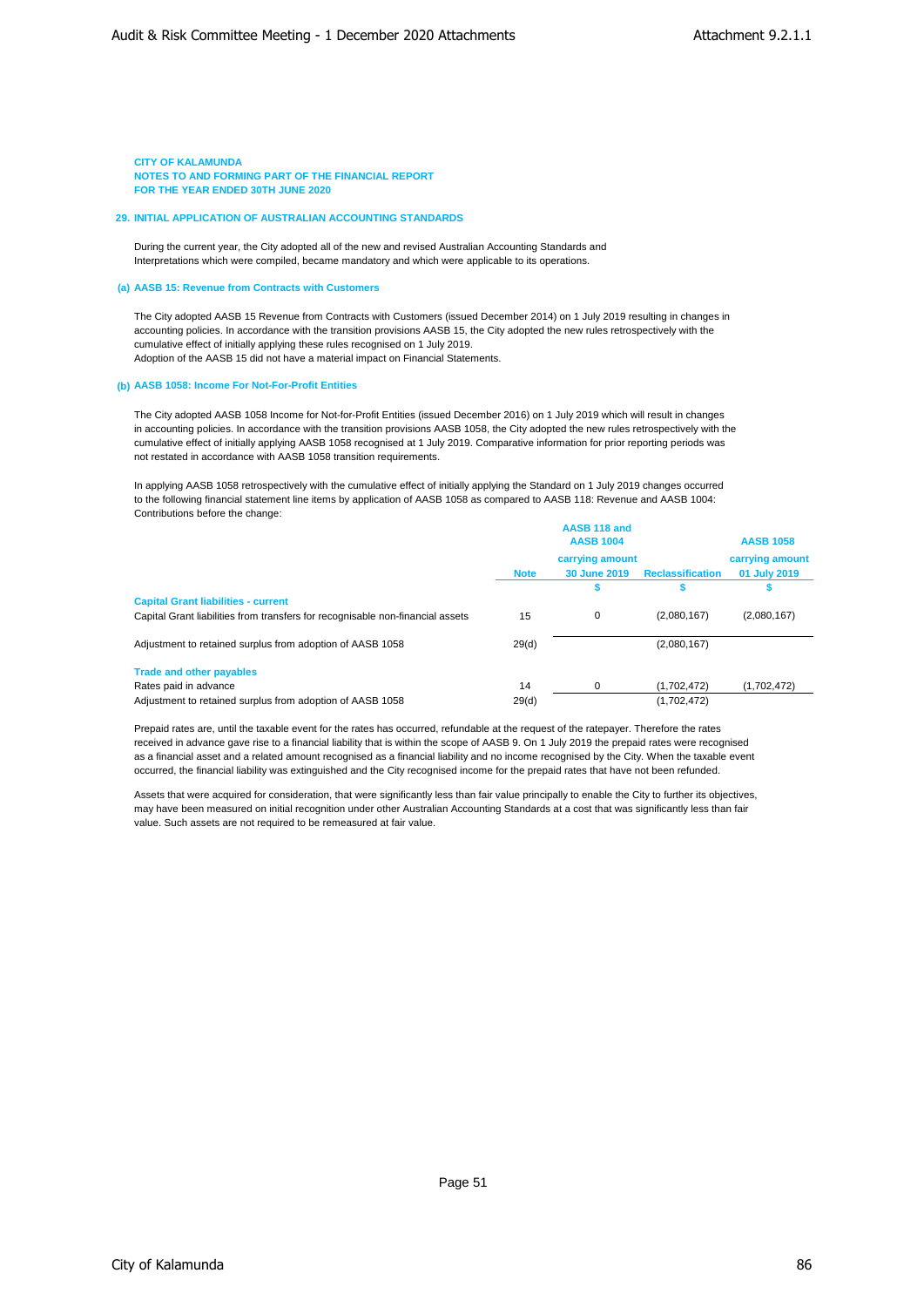### **29. INITIAL APPLICATION OF AUSTRALIAN ACCOUNTING STANDARDS**

During the current year, the City adopted all of the new and revised Australian Accounting Standards and Interpretations which were compiled, became mandatory and which were applicable to its operations.

### **(a) AASB 15: Revenue from Contracts with Customers**

The City adopted AASB 15 Revenue from Contracts with Customers (issued December 2014) on 1 July 2019 resulting in changes in accounting policies. In accordance with the transition provisions AASB 15, the City adopted the new rules retrospectively with the cumulative effect of initially applying these rules recognised on 1 July 2019. Adoption of the AASB 15 did not have a material impact on Financial Statements.

#### **(b) AASB 1058: Income For Not-For-Profit Entities**

The City adopted AASB 1058 Income for Not-for-Profit Entities (issued December 2016) on 1 July 2019 which will result in changes in accounting policies. In accordance with the transition provisions AASB 1058, the City adopted the new rules retrospectively with the cumulative effect of initially applying AASB 1058 recognised at 1 July 2019. Comparative information for prior reporting periods was not restated in accordance with AASB 1058 transition requirements.

In applying AASB 1058 retrospectively with the cumulative effect of initially applying the Standard on 1 July 2019 changes occurred to the following financial statement line items by application of AASB 1058 as compared to AASB 118: Revenue and AASB 1004: Contributions before the change:

|                                                                                |                 | <b>AASB 118 and</b><br><b>AASB 1004</b> |                         | <b>AASB 1058</b> |
|--------------------------------------------------------------------------------|-----------------|-----------------------------------------|-------------------------|------------------|
|                                                                                | carrying amount |                                         | carrying amount         |                  |
|                                                                                | <b>Note</b>     | 30 June 2019                            | <b>Reclassification</b> | 01 July 2019     |
|                                                                                |                 |                                         |                         |                  |
| <b>Capital Grant liabilities - current</b>                                     |                 |                                         |                         |                  |
| Capital Grant liabilities from transfers for recognisable non-financial assets | 15              | 0                                       | (2,080,167)             | (2,080,167)      |
| Adjustment to retained surplus from adoption of AASB 1058                      | 29(d)           |                                         | (2,080,167)             |                  |
| <b>Trade and other payables</b>                                                |                 |                                         |                         |                  |
| Rates paid in advance                                                          | 14              | 0                                       | (1,702,472)             | (1.702.472)      |
| Adjustment to retained surplus from adoption of AASB 1058                      | 29(d)           |                                         | (1,702,472)             |                  |

**AASB 118 and** 

Prepaid rates are, until the taxable event for the rates has occurred, refundable at the request of the ratepayer. Therefore the rates received in advance gave rise to a financial liability that is within the scope of AASB 9. On 1 July 2019 the prepaid rates were recognised as a financial asset and a related amount recognised as a financial liability and no income recognised by the City. When the taxable event occurred, the financial liability was extinguished and the City recognised income for the prepaid rates that have not been refunded.

Assets that were acquired for consideration, that were significantly less than fair value principally to enable the City to further its objectives, may have been measured on initial recognition under other Australian Accounting Standards at a cost that was significantly less than fair value. Such assets are not required to be remeasured at fair value.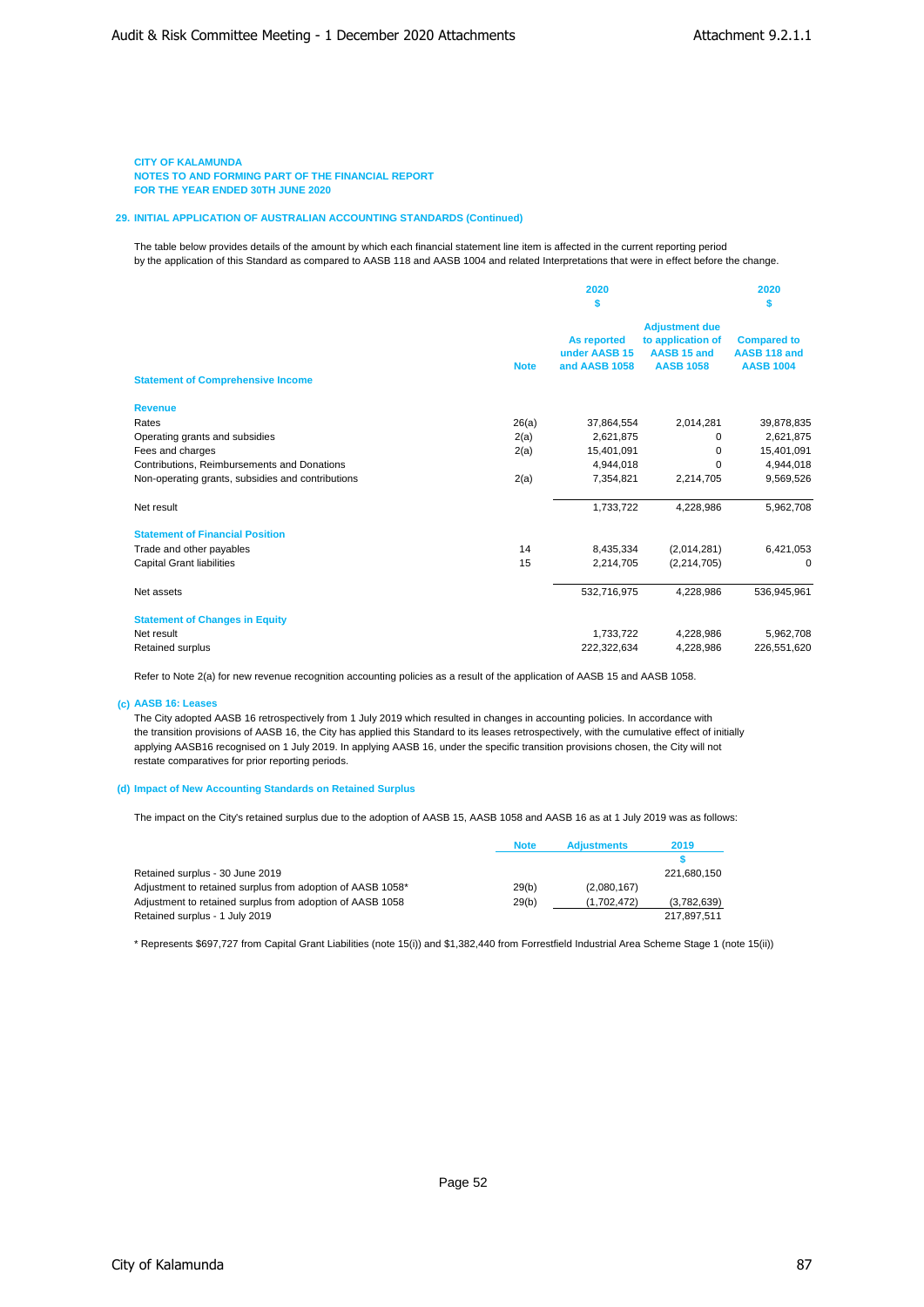### **29. INITIAL APPLICATION OF AUSTRALIAN ACCOUNTING STANDARDS (Continued)**

The table below provides details of the amount by which each financial statement line item is affected in the current reporting period by the application of this Standard as compared to AASB 118 and AASB 1004 and related Interpretations that were in effect before the change.

|                                                   | 2020        |                    | 2020                  |                    |  |
|---------------------------------------------------|-------------|--------------------|-----------------------|--------------------|--|
|                                                   | s           |                    | S                     |                    |  |
|                                                   |             |                    | <b>Adjustment due</b> |                    |  |
|                                                   |             | <b>As reported</b> | to application of     | <b>Compared to</b> |  |
|                                                   |             | under AASB 15      | AASB 15 and           | AASB 118 and       |  |
|                                                   | <b>Note</b> | and AASB 1058      | <b>AASB 1058</b>      | <b>AASB 1004</b>   |  |
| <b>Statement of Comprehensive Income</b>          |             |                    |                       |                    |  |
| <b>Revenue</b>                                    |             |                    |                       |                    |  |
| Rates                                             | 26(a)       | 37,864,554         | 2,014,281             | 39,878,835         |  |
| Operating grants and subsidies                    | 2(a)        | 2,621,875          | 0                     | 2,621,875          |  |
| Fees and charges                                  | 2(a)        | 15,401,091         | $\Omega$              | 15,401,091         |  |
| Contributions, Reimbursements and Donations       |             | 4,944,018          | 0                     | 4,944,018          |  |
| Non-operating grants, subsidies and contributions | 2(a)        | 7,354,821          | 2,214,705             | 9,569,526          |  |
| Net result                                        |             | 1,733,722          | 4,228,986             | 5,962,708          |  |
| <b>Statement of Financial Position</b>            |             |                    |                       |                    |  |
| Trade and other payables                          | 14          | 8,435,334          | (2,014,281)           | 6,421,053          |  |
| <b>Capital Grant liabilities</b>                  | 15          | 2,214,705          | (2, 214, 705)         | $\Omega$           |  |
| Net assets                                        |             | 532,716,975        | 4,228,986             | 536,945,961        |  |
| <b>Statement of Changes in Equity</b>             |             |                    |                       |                    |  |
| Net result                                        |             | 1,733,722          | 4,228,986             | 5,962,708          |  |
| <b>Retained surplus</b>                           |             | 222,322,634        | 4,228,986             | 226,551,620        |  |

Refer to Note 2(a) for new revenue recognition accounting policies as a result of the application of AASB 15 and AASB 1058.

#### **(c) AASB 16: Leases**

The City adopted AASB 16 retrospectively from 1 July 2019 which resulted in changes in accounting policies. In accordance with the transition provisions of AASB 16, the City has applied this Standard to its leases retrospectively, with the cumulative effect of initially applying AASB16 recognised on 1 July 2019. In applying AASB 16, under the specific transition provisions chosen, the City will not restate comparatives for prior reporting periods.

### **(d) Impact of New Accounting Standards on Retained Surplus**

The impact on the City's retained surplus due to the adoption of AASB 15, AASB 1058 and AASB 16 as at 1 July 2019 was as follows:

|                                                            | <b>Note</b> | <b>Adjustments</b> | 2019        |
|------------------------------------------------------------|-------------|--------------------|-------------|
|                                                            |             |                    |             |
| Retained surplus - 30 June 2019                            |             |                    | 221.680.150 |
| Adjustment to retained surplus from adoption of AASB 1058* | 29(b)       | (2.080.167)        |             |
| Adjustment to retained surplus from adoption of AASB 1058  | 29(b)       | (1.702.472)        | (3,782,639) |
| Retained surplus - 1 July 2019                             |             |                    | 217.897.511 |

\* Represents \$697,727 from Capital Grant Liabilities (note 15(i)) and \$1,382,440 from Forrestfield Industrial Area Scheme Stage 1 (note 15(ii))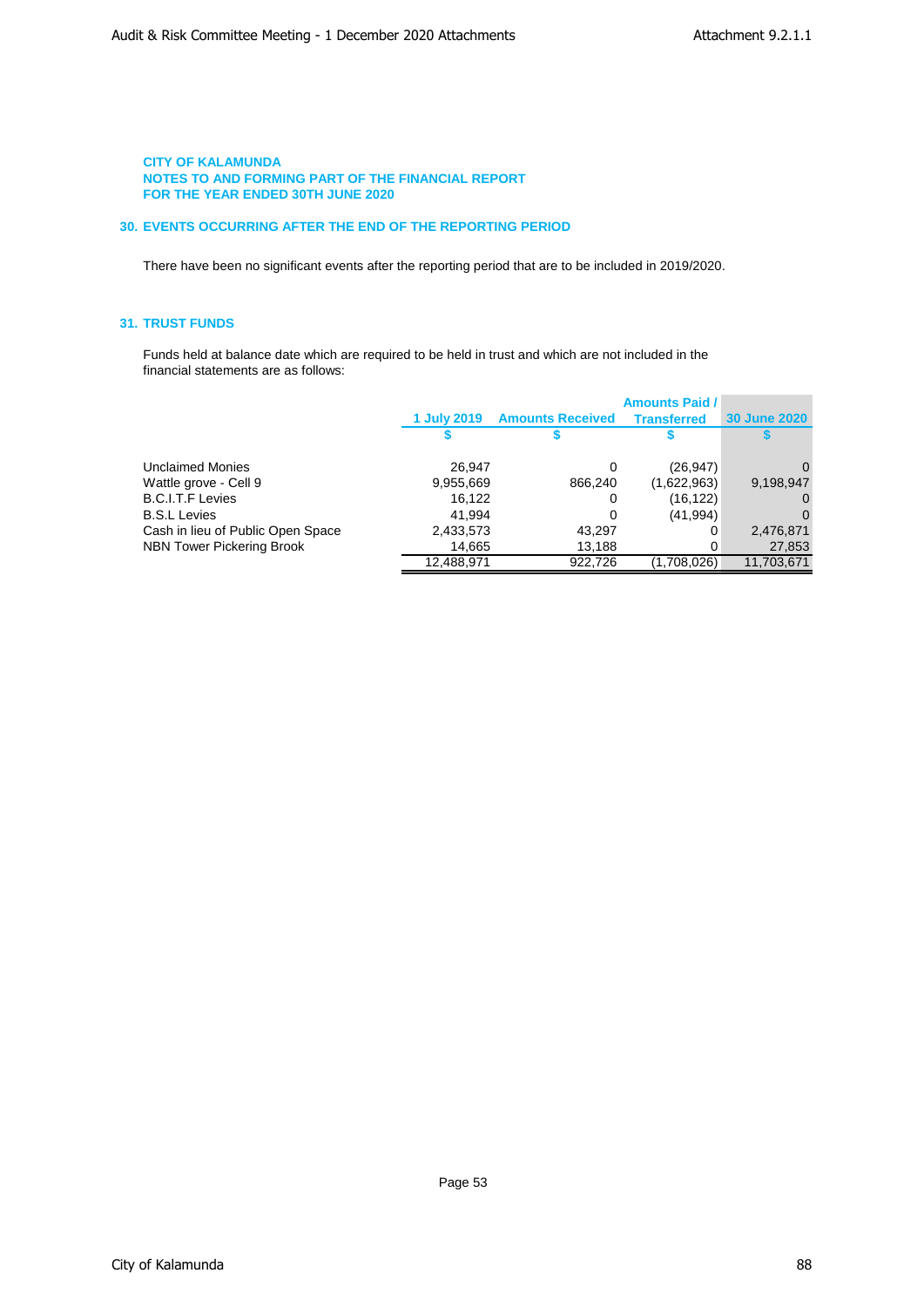## **30. EVENTS OCCURRING AFTER THE END OF THE REPORTING PERIOD**

There have been no significant events after the reporting period that are to be included in 2019/2020.

# **31. TRUST FUNDS**

Funds held at balance date which are required to be held in trust and which are not included in the financial statements are as follows:

|                                   |                    |                         | <b>Amounts Paid /</b> |                     |
|-----------------------------------|--------------------|-------------------------|-----------------------|---------------------|
|                                   | <b>1 July 2019</b> | <b>Amounts Received</b> | <b>Transferred</b>    | <b>30 June 2020</b> |
|                                   |                    |                         |                       |                     |
| Unclaimed Monies                  | 26.947             | 0                       | (26, 947)             | $\Omega$            |
| Wattle grove - Cell 9             | 9,955,669          | 866,240                 | (1,622,963)           | 9,198,947           |
| B.C.I.T.F Levies                  | 16.122             | 0                       | (16, 122)             | 0                   |
| <b>B.S.L Levies</b>               | 41.994             | 0                       | (41, 994)             | $\Omega$            |
| Cash in lieu of Public Open Space | 2,433,573          | 43,297                  | 0                     | 2,476,871           |
| NBN Tower Pickering Brook         | 14,665             | 13,188                  | 0                     | 27,853              |
|                                   | 12,488,971         | 922,726                 | (1,708,026)           | 11,703,671          |
|                                   |                    |                         |                       |                     |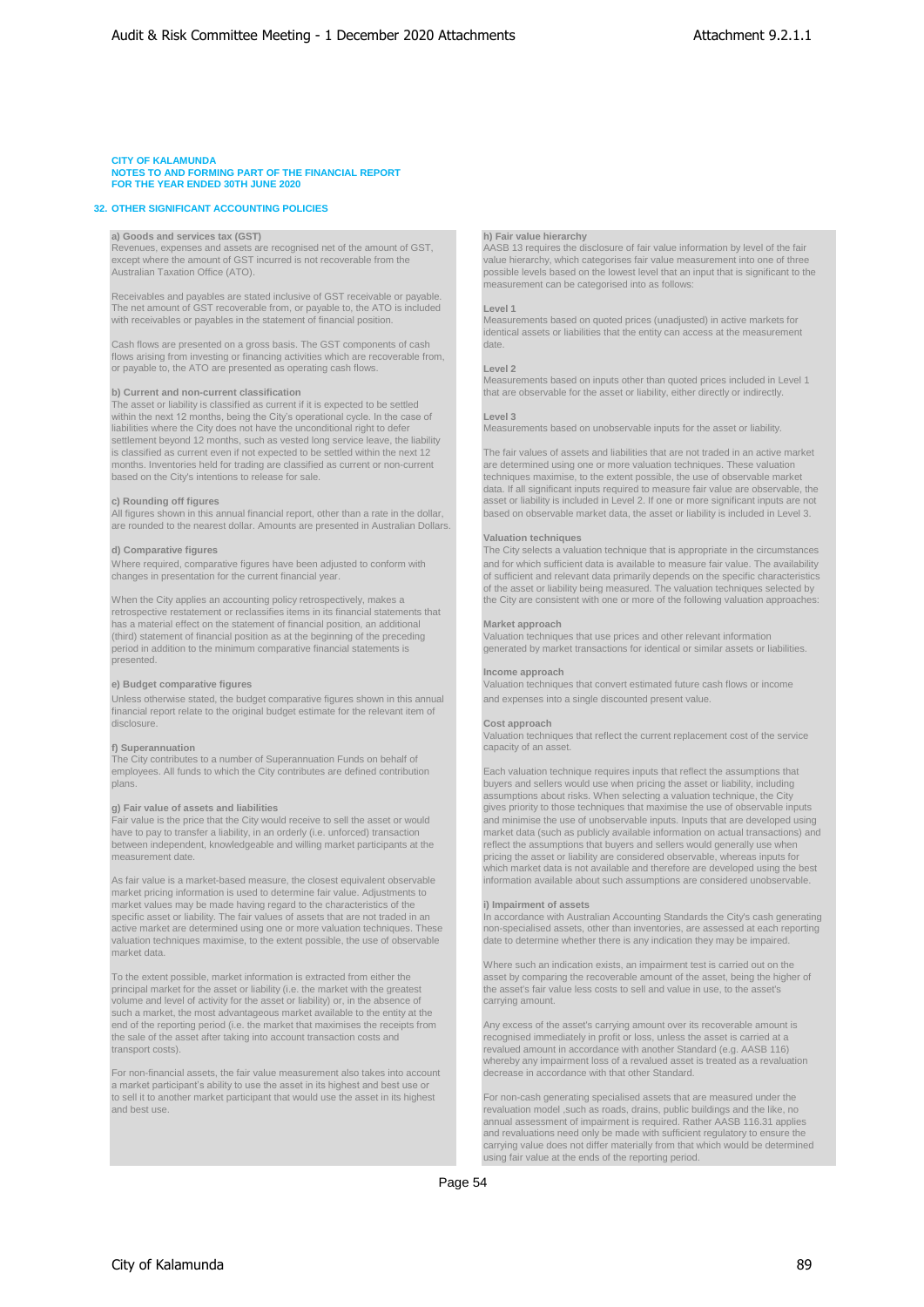#### **32. OTHER SIGNIFICANT ACCOUNTING POLICIES**

**a) Goods and services tax (GST) h) Fair value hierarchy** Revenues, expenses and assets are recognised net of the amount of GST,<br>except where the amount of GST incurred is not recoverable from the value hierarchy, which categorises fair value measurement into one of three

Receivables and payables are stated inclusive of GST receivable or payable. The net amount of GST recoverable from, or payable to, the ATO is included **Level 1** with receivables or payables in the statement of financial position. Measurements based on quoted prices (unadjusted) in active markets for

Cash flows are presented on a gross basis. The GST components of cash flows arising from investing or financing activities which are recoverable from, or payable to, the ATO are presented as operating cash flows. **Level 2**

The asset or liability is classified as current if it is expected to be settled within the next 12 months, being the City's operational cycle. In the case of **Level 3** liabilities where the City does not have the unconditional right to defer Measurements based on unobservable inputs for the asset or liability. settlement beyond 12 months, such as vested long service leave, the liability is classified as current even if not expected to be settled within the next 12 months. Inventories held for trading are classified as current or non-current based on the City's intentions to release for sale. The contract of the extent possible, the use of observable market

All figures shown in this annual financial report, other than a rate in the dollar, are rounded to the nearest dollar. Amounts are presented in Australian Dollars.

retrospective restatement or reclassifies items in its financial statements that has a material effect on the statement of financial position, an additional **Market approach** (third) statement of financial position as at the beginning of the preceding Valuation techniques that use prices and other relevant information period in addition to the minimum comparative financial statements is generat presented.

Unless otherwise stated, the budget comparative figures shown in this annual and expenses into a single discounted present value. financial report relate to the original budget estimate for the relevant item of disclosure. **Cost approach**

The City contributes to a number of Superannuation Funds on behalf of employees. All funds to which the City contributes are defined contribution Each valuation technique requires inputs that reflect the assumptions that plans. buyers and sellers would use when pricing the asset or liability, including

between independent, knowledgeable and willing market participants at the

market pricing information is used to determine fair value. Adjustments to market values may be made having regard to the characteristics of the **i) Impairment of assets** specific asset or liability. The fair values of assets that are not traded in an an and accordance with Australian Accounting Standards the City's cash gerective market are determined using one or more valuation techniques valuation techniques maximise, to the extent possible, the use of observable market data.

principal market for the asset or liability (i.e. the market with the greatest the asset's fair value less costs to sell and value in use, to the asset's volume and level of activity for the asset or liability) or, in the absence of carrying amount. such a market, the most advantageous market available to the entity at the end of the reporting period (i.e. the market that maximises the receipts from end of the reporting period (i.e. the market that maximises the receipts from The Any excess of the asset's carrying amount over its recoverable amount is<br>The sale of the asset after taking into account transaction costs a

For non-financial assets, the fair value measurement also takes into account decrease in accordance with that other Standard. a market participant's ability to use the asset in its highest and best use or to sell it to another market participant that would use the asset in its highest For non-cash generating specialised assets that are measured under the the state measured under the like. no

value hierarchy, which categorises fair value measurement into one of three Australian Taxation Office (ATO). possible levels based on the lowest level that an input that is significant to the measurement can be categorised into as follows:

identical assets or liabilities that the entity can access at the measurement

Measurements based on inputs other than quoted prices included in Level 1 **b) Current and non-current classification** that are observable for the asset or liability, either directly or indirectly.

The fair values of assets and liabilities that are not traded in an active market are determined using one or more valuation techniques. These valuation data. If all significant inputs required to measure fair value are observable, the **c) Rounding off figures**<br>
asset or liability is included in Level 2. If one or more significant inputs are not<br>
All figures shown in this annual financial report, other than a rate in the dollar, based on observable marke

#### **Valuation techniques**

**d) Comparative figures** The City selects a valuation technique that is appropriate in the circumstances Where required, comparative figures have been adjusted to conform with and for which sufficient data is available to measure fair value. The availability changes in presentation for the current financial year.  $\qquad \qquad$  of sufficient and relevant data primarily depends on the specific characteristics characteristics of the asset or liability being measured. The valuation tec When the City applies an accounting policy retrospectively, makes a the City are consistent with one or more of the following valuation approaches:

generated by market transactions for identical or similar assets or liabilities.

#### **Income approach**

**e) Budget comparative figures** Valuation techniques that convert estimated future cash flows or income

Valuation techniques that reflect the current replacement cost of the service **f) Superannuation** capacity of an asset.

assumptions about risks. When selecting a valuation technique, the City **g) Fair value of assets and liabilities** gives priority to those techniques that maximise the use of observable inputs Fair value is the price that the City would receive to sell the asset or would<br>
have to pay to transfer a liability, in an orderly (i.e. unforced) transaction<br>
market data (such as publicly available information on actual market data (such as publicly available information on actual transactions) and reflect the assumptions that buyers and sellers would generally use when measurement date.<br>pricing the asset or liability are considered observable, whereas inputs for liability are considered observable, whereas inputs for liability are considered observable, whereas inputs for liability are c As fair value is a market-based measure, the closest equivalent observable information available about such assumptions are considered unobservable

In accordance with Australian Accounting Standards the City's cash generating non-specialised assets, other than inventories, are assessed at each reporting

Where such an indication exists, an impairment test is carried out on the Viere such an indication exists, an impairment test is carried out on the asset being the higher of the asset, being the higher of the asset, being

transport costs). revalued amount in accordance with another Standard (e.g. AASB 116) whereby any impairment loss of a revalued asset is treated as a revaluation

> revaluation model ,such as roads, drains, public buildings and the like, no annual assessment of impairment is required. Rather AASB 116.31 applies and revaluations need only be made with sufficient regulatory to ensure the carrying value does not differ materially from that which would be determined using fair value at the ends of the reporting period.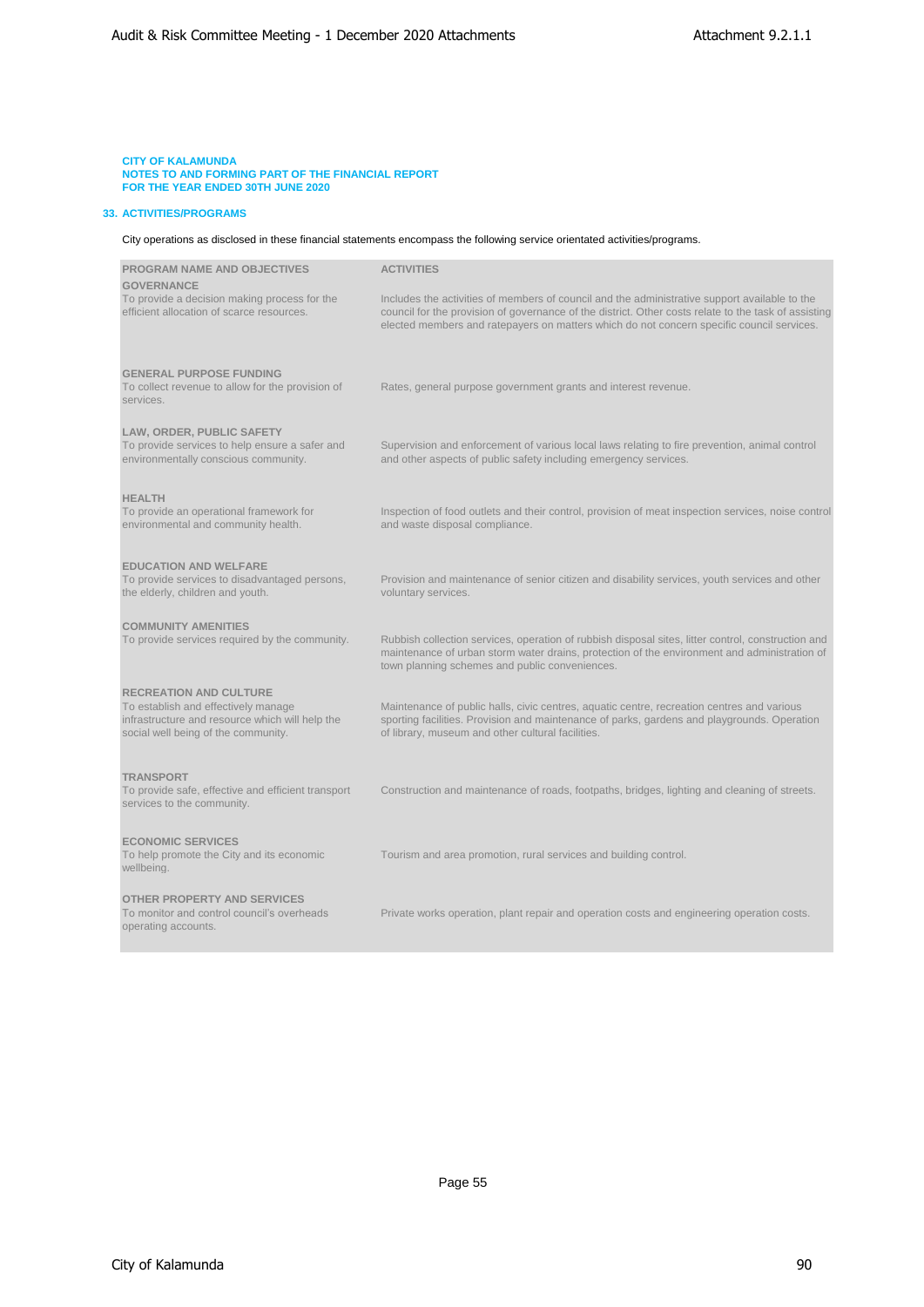### **33. ACTIVITIES/PROGRAMS**

City operations as disclosed in these financial statements encompass the following service orientated activities/programs.

| <b>PROGRAM NAME AND OBJECTIVES</b>                                                                                                                             | <b>ACTIVITIES</b>                                                                                                                                                                                                                                                                                  |
|----------------------------------------------------------------------------------------------------------------------------------------------------------------|----------------------------------------------------------------------------------------------------------------------------------------------------------------------------------------------------------------------------------------------------------------------------------------------------|
| <b>GOVERNANCE</b><br>To provide a decision making process for the<br>efficient allocation of scarce resources.                                                 | Includes the activities of members of council and the administrative support available to the<br>council for the provision of governance of the district. Other costs relate to the task of assisting<br>elected members and ratepayers on matters which do not concern specific council services. |
| <b>GENERAL PURPOSE FUNDING</b><br>To collect revenue to allow for the provision of<br>services.                                                                | Rates, general purpose government grants and interest revenue.                                                                                                                                                                                                                                     |
| LAW, ORDER, PUBLIC SAFETY<br>To provide services to help ensure a safer and<br>environmentally conscious community.                                            | Supervision and enforcement of various local laws relating to fire prevention, animal control<br>and other aspects of public safety including emergency services.                                                                                                                                  |
| <b>HEALTH</b><br>To provide an operational framework for<br>environmental and community health.                                                                | Inspection of food outlets and their control, provision of meat inspection services, noise control<br>and waste disposal compliance.                                                                                                                                                               |
| <b>EDUCATION AND WELFARE</b><br>To provide services to disadvantaged persons,<br>the elderly, children and youth.                                              | Provision and maintenance of senior citizen and disability services, youth services and other<br>voluntary services.                                                                                                                                                                               |
| <b>COMMUNITY AMENITIES</b><br>To provide services required by the community.                                                                                   | Rubbish collection services, operation of rubbish disposal sites, litter control, construction and<br>maintenance of urban storm water drains, protection of the environment and administration of<br>town planning schemes and public conveniences.                                               |
| <b>RECREATION AND CULTURE</b><br>To establish and effectively manage<br>infrastructure and resource which will help the<br>social well being of the community. | Maintenance of public halls, civic centres, aquatic centre, recreation centres and various<br>sporting facilities. Provision and maintenance of parks, gardens and playgrounds. Operation<br>of library, museum and other cultural facilities.                                                     |
| <b>TRANSPORT</b><br>To provide safe, effective and efficient transport<br>services to the community.                                                           | Construction and maintenance of roads, footpaths, bridges, lighting and cleaning of streets.                                                                                                                                                                                                       |
| <b>ECONOMIC SERVICES</b><br>To help promote the City and its economic<br>wellbeing.                                                                            | Tourism and area promotion, rural services and building control.                                                                                                                                                                                                                                   |
| <b>OTHER PROPERTY AND SERVICES</b><br>To monitor and control council's overheads<br>operating accounts.                                                        | Private works operation, plant repair and operation costs and engineering operation costs.                                                                                                                                                                                                         |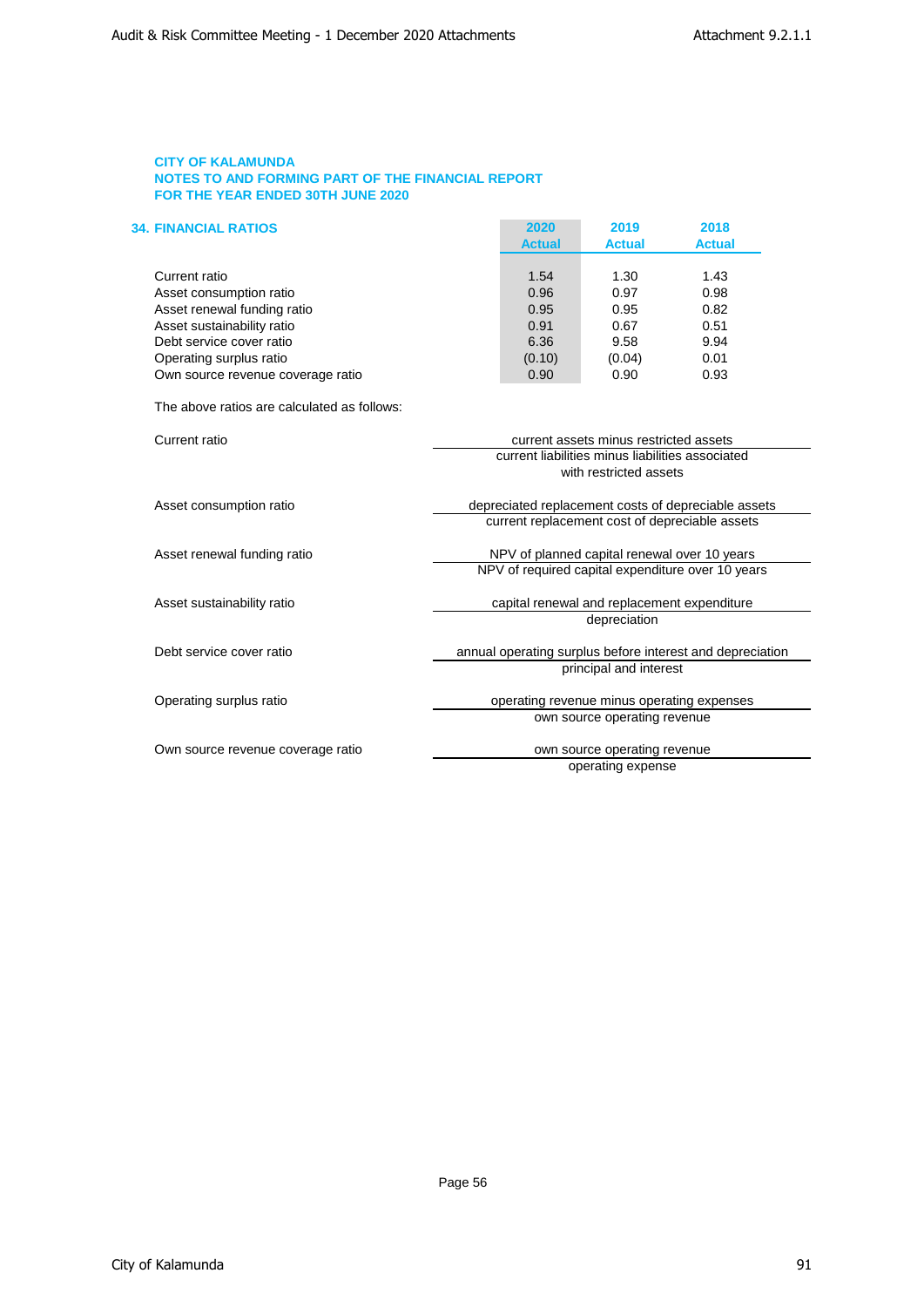| <b>34. FINANCIAL RATIOS</b>       | 2020          | 2019          | 2018          |
|-----------------------------------|---------------|---------------|---------------|
|                                   | <b>Actual</b> | <b>Actual</b> | <b>Actual</b> |
|                                   |               |               |               |
| Current ratio                     | 1.54          | 1.30          | 1.43          |
| Asset consumption ratio           | 0.96          | 0.97          | 0.98          |
| Asset renewal funding ratio       | 0.95          | 0.95          | 0.82          |
| Asset sustainability ratio        | 0.91          | 0.67          | 0.51          |
| Debt service cover ratio          | 6.36          | 9.58          | 9.94          |
| Operating surplus ratio           | (0.10)        | (0.04)        | 0.01          |
| Own source revenue coverage ratio | 0.90          | 0.90          | 0.93          |

The above ratios are calculated as follows:

| Current ratio                     | current assets minus restricted assets                    |
|-----------------------------------|-----------------------------------------------------------|
|                                   | current liabilities minus liabilities associated          |
|                                   | with restricted assets                                    |
| Asset consumption ratio           | depreciated replacement costs of depreciable assets       |
|                                   | current replacement cost of depreciable assets            |
| Asset renewal funding ratio       | NPV of planned capital renewal over 10 years              |
|                                   | NPV of required capital expenditure over 10 years         |
| Asset sustainability ratio        | capital renewal and replacement expenditure               |
|                                   | depreciation                                              |
| Debt service cover ratio          | annual operating surplus before interest and depreciation |
|                                   | principal and interest                                    |
| Operating surplus ratio           | operating revenue minus operating expenses                |
|                                   | own source operating revenue                              |
| Own source revenue coverage ratio | own source operating revenue                              |

operating expense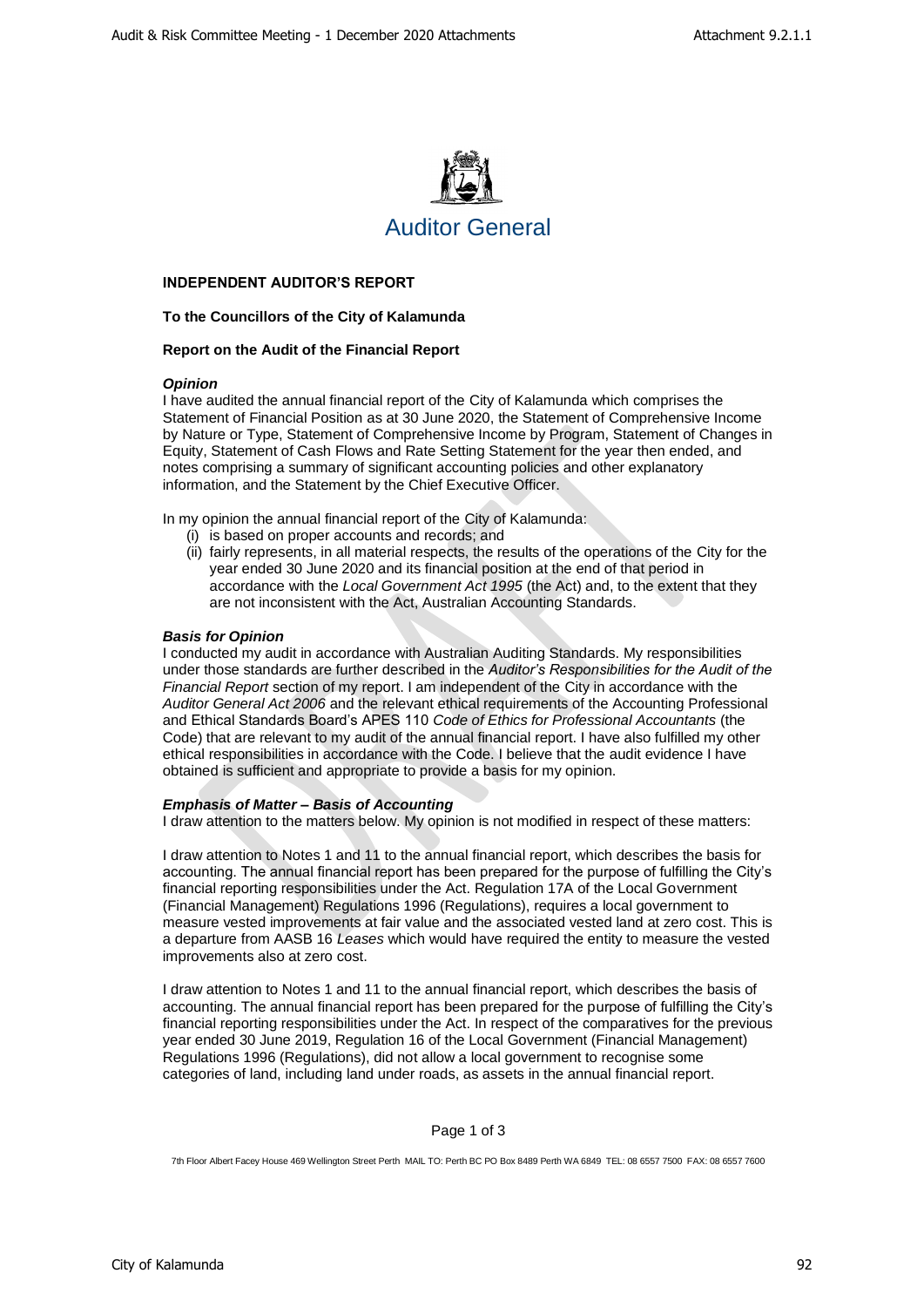

# **INDEPENDENT AUDITOR'S REPORT**

# **To the Councillors of the City of Kalamunda**

# **Report on the Audit of the Financial Report**

# *Opinion*

I have audited the annual financial report of the City of Kalamunda which comprises the Statement of Financial Position as at 30 June 2020, the Statement of Comprehensive Income by Nature or Type, Statement of Comprehensive Income by Program, Statement of Changes in Equity, Statement of Cash Flows and Rate Setting Statement for the year then ended, and notes comprising a summary of significant accounting policies and other explanatory information, and the Statement by the Chief Executive Officer.

In my opinion the annual financial report of the City of Kalamunda:

- (i) is based on proper accounts and records; and
- (ii) fairly represents, in all material respects, the results of the operations of the City for the year ended 30 June 2020 and its financial position at the end of that period in accordance with the *Local Government Act 1995* (the Act) and, to the extent that they are not inconsistent with the Act, Australian Accounting Standards.

# *Basis for Opinion*

I conducted my audit in accordance with Australian Auditing Standards. My responsibilities under those standards are further described in the *Auditor's Responsibilities for the Audit of the Financial Report* section of my report. I am independent of the City in accordance with the *Auditor General Act 2006* and the relevant ethical requirements of the Accounting Professional and Ethical Standards Board's APES 110 *Code of Ethics for Professional Accountants* (the Code) that are relevant to my audit of the annual financial report. I have also fulfilled my other ethical responsibilities in accordance with the Code. I believe that the audit evidence I have obtained is sufficient and appropriate to provide a basis for my opinion.

# *Emphasis of Matter – Basis of Accounting*

I draw attention to the matters below. My opinion is not modified in respect of these matters:

I draw attention to Notes 1 and 11 to the annual financial report, which describes the basis for accounting. The annual financial report has been prepared for the purpose of fulfilling the City's financial reporting responsibilities under the Act. Regulation 17A of the Local Government (Financial Management) Regulations 1996 (Regulations), requires a local government to measure vested improvements at fair value and the associated vested land at zero cost. This is a departure from AASB 16 *Leases* which would have required the entity to measure the vested improvements also at zero cost.

I draw attention to Notes 1 and 11 to the annual financial report, which describes the basis of accounting. The annual financial report has been prepared for the purpose of fulfilling the City's financial reporting responsibilities under the Act. In respect of the comparatives for the previous year ended 30 June 2019, Regulation 16 of the Local Government (Financial Management) Regulations 1996 (Regulations), did not allow a local government to recognise some categories of land, including land under roads, as assets in the annual financial report.

# Page 1 of 3

7th Floor Albert Facey House 469 Wellington Street Perth MAIL TO: Perth BC PO Box 8489 Perth WA 6849 TEL: 08 6557 7500 FAX: 08 6557 7600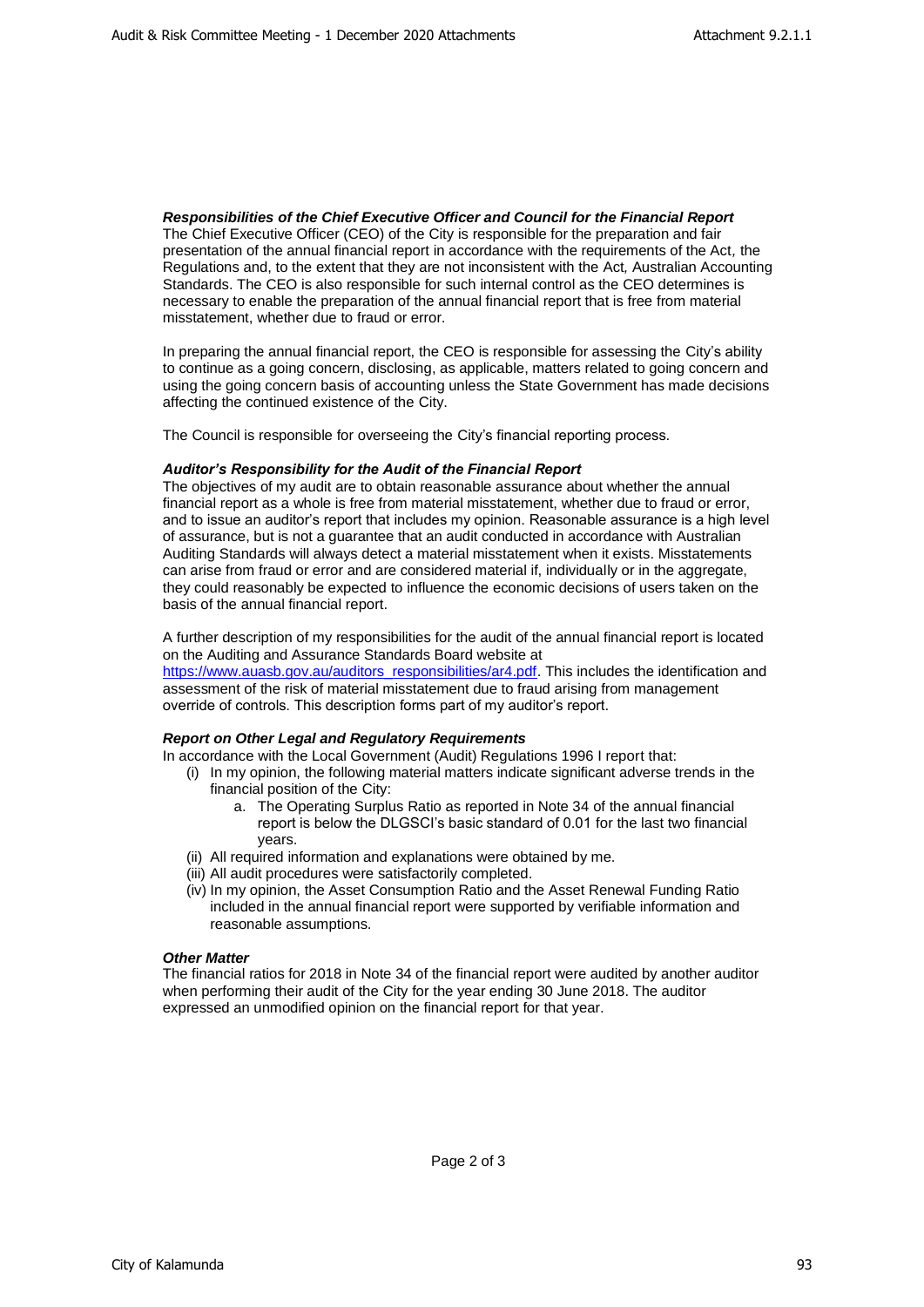*Responsibilities of the Chief Executive Officer and Council for the Financial Report* The Chief Executive Officer (CEO) of the City is responsible for the preparation and fair presentation of the annual financial report in accordance with the requirements of the Act*,* the Regulations and, to the extent that they are not inconsistent with the Act*,* Australian Accounting Standards. The CEO is also responsible for such internal control as the CEO determines is necessary to enable the preparation of the annual financial report that is free from material misstatement, whether due to fraud or error.

In preparing the annual financial report, the CEO is responsible for assessing the City's ability to continue as a going concern, disclosing, as applicable, matters related to going concern and using the going concern basis of accounting unless the State Government has made decisions affecting the continued existence of the City.

The Council is responsible for overseeing the City's financial reporting process.

# *Auditor's Responsibility for the Audit of the Financial Report*

The objectives of my audit are to obtain reasonable assurance about whether the annual financial report as a whole is free from material misstatement, whether due to fraud or error, and to issue an auditor's report that includes my opinion. Reasonable assurance is a high level of assurance, but is not a guarantee that an audit conducted in accordance with Australian Auditing Standards will always detect a material misstatement when it exists. Misstatements can arise from fraud or error and are considered material if, individually or in the aggregate, they could reasonably be expected to influence the economic decisions of users taken on the basis of the annual financial report.

A further description of my responsibilities for the audit of the annual financial report is located on the Auditing and Assurance Standards Board website at

[https://www.auasb.gov.au/auditors\\_responsibilities/ar4.pdf.](https://www.auasb.gov.au/auditors_responsibilities/ar4.pdf) This includes the identification and assessment of the risk of material misstatement due to fraud arising from management override of controls. This description forms part of my auditor's report.

# *Report on Other Legal and Regulatory Requirements*

In accordance with the Local Government (Audit) Regulations 1996 I report that:

- (i) In my opinion, the following material matters indicate significant adverse trends in the financial position of the City:
	- a. The Operating Surplus Ratio as reported in Note 34 of the annual financial report is below the DLGSCI's basic standard of 0.01 for the last two financial years.
- (ii) All required information and explanations were obtained by me.
- (iii) All audit procedures were satisfactorily completed.
- (iv) In my opinion, the Asset Consumption Ratio and the Asset Renewal Funding Ratio included in the annual financial report were supported by verifiable information and reasonable assumptions.

# *Other Matter*

The financial ratios for 2018 in Note 34 of the financial report were audited by another auditor when performing their audit of the City for the year ending 30 June 2018. The auditor expressed an unmodified opinion on the financial report for that year.